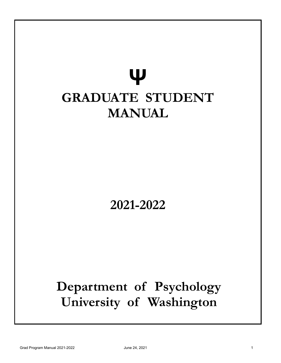# **Ψ GRADUATE STUDENT MANUAL**

## **2021-2022**

## **Department of Psychology University of Washington**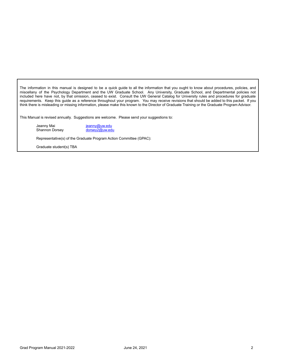The information in this manual is designed to be a quick guide to all the information that you ought to know about procedures, policies, and miscellany of the Psychology Department and the UW Graduate School. Any University, Graduate School, and Departmental policies not included here have not, by that omission, ceased to exist. Consult the UW General Catalog for University rules and procedures for graduate requirements. Keep this guide as a reference throughout your program. You may receive revisions that should be added to this packet. If you think there is misleading or missing information, please make this known to the Director of Graduate Training or the Graduate Program Advisor.

This Manual is revised annually. Suggestions are welcome. Please send your suggestions to:

Jeanny Mai **ieanny Mai karatana na kaominina amin'ny fivondronan-kaominina dia kaominina amin'ny fivondronan-**<br>Jeografia dia kaominina dia kaominina dia kaominina dia kaominina dia kaominina dia kaominina dia kaominina di<br> Shannon Dorsey

Representative(s) of the Graduate Program Action Committee (GPAC):

Graduate student(s) TBA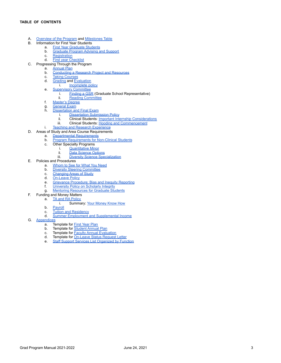- <span id="page-2-0"></span>A. [Overview](#page-3-0) of the Program and [Milestones](#page-3-1) Table
- B. Information for First Year Students
	- a. First Year [Graduate](#page-5-0) Students
	- b. [Graduate](#page-5-1) Program Advising and Support
	- c. [Registration](#page-7-0)
	- d. First year [Checklist](#page-8-0)
- C. Progressing Through the Program
	- a. [Annual](#page-9-0) Plan
	- b. [Conducting](#page-9-1) a Research Project and Resources
	- c. Taking [Courses](#page-11-0)<br>d. Grading and Ev.
	- **[Grading](#page-12-0) and [Evaluation](#page-13-0)** 
		- i. **[Incomplete](#page-12-1) policy**
	- e. [Supervisory](#page-13-1) Committee i. [Finding](#page-15-0) a GSR (Graduate School Representative)<br>ii. Reading Committee
		- Reading [Committee](#page-15-1)
	- f. [Master's](#page-15-2) Degree
	-
	- g. **[General](#page-16-0) Exam**<br>**h.** Dissertation an
		- [Dissertation](#page-18-0) and Final Exam
			- i. [Dissertation](#page-20-0) Submission Policy<br>ii. Clinical Students: Important Inte Clinical Students: Important Internship [Considerations](#page-20-1)
			- iii. Clinical Students: Hooding and [Commencement](#page-21-0)
	- i. Teaching and Research [Experience](#page-21-1)
- D. Areas of Study and Area Course Requirements
	- a. Departmental [Requirements](#page-22-0)
	- b. Program [Requirements](#page-22-1) for Non-Clinical Students
	- c. Other Specialty Programs
		- i. [Quantitative](#page-23-0) Minor
		- ii. Data [Science](#page-24-0) Options
		- iii. Diversity Science [Specialization](#page-25-0)
- E. Policies and Procedures
	- a. [Whom](#page-26-0) to See for What You Need
	- b. Diversity Steering [Committee](#page-31-0)
	- c. [Changing](#page-32-0) Areas of Study
	- d. [On-Leave](#page-32-1) Policy
	- e. Grievance [Procedure;](#page-33-0) Bias and Inequity Reporting
	- f. [University](#page-34-0) Policy on Scholarly Integrity
	- g. Mentoring [Resources](#page-34-1) for Graduate Students
- F. Funding and Money Matters
	- a<sup> $A$ </sup> TA and RA [Policy](#page-35-0)
		- i. Summary: Your [Money](#page-36-0) Know How
	- b. [Payroll](#page-37-0)
	- c. Tuition and [Residency](#page-39-0)
	- d. Summer Employment and [Supplemental](#page-39-1) Income
- G. [Appendices](#page-41-0)
	- a. Template for First [Year](#page-42-0) Plan
	- b. Template for [Student](#page-44-0) Annual Plan
	- c. Template for **Faculty Annual [Evaluation](#page-47-0)**
	- d. Template for [On-Leave](#page-49-0) Status Request Letter
	- e. Staff Support Services List [Organized](#page-50-0) by Function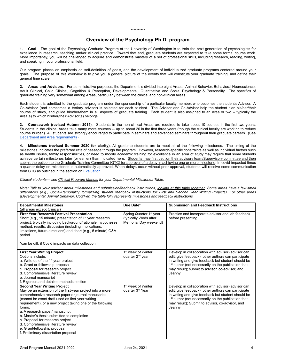#### \*\*\*\*\*\*\*\*\*\*

### **Overview of the Psychology Ph.D. program**

<span id="page-3-0"></span>**1. Goal**. The goal of the Psychology Graduate Program at the University of Washington is to train the next generation of psychologists for excellence in research, teaching and/or clinical practice. Toward that end, graduate students are expected to take some formal course work. More importantly, you will be challenged to acquire and demonstrate mastery of a set of professional skills, including research, reading, writing, and speaking in your professional field.

Our program places an emphasis on self-definition of goals, and the development of individualized graduate programs centered around your goals. The purpose of this overview is to give you a general picture of the events that will constitute your graduate training, and define their general time scale.

**2. Areas and Advisors**. For administrative purposes, the Department is divided into eight Areas: Animal Behavior, Behavioral Neuroscience, Adult Clinical, Child Clinical, Cognition & Perception, Developmental, Quantitative and Social Psychology & Personality. The specifics of graduate training vary somewhat among Areas, particularly between the clinical and non-clinical Areas.

Each student is admitted to the graduate program under the sponsorship of a particular faculty member, who becomes the student's Advisor. A Co-Advisor (and sometimes a tertiary advisor) is selected for each student. The Advisor and Co-Advisor help the student plan his/her/their course of study, and guide him/her/them in all aspects of graduate training. Each student is also assigned to an Area or two -- typically the Area(s) to which his/her/their Advisor(s) belongs.

**3. Coursework (revised Autumn 2015)**. Students in the non-clinical Areas are required to take about 10 courses in the first two years. Students in the clinical Areas take many more courses -- up to about 20 in the first three years (though the clinical faculty are working to reduce course burden). All students are strongly encouraged to participate in seminars and advanced seminars throughout their graduate careers. (See Department and Area [requirements](#page-22-0))

<span id="page-3-1"></span>**4. Milestones (revised Summer 2020 for clarity)**. All graduate students are to meet all of the following milestones. The timing of the milestones indicates the preferred rate of passage through the program. However, research-specific constraints as well as individual factors such as health issues, family responsibilities, or need to modify academic training for excellence in an area of study may require that some students achieve certain milestones later (or earlier) than indicated here. Students may first petition their advisory team/Supervisory committee and then submit the petition to the Graduate Training Committee (GTC) for approval of a delay in achieving one or more milestone. In covid-impacted times a quarter delay on milestones is automatically approved. When delays occur without prior approval, students will receive some communication from GTC as outlined in the section on [Evaluation](#page-13-0).

*Clinical students— see Clinical Program Manual for your Departmental Milestones Table.*

Note: Talk to your advisor about milestones and submission/feedback instructions, looking at this table together. Some areas have a few small differences (e.g., Social/Personality formalizing student feedback instructions for First and Second Year Writing Projects). For other areas *(Developmental, Animal Behavior, Cog/Per) the table fully represents milestones and feedback instructions.*

| <b>Departmental Milestones</b><br>(all areas except Clinical)                                                                                                                                                                                                                                                                                                                                                                                                                                                        | Due Date*                                                                              | <b>Submission and Feedback Instructions</b>                                                                                                                                                                                                                                                     |
|----------------------------------------------------------------------------------------------------------------------------------------------------------------------------------------------------------------------------------------------------------------------------------------------------------------------------------------------------------------------------------------------------------------------------------------------------------------------------------------------------------------------|----------------------------------------------------------------------------------------|-------------------------------------------------------------------------------------------------------------------------------------------------------------------------------------------------------------------------------------------------------------------------------------------------|
| <b>First Year Research Festival Presentation</b><br>Short (e.g., 15 minute) presentation of $1st$ year research<br>project, typically including background/rationale, hypotheses,<br>method, results, discussion (including implications,<br>limitations, future directions) and short (e.g., 5 minute) Q&A<br>period<br>*can be diff. if Covid impacts on data collection                                                                                                                                           | Spring Quarter 1 <sup>st</sup> year<br>(typically Weds after)<br>Memorial Day weekend) | Practice and incorporate advisor and lab feedback<br>before presenting                                                                                                                                                                                                                          |
| <b>First Year Writing Project</b><br>Options include:<br>a. Write up of the 1 <sup>st</sup> year project<br>b. Grant or fellowship proposal<br>c. Proposal for research project<br>d. Comprehensive literature review<br>e. Journal manuscript<br>f. Rigorous and detailed methods section                                                                                                                                                                                                                           | 1 <sup>st</sup> week of Winter<br>quarter 2 <sup>nd</sup> year                         | Develop in collaboration with advisor (advisor can<br>edit, give feedback); other authors can participate<br>in writing and give feedback but student should be<br>1 <sup>st</sup> author (not necessarily on the publication that<br>may result); submit to advisor, co-advisor, and<br>Jeanny |
| <b>Second Year Writing Project</b><br>May be an extension of the first-year project into a more<br>comprehensive research paper or journal manuscript<br>(cannot be exact draft used as first-year writing<br>requirement), or a new project taking one of the following<br>forms:<br>a. A research paper/manuscript<br>b. Master's thesis submitted to completion<br>c. Proposal for research project<br>d. Comprehensive literature review<br>e. Grant/fellowship proposal<br>f. Preliminary dissertation proposal | 1 <sup>st</sup> week of Winter<br>quarter 3 <sup>rd</sup> Year                         | Develop in collaboration with advisor (advisor can<br>edit, give feedback); other authors can participate<br>in writing and give feedback but student should be<br>1 <sup>st</sup> author (not necessarily on the publication that<br>may result); Submit to advisor, co-advisor, and<br>Jeanny |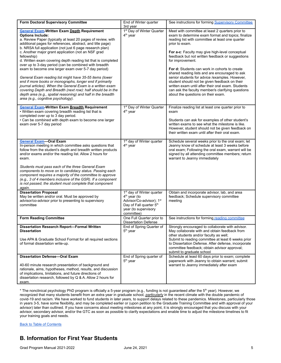| <b>Form Doctoral Supervisory Committee</b>                                                                                                                                                                                                                                                                                                                                                                                                                                                                                                                                                                                                                                                                                                                                                                                                                                                | End of Winter quarter<br>3rd year                                                                                                                              | See instructions for forming Supervisory Committee                                                                                                                                                                                                                                                                                                                                                                                                                                                                                                                                                                                                             |
|-------------------------------------------------------------------------------------------------------------------------------------------------------------------------------------------------------------------------------------------------------------------------------------------------------------------------------------------------------------------------------------------------------------------------------------------------------------------------------------------------------------------------------------------------------------------------------------------------------------------------------------------------------------------------------------------------------------------------------------------------------------------------------------------------------------------------------------------------------------------------------------------|----------------------------------------------------------------------------------------------------------------------------------------------------------------|----------------------------------------------------------------------------------------------------------------------------------------------------------------------------------------------------------------------------------------------------------------------------------------------------------------------------------------------------------------------------------------------------------------------------------------------------------------------------------------------------------------------------------------------------------------------------------------------------------------------------------------------------------------|
| <b>General Exam-Written Exam Depth Requirement</b><br><b>Options Include:</b><br>a. Review Paper (typically at least 20 pages of review, with<br>additional pages for references, abstract, and title page)<br>b. NRSA full application (not just 6 page research plan)<br>c. Another major grant application (not an NSF grad<br>fellowship)<br>d. Written exam covering depth reading list that is completed<br>over up to 3-day period (can be combined with breadth<br>exam to become one larger exam over 5-7 day period)<br>General Exam reading list might have 35-55 items (lower<br>end if more books or monographs, longer end if primarily<br>journal articles). When the General Exam is a written exam<br>covering Depth and Breadth (next row): half should be in the<br>depth area (e.g., spatial reasoning) and half in the breadth<br>area (e.g., cognitive psychology). | 1 <sup>st</sup> Day of Winter Quarter<br>$4th$ year                                                                                                            | Meet with committee at least 2 quarters prior to<br>exam to determine exam format and topics; finalize<br>reading list with committee at least one quarter<br>prior to exam.<br>For a-c: Faculty may give high-level conceptual<br>feedback but not written feedback or suggestions<br>for improvement.<br>For d: Students can work in cohorts to create<br>shared reading lists and are encouraged to ask<br>senior students for advice /examples. However,<br>student should not be given feedback on their<br>written exam until after their oral exam. Students<br>can ask the faculty member/s clarifying questions<br>about the questions on their exam. |
| <b>General Exam-Written Exam Breadth Requirement</b><br>• Written exam covering breadth reading list that is<br>completed over up to 3 day period.<br>• Can be combined with depth exam to become one larger<br>exam over 5-7 day period                                                                                                                                                                                                                                                                                                                                                                                                                                                                                                                                                                                                                                                  | 1 <sup>st</sup> Day of Winter Quarter<br>4 <sup>th</sup> year                                                                                                  | Finalize reading list at least one quarter prior to<br>exam<br>Students can ask for examples of other student's<br>written exams to see what the milestone is like.<br>However, student should not be given feedback on<br>their written exam until after their oral exam.                                                                                                                                                                                                                                                                                                                                                                                     |
| <b>General Exam-Oral Exam</b><br>In-person meeting in which committee asks questions that<br>follow from the student's depth and breadth written products<br>and/or exams and/or the reading list. Allow 2 hours for<br>exam.<br>Students must pass each of the three General Exam<br>components to move on to candidacy status. Passing each<br>component requires a majority of the committee to approve<br>(e.g., 3 of 4 members inclusive of the GSR). If a component<br>is not passed, the student must complete that component<br>again.                                                                                                                                                                                                                                                                                                                                            | 1 <sup>st</sup> day of Winter quarter<br>$4th$ year                                                                                                            | Schedule several weeks prior to the oral exam; let<br>Jeanny know of schedule at least 3 weeks before<br>oral exam; Following the oral exam, warrant will be<br>signed by all attending committee members; return<br>warrant to Jeanny immediately                                                                                                                                                                                                                                                                                                                                                                                                             |
| <b>Dissertation Proposal</b><br>May be written and/or oral. Must be approved by<br>advisor/co-advisor prior to presenting to supervisory<br>committee                                                                                                                                                                                                                                                                                                                                                                                                                                                                                                                                                                                                                                                                                                                                     | 1 <sup>st</sup> day of Winter quarter<br>4 <sup>th</sup> year (to<br>Advisor/Co-advisor); 1st<br>Day of Fall quarter 5th<br>year (to supervisory<br>committee) | Obtain and incorporate advisor, lab, and area<br>feedback; Schedule supervisory committee<br>meeting                                                                                                                                                                                                                                                                                                                                                                                                                                                                                                                                                           |
| <b>Form Reading Committee</b>                                                                                                                                                                                                                                                                                                                                                                                                                                                                                                                                                                                                                                                                                                                                                                                                                                                             | One Full Quarter prior to<br><b>Dissertation Defense</b>                                                                                                       | See instructions for forming reading committee                                                                                                                                                                                                                                                                                                                                                                                                                                                                                                                                                                                                                 |
| <b>Dissertation Research Report-Formal Written</b><br><b>Dissertation</b><br>Use APA & Graduate School Format for all required sections<br>of formal dissertation write-up.                                                                                                                                                                                                                                                                                                                                                                                                                                                                                                                                                                                                                                                                                                               | End of Spring Quarter of<br>5 <sup>th</sup> year                                                                                                               | Strongly encouraged to collaborate with advisor.<br>May collaborate with and obtain feedback from<br>other students and/or faculty as well;<br>Submit to reading committee at least 6 weeks prior<br>to Dissertation Defense. After defense, incorporate<br>committee feedback; obtain advisor approval;<br>submit to graduate school                                                                                                                                                                                                                                                                                                                          |
| <b>Dissertation Defense-Oral Exam</b><br>40-60 minute research presentation of background and<br>rationale, aims, hypotheses, method, results, and discussion<br>of implications, limitations, and future directions of<br>dissertation research, followed by Q & A. Allow 2 hours for<br>exam.                                                                                                                                                                                                                                                                                                                                                                                                                                                                                                                                                                                           | End of Spring quarter of<br>5 <sup>th</sup> year                                                                                                               | Schedule at least 60 days prior to exam; complete<br>paperwork with Jeanny to obtain warrant; submit<br>warrant to Jeanny immediately after exam                                                                                                                                                                                                                                                                                                                                                                                                                                                                                                               |

\* The nonclinical psychology PhD program is officially a 5-year program (e.g., funding is not guaranteed after the 5 th year). However, we recognized that many students benefit from an extra year in graduate school, *particularly* in the recent climate with the double pandemic of covid-19 and racism. We have worked to fund students in later years, to support delays related to these pandemics. Milestones, particularly those in years 3-5, have some flexibility, and may be completed earlier or (upon petition to the Graduate Training Committee and with approval of your advisor) later than outlined. If you have concerns about meeting milestones at any point, it is strongly encouraged that you discuss with your advisor, secondary advisor, and/or the GTC as soon as possible to clarify expectations and enable time to adjust the milestone timelines to fit your training goals and needs.

Back to Table of [Contents](#page-2-0)

### **B. Information for First Year Students**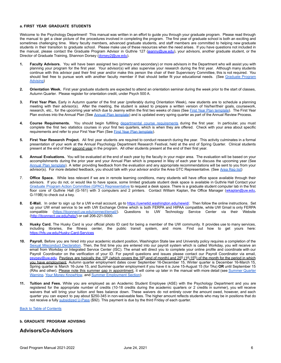### <span id="page-5-0"></span>**a. FIRST YEAR GRADUATE STUDENTS**

Welcome to the Psychology Department! This manual was written in an effort to guide you through your graduate program. Please read through the manual to get a clear picture of the procedures involved in completing the program. The first year of graduate school is both an exciting and sometimes challenging time. Many faculty members, advanced graduate students, and staff members are committed to helping new graduate students in their transition to graduate school. Please make use of these resources when the need arises. If you have questions not included in the manual, please contact the Graduate Program Advisor in Guthrie 127 [\(jeanny@uw.edu](mailto:jeanny@u.washington.edu)), your advisors, another graduate student, or the Director of Graduate Training, Shannon Dorsey [\(dorsey2@uw.edu](mailto:dorsey2@uw.edu)).

- **1. Faculty Advisors.** You will have been assigned two (primary and secondary) or more advisors in the Department who will assist you with planning your program for the first year. Your advisor(s) will also supervise your research during the first year. Although many students continue with this advisor past their first year and/or make this person the chair of their Supervisory Committee, this is not required. You should feel free to pursue work with another faculty member if that should better fit your educational needs. (See [Graduate](#page-5-1) Program [Advising](#page-5-1))
- **2. Orientation Week.** First year graduate students are expected to attend an orientation seminar during the week prior to the start of classes, Autumn Quarter. Please register for orientation credit, under Psych 500 A.
- **3. First Year Plan.** Early in Autumn quarter of the first year (preferably during Orientation Week), new students are to schedule a planning meeting with their advisor(s). After the meeting, the student is asked to prepare a written version of his/her/their goals, coursework, research, etc., for the upcoming year which due to Jeanny within the first two weeks of class (See First Year Plan [template\)](#page-42-0). The First Year Plan evolves into the Annual Plan (See Annual Plan [template](#page-44-0)) and is updated every spring quarter as part of the Annual Review Process.
- 4. Course Requirements. You should begin fulfilling departmental course [requirements](#page-22-0) during the first year. In particular, you must complete the first two statistics courses in your first two quarters, which is when they are offered. Check with your area about specific requirements and refer to your First Year Plan (See First Year Plan [template](#page-42-0)).
- **5. First Year Research Project.** All first year students are required to conduct research during the year. This activity culminates in a formal presentation of your work at the Annual Psychology Department Research Festival, held at the end of Spring Quarter. Clinical students present at the end of their second year in the program. All other students present at the end of their first year.
- **6. Annual Evaluations.** You will be evaluated at the end of each year by the faculty in your major area. The evaluation will be based on your accomplishments during the prior year and your Annual Plan which is prepared in May of each year to discuss the upcoming year (See Annual Plan [template](#page-44-0)). A letter providing feedback from the evaluation and any appropriate recommendations will be sent to you from your advisor(s). For more detailed feedback, you should talk with your advisor and/or the [Area](#page-22-2) GTC Representative. (See Area Rep list)
- 7. **Office Space.** While less relevant if we are in remote learning conditions, many students will have office space available through their advisors. If you do not, or would like to have space, some limited graduate student desk space is available in Guthrie Hall Contact your Graduate Program Action Committee (GPAC) [Representative](#page-6-0) to request a desk space. There is a graduate student computer lab in the first floor core of Guthrie Hall (G-161) with 3 computers and 2 printers. Contact William Kaplan, the Office Manager ([wkaplan@uw.edu,](mailto:wkaplan@uw.edu) G-119B) to check out a key.
- **8. E-Mail.** In order to sign up for a UW e-mail account, go to <https://uwnetid.washington.edu/newid/>. Then follow the online instructions. Set up your UW email service to be with UW Exchange Online which is both FERPA and HIPAA compatible, while UW Gmail is only FERPA compatible (https://itconnect.uw.edu/connect/email/). Questions to UW Technology Service Center Questions to UW Technology Service Center via their Website ([http://itconnect.uw.edu/help/\)](http://itconnect.uw.edu/help/) or call 206-221-5000.
- **9. Husky Card.** The Husky Card is your official photo ID card for being a member of the UW community. It provides use to many services, including libraries, the fitness center, the public transit system, and more. Find out how to get yours here: <https://hfs.uw.edu/Husky-Card-Services>
- **10. Payroll.** Before you are hired into your academic student position, Washington State law and University policy requires a completion of the Sexual [Misconduct](https://hr.uw.edu/talent/hiring-process/background-checks/sexual-misconduct-disclosure-policy/) Declaration. Then, the first time you are entered into our payroll system which is called Workday, you will receive an email from Workday or Integrated Service Center (ISC). The email will direct you to complete your online profile and coordinate with our Payroll Coordinator on the verification of your ID. For payroll questions and issues please contact our Payroll Coordinator via email, [psypay@uw.edu.](mailto:psypay@uw.edu) Paydays are typically the 10<sup>th</sup> (which covers the 16<sup>th</sup>-end of month) and 25<sup>th</sup> (1<sup>st</sup>-15<sup>th</sup>) of the month for the period in which you have employment. Autumn quarter employment dates cover September 16-December 15, Winter quarter is December 16-March 15, Spring quarter is March 16-June 15, and Summer quarter employment if you have it is June 15-August 15 (for TAs) **OR** until September 15 (RAs and other). Please note this summer gap in appointment, it will come up later in the manual with more detail (see [Summer](#page-35-1) Quarter [Warning](#page-35-1), Your Money [KnowHow](#page-36-0), and Summer [Employment](#page-39-1) Section).
- **11. Tuition and Fees.** While you are employed as an Academic Student Employee (ASE) with the Psychology Department and you are registered for the appropriate number of credits (10-18 credits during the academic quarters or 2 credits in summer), you will receive waivers that will bring your tuition and fees balance down. These waivers do not entirely cover the amount owed, however, and each quarter you can expect to pay about \$250-345 in non-waiveable fees. The higher amount reflects students who may be in positions that do not receive a fully [subsidized](https://hr.uw.edu/policies/u-pass/) U-Pass (\$92). This payment is due by the third Friday of each quarter.

Back to Table of [Contents](#page-2-0)

### <span id="page-5-1"></span>**b. GRADUATE PROGRAM ADVISING**

### **Advisors/Co-Advisors**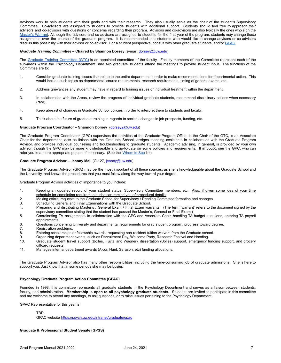Advisors work to help students with their goals and with their research. They also usually serve as the chair of the student's Supervisory Committee. Co-advisors are assigned to students to provide students with additional support. Students should feel free to approach their advisors and co-advisors with questions or concerns regarding their program. Advisors and co-advisors are also typically the ones who sign the [Master's](#page-15-2) Warrant. Although the advisors and co-advisors are assigned to students for the first year of the program, students may change these assignments over the course of the graduate program. It is recommended that students who would like to change advisors or co-advisors discuss this possibility with their advisor or co-advisor. For a student perspective, consult with other graduate students, and/or [GPAC.](#page-6-0)

### *Graduate Training Committee –* **Chaired by Shannon Dorsey** (e-mail: [dorsey2@uw.edu](mailto:dorsey2@uw.edu))

The Graduate Training [Committee](#page-22-2) (GTC) is an appointed committee of the faculty. Faculty members of the Committee represent each of the sub-areas within the Psychology Department, and two graduate students attend the meetings to provide student input. The functions of the Committee are to:

- 1. Consider graduate training issues that relate to the entire department in order to make recommendations for departmental action. This would include such topics as departmental course requirements, research requirements, timing of general exams, etc.
- 2. Address grievances any student may have in regard to training issues or individual treatment within the department.
- 3. In collaboration with the Areas, review the progress of individual graduate students, recommend disciplinary actions when necessary (rare).
- 4. Keep abreast of changes in Graduate School policies in order to interpret them to students and faculty.
- 5. Think about the future of graduate training in regards to societal changes in job prospects, funding, etc.

### **Graduate Program Coordinator – Shannon Dorsey** ([dorsey2@uw.edu\)](mailto:dorsey2@uw.edu)

The Graduate Program Coordinator (GPC) supervises the activities of the Graduate Program Office, is the Chair of the GTC, is an Associate Chair for the department, acts as liaison with the Graduate School, assigns teaching assistants in collaboration with the Graduate Program Advisor, and provides individual counseling and troubleshooting to graduate students. Academic advising, in general, is provided by your own advisor, though the GPC may be more knowledgeable and up-to-date on some policies and requirements. If in doubt, see the GPC, who can refer you to a more appropriate person, if necessary. (See the ['Whom](#page-26-0) to See list)

### <span id="page-6-1"></span>**Graduate Program Advisor – Jeanny Mai** (G-127, [jeanny@uw.edu](mailto:jeanny@uw.edu))

The Graduate Program Advisor (GPA) may be the most important of all these sources, as she is knowledgeable about the Graduate School and the University, and knows the procedures that you must follow along the way toward your degree.

Graduate Program Advisor activities of importance to you include:

- 1. Keeping an updated record of your student status, Supervisory Committee members, etc. Also, if given some idea of your time schedule for completing requirements, she can remind you of procedural details.
- 2. Making official requests to the Graduate School for Supervisory / Reading Committee formation and changes.
- 3. Scheduling General and Final Examinations with the Graduate School.<br>4. Preparing and distributing Master's / General Exam / Final Exam war
- Preparing and distributing Master's / General Exam / Final Exam warrants. (The term 'warrant' refers to the document signed by the supervisory committee stating that the student has passed the Master's, General or Final Exam.)
- 5. Coordinating TA assignments in collaboration with the GPC and Associate Chair, handling TA budget questions, entering TA payroll appointments.
- 6. Questions concerning University and departmental requirements for grad student program, progress toward degree.
- 7. Registration problems.
- 8. Entering scholarships or fellowship awards, requesting non-resident tuition waivers from the Graduate school.
- 9. Organizing department events, such as Recruitment Day, Welcome Party, Research Festival and Hooding.<br>10. Graduate student travel support (Bolles, Fuilta and Wagner), dissertation (Bolles) support, emergency f
- 10. Graduate student travel support (Bolles, Fujita and Wagner), dissertation (Bolles) support, emergency funding support, and grocery giftcard requests.
- 11. Manages internal department awards (Alcor, Hunt, Sarason, etc) funding allocations.

The Graduate Program Advisor also has many other responsibilities, including the time-consuming job of graduate admissions. She is here to support you. Just know that in some periods she may be busier.

### <span id="page-6-0"></span>**Psychology Graduate Program Action Committee (GPAC)**

Founded in 1998, this committee represents all graduate students in the Psychology Department and serves as a liaison between students, faculty, and administration. **Membership is open to all psychology graduate students.** Students are invited to participate in this committee and are welcome to attend any meetings, to ask questions, or to raise issues pertaining to the Psychology Department.

GPAC Representative for this year is:

**TBD** 

GPAC website, <https://psych.uw.edu/intranet/graduate/gpac>

### **Graduate & Professional Student Senate (GPSS)**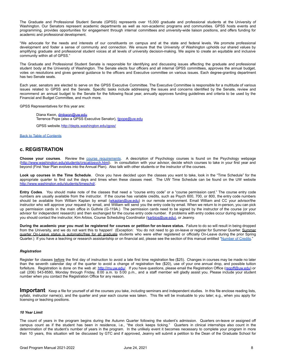The Graduate and Professional Student Senate (GPSS) represents over 15,000 graduate and professional students at the University of Washington. Our Senators represent academic departments as well as non-academic programs and communities. GPSS hosts events and programming, provides opportunities for engagement through internal committees and university-wide liaison positions, and offers funding for academic and professional development.

"We advocate for the needs and interests of our constituents on campus and at the state and federal levels. We promote professional development and foster a sense of community and connection. We ensure that the University of Washington upholds our shared values by amplifying graduate and professional student voices at all levels of university decision-making. We aspire to create an equitable and inclusive community within all of GPSS."

The Graduate and Professional Student Senate is responsible for identifying and discussing issues affecting the graduate and professional student body at the University of Washington. The Senate elects four officers and all internal GPSS committees, approves the annual budget, votes on resolutions and gives general guidance to the officers and Executive committee on various issues. Each degree-granting department has two Senate seats.

Each year, senators are elected to serve on the GPSS Executive Committee. The Executive Committee is responsible for a multitude of various issues related to GPSS and the Senate. Specific tasks include addressing the issues and concerns identified by the Senate, review and recommend an annual budget to the Senate for the following fiscal year, annually approves funding guidelines and criteria to be used by the Financial and Budget Committee, and much more.

GPSS Representatives for this year are:

Diana Kwon, [dmkwon@uw.edu](mailto:dmkwon@uw.edu) Terrence Pope (also a GPSS Executive Senator), [tjpope@uw.edu](mailto:tjpope@uw.edu)

GPSS website, http://depts.washington.edu/gpss/

Back to Table of [Contents](#page-2-0)

### <span id="page-7-0"></span>**c. REGISTRATION**

**Choose your courses**. Review the course [requirements](#page-22-0). A description of Psychology courses is found on the Psychology webpage (<http://www.washington.edu/students/crscat/psych.html>). In consultation with your advisor, decide which courses to take in your first year and beyond (First Year Plan evolves into the Annual Plan). Also talk with other students or the instructor of the courses.

**Look up courses in the Time Schedule**. Once you have decided upon the classes you want to take, look in the "Time Schedule" for the appropriate quarter to find out the days and times when these classes meet. The UW Time Schedule can be found on the UW website <http://www.washington.edu/students/timeschd/>.

**Entry Codes**. You should make note of the classes that need a "course entry code" or a "course permission card." The course entry code numbers are usually available from the instructor. If the course has variable credits, such as Psych 600, 700, or 800, the entry code numbers should be available from William Kaplan by email ([wkaplan@uw.edu\)](mailto:wkaplan@uw.edu) in our remote environment. Email William and CC your advisor/the instructor who will approve your request by email, and William will send you the entry code by email. When we return to in-person, you can pick up permission cards in the main office in Guthrie (G-119A.) The permission cards need to be signed by the instructor of the course (or your advisor for independent research) and then exchanged for the course entry code number. If problems with entry codes occur during registration, you should contact the instructor, Kim Arbios, Course Scheduling Coordinator (karbios@uw.edu), or Jeanny.

During the academic year you must be registered for courses or petition for on-leave status. Failure to do so will result in being dropped from the University, and we do not want this to happen! (Exception: You do not need to go on-leave or register for Summer Quarter. Summer quarter On-Leave status is automatic/free for all graduate students who were either registered or officially On-Leave during the prior Spring Quarter.) If you have a teaching or research assistantship or on financial aid, please see the section of this manual entitled ["Number](#page-8-1) of Credits."

### *Registration*

Register for classes before the first day of instruction to avoid a late first time registration fee (\$25). Changes in courses may be made no later than the seventh calendar day of the quarter to avoid a change of registration fee (\$20), use of your one annual drop, and possible tuition forfeiture. Registration is done on the web at: <http://my.uw.edu/>. If you have questions, please email the Registration Office ([regoff@uw.edu](mailto:regoff@uw.edu)) or call (206) 543-8580, Monday through Friday, 8:00 a.m. to 5:00 p.m., and a staff member will gladly assist you. Please include your student number when you contact the Registration Office for any reason.

**Important**: Keep <sup>a</sup> file for yourself of all the courses you take, *including* seminars and independent studies. In this file enclose reading lists, syllabi, instructor name(s), and the quarter and year each course was taken. This file will be invaluable to you later; e.g., when you apply for licensing or teaching positions.

### *10 Year Limit*

The count of years in the program begins during the Autumn Quarter following the student's admission. Quarters on-leave or assigned off campus count as if the student has been in residence, i.e., "the clock keeps ticking." Quarters in clinical internships also count in the determination of the student's number of years in the program. In the unlikely event it becomes necessary to complete your program in more than 10 years, this situation will be discussed by GTC and if approved, Jeanny will submit a petition to the Dean of the Graduate School for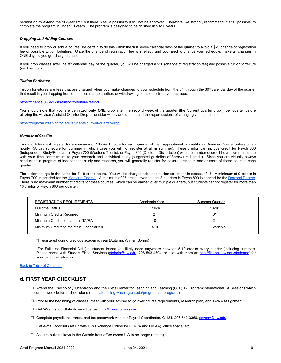permission to extend the 10-year limit but there is still a possibility it will not be approved. Therefore, we strongly recommend, if at all possible, to complete the program in under 10 years. The program is designed to be finished in 5 to 6 years.

### *Dropping and Adding Courses*

If you need to drop or add a course, be certain to do this within the first seven calendar days of the quarter to avoid a \$20 change of registration fee or possible tuition forfeiture. Once the change of registration fee is in effect, and you need to change your schedule, make all changes in ONE day, so you get charged once.

If you drop classes after the  $8<sup>th</sup>$  calendar day of the quarter, you will be charged a \$20 (change of registration fee) and possible tuition forfeiture (next section).

### *Tuition Forfeiture*

Tuition forfeitures are fees that are charged when you make changes to your schedule from the 8<sup>th</sup> through the 30<sup>th</sup> calendar day of the quarter that result in you dropping from one tuition rate to another, or withdrawing completely from your classes.

### <https://finance.uw.edu/sfs/tuition/forfeiture-refund>

You should note that you are permitted **only ONE** drop after the second week of the quarter (the "current quarter drop"), per quarter before utilizing the Advisor Assisted Quarter Drop – consider wisely and understand the repercussions of changing your schedule!

<https://registrar.washington.edu/students/current-quarter-drop/>

### <span id="page-8-1"></span>*Number of Credits*

TAs and RAs must register for a minimum of 10 credit hours for each quarter of their appointment (2 credits for Summer Quarter unless on an hourly RA pay schedule for Summer in which case you will not register at all in summer). These credits can include credit for Psych 600 (Independent Study/Research), Psych 700 (Master's Thesis), or Psych 800 (Doctoral Dissertation) with the number of credit hours commensurate with your time commitment to your research and individual study (suggested guideline of 3hrs/wk = 1 credit). Since you are virtually always conducting a program of independent study and research, you will generally register for several credits in one or more of these courses each quarter.

The tuition charge is the same for 7-18 credit hours. You will be charged additional tuition for credits in excess of 18. A minimum of 9 credits in Psych 700 is needed for the [Master's](#page-15-2) Degree. A minimum of 27 credits over at least 3 quarters in Psych 800 is needed for the [Doctoral](#page-18-0) Degree. There is no maximum number of credits for these courses, which can be earned over multiple quarters, but students cannot register for more than 10 credits of Psych 800 per quarter.

<span id="page-8-2"></span>

| REGISTRATION REQUIREMENTS                 | Academic Year | Summer Quarter        |
|-------------------------------------------|---------------|-----------------------|
| <b>Full time Status</b>                   | $10-18$       | $10-18$               |
| Minimum Credits Required                  |               | $0^*$                 |
| Minimum Credits to maintain TA/RA         | 10            |                       |
| Minimum Credits to maintain Financial Aid | $5-10$        | variable <sup>+</sup> |

\*If registered during previous academic year (Autumn, Winter, Spring)

<sup>+</sup>For Full time Financial Aid (i.e. student loans) you likely need anywhere between 5-10 credits every quarter (including summer). Please check with Student Fiscal Services [\(sfshelp@uw.edu](mailto:sfshelp@u.washington.edu), 206-543-4694, or chat with them at: <http://finance.uw.edu/sfs/home>) for your particular situation.

#### Back to Table of [Contents](#page-2-0)

### <span id="page-8-0"></span>**d. FIRST YEAR CHECKLIST**

□ Attend the Psychology Orientation and the UW's Center for Teaching and Learning (CTL) TA Program/International TA Sessions which occur the week before school starts [\(https://teaching.washington.edu/programs/ta-program/\)](https://teaching.washington.edu/programs/ta-program/)

 $\Box$  Prior to the beginning of classes, meet with your advisor to go over course requirements, research plan, and TA/RA assignment

- □ Get Washington State driver's license [\(http://www.dol.wa.gov/\)](http://www.dol.wa.gov/)
- □ Complete payroll, insurance, and tax paperwork with our Payroll Coordinator, G-131, 206-543-3366, [psypay@uw.edu](mailto:merlej@u.washington.edu)
- $\Box$  Get e-mail account (set up with UW Exchange Online for FERPA and HIPAA), office space, etc.
- □ Acquire building keys in the Guthrie front office (when UW is no longer remote)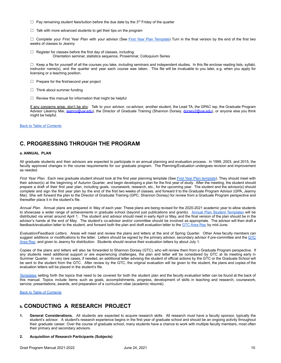- $\Box$  Pay remaining student fees/tuition before the due date by the 3<sup>rd</sup> Friday of the quarter
- $\Box$  Talk with more advanced students to get their tips on the program

□ Complete your First Year Plan with your advisor (See First Year Plan [Template](#page-42-0)) Turn in the final version by the end of the first two weeks of classes to Jeanny

 $\Box$  Register for classes before the first day of classes, including: Orientation seminar, statistics sequence, Proseminar, Colloquium Series

☐ Keep a file for yourself of all the courses you take, *including* seminars and independent studies. In this file enclose reading lists, syllabi, instructor name(s), and the quarter and year each course was taken. This file will be invaluable to you later, e.g. when you apply for licensing or a teaching position.

- ☐ Prepare for the first/second year project
- $\Box$  Think about summer funding
- $\Box$  Review this manual for information that might be helpful

If any concerns arise, don't be shy. Talk to your advisor, co-advisor, another student, the Lead TA, the GPAC rep, the Graduate Program Advisor (Jeanny Mai, [jeanny@uw.edu\)](mailto:jeanny@uw.edu), the Director of Graduate Training (Shannon Dorsey, [dorsey2@uw.edu\)](mailto:dorsey2@uw.edu), or anyone else you think might be helpful.

Back to Table of [Contents](#page-2-0)

### **C. PROGRESSING THROUGH THE PROGRAM**

### <span id="page-9-0"></span>**a. ANNUAL PLAN**

All graduate students and their advisors are expected to participate in an annual planning and evaluation process. In 1999, 2003, and 2015, the faculty approved changes in the course requirements for our graduate program. The Planning/Evaluation undergoes revision and improvement as needed.

*First Year Plan*. Each new graduate student should look at the first year planning template (See First Year Plan [template](#page-42-0)). They should meet with their advisor(s) at the beginning of Autumn Quarter, and begin developing a plan for the first year of study. After the meeting, the student should prepare a draft of their first year plan, including goals, coursework, research, etc., for the upcoming year. The student and the advisor(s) should complete and sign the first year plan by the end of the first two weeks of classes, and forward it to the Graduate Program Advisor (GPA, Jeanny Mai). She will forward the plan to the Director of Graduate Training (GPC, Shannon Dorsey) for review from a Graduate Program perspective and thereafter place it in the student's file.

*Annual Plan*. Annual plans are prepared in May of each year. These plans are being revised for the 2020-2021 academic year to allow students to showcase a wider range of achievements in graduate school (beyond just publications and grants). Annual Plan Student [Templates](#page-44-0) will be distributed via email around April 1. The student and advisor should meet in early April or May, and the final version of the plan should be in the advisor's hands at the end of May. The student's co-advisor and/or committee should be involved as appropriate. The advisor will then draft a feedback/evaluation letter to the student, and forward both the plan and draft evaluation letter to the GTC [Area](#page-22-2) Rep by mid-June.

*Evaluation/Feedback Letters.* Areas will meet and review the plans and letters at the end of Spring Quarter. Other Area faculty members can suggest additions or modifications to the letter. Letters should be signed by the primary advisor, secondary advisor if pre-committee and the [GTC](#page-22-2) [Area](#page-22-2) Rep, and given to Jeanny for distribution. Students should receive their evaluation letters by about July 1.

Copies of the plans and letters will also be forwarded to Shannon Dorsey (GTC), who will review them from a Graduate Program perspective. If any students need additional support or are experiencing challenges, the plan and letter will be considered by GTC at its meeting early in Summer Quarter. In very rare cases, if needed, an additional letter advising the student of official actions by the GTC or the Graduate School will be sent to the student from the GTC. After review by the GTC, the original evaluation will be given to the student, the plans and copies of the evaluation letters will be placed in the student's file.

[Templates](#page-41-0) setting forth the topics that need to be covered for both the student plan and the faculty evaluation letter can be found at the back of this manual. Topics include items such as goals, accomplishments, progress, development of skills in teaching and research, coursework, service, presentations, awards, and preparation of a *curriculum vitae* (academic résumé).

Back to Table of [Contents](#page-2-0)

### <span id="page-9-1"></span>**b. CONDUCTING A RESEARCH PROJECT**

- **1. General Considerations.** All students are expected to acquire research skills. All research must have a faculty sponsor, typically the student's advisor. A student's research experience begins in the first year of graduate school and should be an ongoing activity throughout their graduate career. Over the course of graduate school, many students have a chance to work with multiple faculty members, most often their primary and secondary advisors.
- **2. Acquisition of Research Participants (Subjects)**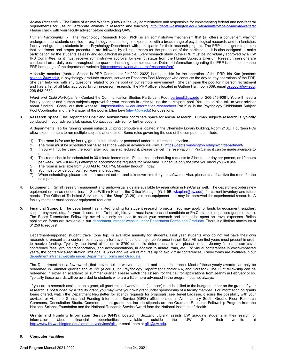*Animal Research* - The Office of Animal Welfare (OAW) is the key administrative unit responsible for implementing federal and non-federal requirements for use of vertebrate animals in research and teaching. <http://depts.washington.edu/uwhsa/units/office-of-animal-welfare/> Please check with your faculty advisor before contacting OAW.

*Human Participants -* The Psychology Research Pool (**PRP**) is an administrative mechanism that (a) offers a convenient way for undergraduate students enrolled in psychology courses to gain experience with a broad range of psychological research, and (b) furnishes faculty and graduate students in the Psychology Department with participants for their research projects. The PRP is designed to ensure that consistent and proper procedures are followed by all researchers for the protection of the participants. It is also designed to make participation by the students as easy and educational as possible. Every research study in the PRP must be individually approved by a UW IRB Committee, or it must receive administrative approval for exempt status from the Human Subjects Division. Research sessions are conducted on a daily basis throughout the quarter, including summer quarter. Detailed information regarding the PRP is contained on the PRP homepage of the department website [\(https://psych.uw.edu/research/resources/prp](https://psych.uw.edu/research/resources/prp)).

A faculty member (Andrea Stocco is PRP Coordinator for 2021-2022) is responsible for the operation of the PRP. Iris Kuo (contact: [psypool@uw.edu\)](mailto:psypool@uw.edu), a psychology graduate student, serves as Research Pool Manager who conducts the day-to-day operations of the PRP. She can help you with any questions related to online pool (in our remote environment). She can open the pool for in person recruitment and has a list of all labs approved to run in-person research. The PRP office is located in Guthrie Hall, room 069, email [psypool@uw.edu](mailto:psypool@uw.edu), 206-543-9652.

*Infant and Child Participants* - Contact the Communication Studies Participant Pool, [partpool@uw.edu](mailto:partpool@u.washington.edu) or 206-616-9081. You will need a faculty sponsor and human subjects approval for your research in order to use the participant pool. You should also talk to your advisor about funding. Check out their website: <https://studies.uw.edu/information-researchers> Pat Kuhl is the Psychology Child/Infant Subject Pool Coordinator and the Manager of the pool is Ellen Levi ([elevi@uw.edu\)](mailto:elevi@uw.edu) for questions.

**3. Research Space.** The Department Chair and Administrator coordinate space for animal research. Human subjects research is typically conducted in your advisor's lab space. Contact your advisor for further options.

A departmental lab for running human subjects utilizing computers is located in the Chemistry Library building, Room 210E. Fourteen PCs allow experimenters to run multiple subjects at one time. Some rules governing the use of the computer lab include:

- 1) The room is for use by faculty, graduate students, or personnel under their direct supervision.
- 2) The room must be scheduled online at least one week in advance via PsyCal, <https://depts.washington.edu/psych/department/><br>3) If you will not be using the room after you have scheduled it, please cancel the reservation i
- If you will not be using the room after you have scheduled it, please cancel the reservation in PsyCal so it can be made available to others.
- 4) The room should be scheduled in 30-minute increments. Please keep scheduling requests to 2 hours per day per person, or 10 hours per week. We will always attempt to accommodate requests for more time. Schedule only the time you know you will use.
- 5) The room is available from 8:00 AM to 7:00 PM, Monday through Friday.
- 6) You must provide your own software and supplies.
- 7) When scheduling, please take into account set up and takedown time for your software. Also, please clean/sanitize the room for the next person.
- **4. Equipment.** Small research equipment and audio-visual aids are available by reservation in PsyCal as well. The department orders new equipment on an as-needed basis. See William Kaplan, the Office Manager (G-119B, [wkaplan@uw.edu\)](mailto:wkaplan@uw.edu), for current inventory and future needs. The Office of Technical Services aka "the Shop" (G-28) also has equipment that may be borrowed for experimental research. A faculty member must sponsor equipment requests.
- **5. Financial Support.** The department has limited funding for student research projects. You may apply for funds for equipment, supplies, subject payment, etc., for your dissertation. To be eligible, you must have reached candidate or Ph.C. status (i.e. passed general exam). The Bolles Dissertation Fellowship award can only be used to assist your research and cannot be spent on travel expenses. Bolles application forms are available in our department intranet website under [Department](https://psych.uw.edu/intranet/forms) Forms and Graduate. There is a lifetime maximum of \$1250 to request.

Department-supported student travel (one trip) is available annually for students. First year students who do not yet have their own research to present at a conference, may apply for travel funds to a major conference in their field. All non-first years must present in order to receive funding. Typically, the travel allocation is \$750 domestic (international travel, please contact Jeanny first) and can cover conference fees, ground transportation, and accommodations, in addition to airfare, train, etc. For virtual conferences in covid-impacted years, the conference registration limit goal is \$350 and we will reimburse up to two virtual conferences. Travel forms are available in our department intranet website under [Department](https://psych.uw.edu/intranet/forms) Forms and Graduate.

The Department has a few awards that provide tuition waivers, stipend, and health insurance. Most of these yearly awards can only be redeemed in Summer quarter and at 2cr (Alcor, Hunt, Psychology Department Scholar RA, and Sarason). The Hunt fellowship can be redeemed in either an academic or summer quarter. Please watch the listserv for the call for applications from Jeanny in February or so. Typically these awards will be awarded to students who are a little more advanced in the program, but not always.

If you are a research assistant on a grant, all grant-related work/needs (supplies) must be billed to the budget number on the grant. If your research is not funded by a faculty grant, you may write your own grant under sponsorship of a faculty member. For information on grants being offered, watch the Department Newsletter for agency requests for proposals, see Jeneil Lagasse, discuss the possibility with your advisor, or visit the Grants and Funding Information Service (GFIS) office located in Allen Library South, Ground Floor, Research Commons, Consultation Studio. Common student grants that include stipends are the Graduate Research Fellowship Program from the National Science Foundation and the National Research Service Award from the National Institutes of Health.

**Grants and Funding Information Service (GFIS)**, located in Suzzallo Library, assists UW graduate students in their search for information about financial opportunities available outside the UW. See their website at <http://www.lib.washington.edu/commons/services/gfis> or email them at [gfis@uw.edu.](mailto:gfis@uw.edu)

### **6. Computer Facilities**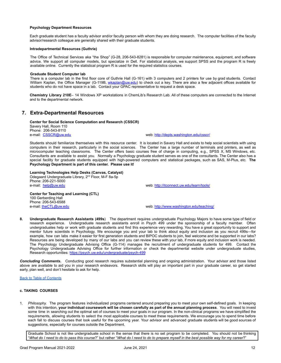### **Psychology Department Resources**

Each graduate student has a faculty advisor and/or faculty person with whom they are doing research. The computer facilities of the faculty advisor/research colleague are generally shared with their graduate students.

### **Intradepartmental Resources (Guthrie)**

The Office of Technical Services aka "the Shop" (G-28, 206-543-8281) is responsible for computer maintenance, equipment, and software advice. We support all computer models, but specialize in Dell. For statistical analysis, we support SPSS and the program R is freely available online. Currently the statistical program R is used for the required statistics courses.

### **Graduate Student Computer lab**

There is a computer lab in the first floor core of Guthrie Hall (G-161) with 3 computers and 2 printers for use by grad students. Contact William Kaplan, the Office Manager (G-119B, [wkaplan@uw.edu](mailto:wkaplan@uw.edu)) to check out a key. There are also a few adjacent offices available for students who do not have space in a lab. Contact your GPAC representative to request a desk space.

**Chemistry Library 210E**– 14 Windows XP workstations in ChemLib's Research Lab. All of these computers are connected to the Internet and to the departmental network.

### **7. Extra-Departmental Resources**

**Center for Social Science Computation and Research (CSSCR)** Savery Hall, Room 110 Phone: 206-543-8110<br>e-mail: CSSCR@uw.edu

web: <http://depts.washington.edu/csscr/>

Students should familiarize themselves with this resource center. It is located in Savery Hall and exists to help social scientists with using computers in their research, particularly in the social sciences. The Center has a large number of terminals and printers, as well as microcomputer teaching classrooms. The Center offers basic courses free of charge in computing, e.g., SPSS X, MS Windows, etc. Consultants are available to assist you. Normally a Psychology graduate student serves as one of the consultants. The Center also has a special facility for graduate students equipped with high-powered computers and statistical packages, such as SAS, M-Plus, etc. **The Psychology Department is part of this center. Please use it!**

**Learning Technologies Help Desks (Canvas, Catalyst)** Odegaard Undergraduate Library, 2<sup>nd</sup> Floor, M-F 8a-5p Phone: 206-221-5000 e-mail: [help@uw.edu](mailto:help@uw.edu) web: <http://itconnect.uw.edu/learn/tools/>

**Center for Teaching and Learning (CTL)** 100 Gerberding Hall Phone: 206-543-6588<br>e-mail: the CTL@uw.edu

web: <http://www.washington.edu/teaching/>

**8. Undergraduate Research Assistants (499s**) The department requires undergraduate Psychology Majors to have some type of field or research experience. Undergraduate research assistants enroll in Psych 499 under the sponsorship of a faculty member. Often undergraduates help or work with graduate students and find this experience very rewarding. You have a great opportunity to support and mentor future scientists in Psychology. We encourage you and your lab to think about equity and inclusion as you recruit 499s—for example, how can labs make it easier for first generation students and BIPOC students to join, feel welcome and be supported in our labs? Resources are being developed by many of our labs and you can review these with your lab, if more equity and inclusion work is needed. The Psychology Undergraduate Advising Office (G-114) manages the recruitment of undergraduate students for 499. Contact the Psychology Undergraduate Advising Office for further information or check the departmental website under undergraduate studies, Research opportunities: <https://psych.uw.edu/undergraduate/psych-499>

*Concluding Comments***.** Conducting good research requires substantial planning and ongoing administration. Your advisor and those listed above are available to aid you in your research endeavors. Research skills will play an important part in your graduate career, so get started early, plan well, and don't hesitate to ask for help.

### Back to Table of [Contents](#page-2-0)

### <span id="page-11-0"></span>**c. TAKING COURSES**

1. *Philosophy.* The program features individualized programs centered around preparing you to meet your own self-defined goals. In keeping with this intention, your individual coursework will be chosen carefully as part of the annual planning process. You will need to invest some time in searching out the optimal set of courses to meet your goals in our program. In the non-clinical programs we have simplified the requirements, allowing students to select the most applicable courses to meet these requirements. We encourage you to spend time before each fall to discuss courses that look useful for the upcoming year. Your advisor and advanced graduate students will be good sources of suggestions, especially for courses outside the Department.

Graduate School is not like undergraduate school in the sense that there is no set program to be completed. You should not be thinking "What do I need to do to pass this course?" but rather "What do I need to do to prepare myself in the best possible way for my career?"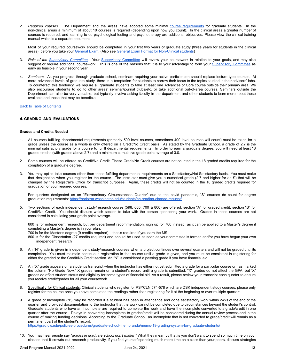2. *Required courses.* The Department and the Areas have adopted some minimal course [requirements](#page-22-0) for graduate students. In the non-clinical areas a minimum of about 10 courses is required (depending upon how you count). In the clinical areas a greater number of courses is required, and learning to do psychological testing and psychotherapy are additional objectives. Please view the clinical training manual which is a separate document.

Most of your required coursework should be completed in your first two years of graduate study (three years for students in the clinical areas), before you take your [General](#page-16-0) Exam. (Also see General Exam Format for [Non-Clinical](#page-17-0) students)

- 3. *Role of the [Supervisory](#page-13-1) Committee.* Your [Supervisory](#page-13-1) Committee will review your coursework in relation to your goals, and may also suggest or require additional coursework. This is one of the reasons that it is to your advantage to form your [Supervisory](#page-13-1) Committee as early as feasible in your second year.
- 4. *Seminars.* As you progress through graduate school, seminars requiring your active participation should replace lecture-type courses. At more advanced levels of graduate study, there is a temptation for students to narrow their focus to the topics studied in their advisors' labs. To counteract this tendency, we require all graduate students to take at least one Advances or Core course outside their primary area. We also encourage students to go to other areas' seminar/journal clubs/etc. or take additional out-of-area courses. Seminars outside the Department can also be very valuable, but typically involve asking faculty in the department and other students to learn more about those available and those that may be beneficial.

Back to Table of [Contents](#page-2-0)

### <span id="page-12-0"></span>**d. GRADING AND EVALUATIONS**

### **Grades and Credits Needed**

- 1. All courses fulfilling departmental requirements (primarily 500 level courses, sometimes 400 level courses will count) must be taken for a grade unless the course as a whole is only offered on a Credit/No Credit basis. As stated by the Graduate School, a grade of 2.7 is the minimal satisfactory grade for a course to fulfill departmental requirements. In order to earn a graduate degree, you will need at least 18 graded credits (with grades above 2.7) and a minimum cumulative grade point average of 3.0.
- 2. Some courses will be offered as Credit/No Credit. These Credit/No Credit courses are not counted in the 18 graded credits required for the completion of a graduate degree.
- 3. You may opt to take courses other than those fulfilling departmental requirements on a Satisfactory/Not Satisfactory basis. You must make that designation when you register for the course. The instructor must give you a numerical grade (2.7 and higher for an S) that will be changed by the Registrar's Office for transcript purposes. Again, these credits will not be counted in the 18 graded credits required for graduation or your required courses.

For quarters designated as an "Extraordinary Circumstances Quarter" due to the covid pandemic, "S" courses do count for degree graduation requirements: <https://registrar.washington.edu/students/ec-grading-change-request/>

5. Two sections of each independent study/research course (598, 600, 700 & 800) are offered; section "A" for graded credit, section "B" for Credit/No Credit. You should discuss which section to take with the person sponsoring your work. Grades in these courses are not considered in calculating your grade point average.

600 is for independent research, but per department recommendation, sign up for 700 instead, as it can be applied to a Master's degree if completing a Master's degree is in your plan.

700 is for the Master's degree (9 credits required) – thesis required if you earn the MS

- 800 is for the Dissertation (27 credits required) and should be used as soon as your committee is formed and/or you have begun your own independent research
- 6. An "N" grade is given in independent study/research courses when a project continues over several quarters and will not be graded until its completion. You must maintain continuous registration in that course until a grade is given, and you must be consistent in registering for either the graded or the Credit/No Credit section. An "N" is considered a passing grade if you have financial aid.
- 7. An "X" grade appears on a student's transcript when the instructor has either not yet submitted a grade for a particular course or has marked the column "No Grade Now." X grades remain on a student's record until a grade is submitted. "X" grades do not affect the GPA, but "X" grades do affect student status and eligibility for some types of financial aid. As a result, please review your transcript each quarter to ensure you receive credit/grades for all your coursework.
- 8. Specifically for Clinical students: Clinical students who register for PSYCLN 574-578 which are DSK independent study courses, please only register for the course once you have completed the readings rather than registering for it at the beginning or over multiple quarters.
- <span id="page-12-1"></span>9. A grade of Incomplete ("I") may be recorded if a student has been in attendance and done satisfactory work within 2wks of the end of the quarter and provided documentation to the instructor that the work cannot be completed due to circumstances beyond the student's control. Graduate students who have an incomplete are required to complete the work and have the incomplete converted to a grade/credit in one quarter after the course. Delays in converting incompletes to grades/credit will be considered during the annual review process and in the course of making funding decisions. According to the Graduate School, an incomplete that is not converted to grade/credit will remain as a permanent part of the student's record:

<https://grad.uw.edu/policies-procedures/graduate-school-memoranda/memo-19-grading-system-for-graduate-students/>

10. You may hear people say "*grades in graduate school don't matter*." What they mean by that is you don't want to spend so much time on your classes that it crowds out research productivity. If you find yourself spending much more time on a class than your peers, discuss strategies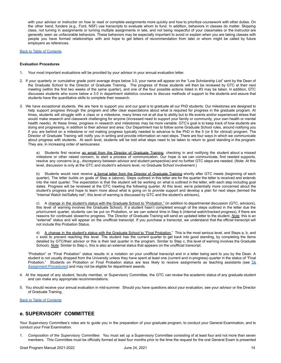with your advisor or instructor on how to read or complete assignments more quickly and how to prioritize coursework with other duties. On the other hand, funders (e.g., Ford, NSF) use transcripts to evaluate whom to fund. In addition, behaviors in classes do matter. Skipping class, not turning in assignments or turning multiple assignments in late, and not being respectful of your classmates or the instructor are generally seen as unfavorable behaviors. These behaviors may be especially important to avoid or explain when you are taking classes with people you have formed relationships with and hope to get letters of recommendation from later or whom might be called by future employers as references.

### Back to Table of [Contents](#page-2-0)

#### <span id="page-13-0"></span>**Evaluation Procedures**

- 1. Your most important evaluations will be provided by your advisor in your annual evaluation letter.
- 2. If your quarterly or cumulative grade point average drops below 3.0, your name will appear on the "Low Scholarship List" sent by the Dean of the Graduate School to the Director of Graduate Training. The progress of those students will then be reviewed by GTC at their next meeting (within the first two weeks of the same quarter), and one of the four possible actions listed in #3 may be taken. In addition, GTC discusses students who score below a 3.0 in department statistics courses to discuss methods of support to the students and assure that students have the quantitative skills to complete their research.
- 3. We have exceptional students. We are here to support you and our goal is to graduate all our PhD students. Our milestones are designed to help support progress through the program and offer clear expectations about what is required for progress in the graduate program. At times, students will struggle with a class or a milestone, many times not at all due to ability but to life events and/or experienced stress that would make research and classwork challenging for anyone (increased need to support your family or community, your own health or mental health needs). At these times, progress in research and milestones may be more variable. GTC's goal is to keep track of how students are doing and progressing, in addition to their advisor and area. Our Department has to follow some Graduate School rules, around notifying you if you are behind on a milestone or not making progress typically needed to advance to the PhD in the 5 (or 6 for clinical) program. The Director of Graduate Training will notify you in writing and provide information on next steps. There are four ways in which we communicate about progress with students. At each level, students will be told what steps need to be taken to return to good standing in the program. They are, in increasing order of seriousness:

a) Students first receive an email from the Director of Graduate Training, checking in and notifying the student about a missed milestone or other raised concern, to start a process of communication. Our hope is we can communicate, find needed supports, resolve any concerns (e.g., discrepancy between advisor and student perspective) and no further GTC steps are needed. (Note: At this level, discussion is only at the GTC and student's advisors level, no Graduate School involvement.)

b) Students would next receive a formal letter from the Director of Graduate Training shortly after GTC meets (beginning of each quarter). The letter builds on goals of Step a (above). Steps outlined in this letter are for the quarter the letter is received and extends into the next quarter. The expectation is that the student will be working on what is outlined in the letter, with each step including goal dates. Progress will be reviewed at the GTC meeting the following quarter. At this level, we're potentially more concerned about the student's progress and hope to learn more about what is going on to provide support and develop a plan for next steps (termed the "Internal Watch list/Safety net"; this level of warning is discussed by GTC and the student's advisors),

c) A change in the student's status with the Graduate School to "Probation." (in addition to departmental discussion (GTC, advisors), this level of warning involves the Graduate School). If a student hasn't completed enough of the steps outlined in the letter due the prior/current quarter, students can be put on Probation, or we can extend time in Step b (internal watch/tracked progress), if there are reasons for continued slower/no progress. The Director of Graduate Training will send an updated letter to the student. *Note*: this is an "external" status and will appear on the unofficial transcript. If you purchase a transcript, we understand that the official transcript will not include this Probation Status.

d) A change in the student's status with the Graduate School to "Final Probation." This is the most serious level, and Steps a, b, and c exist to prevent reaching this level. The student has the current quarter to get back into good standing, by completing the items detailed by GTC/their advisor or this is their last quarter in the program. Similar to Step c, this level of warning involves the Graduate School). *Note*: Similar to Step c, this is also an external status that appears on the unofficial transcript.

"Probation" or "Final Probation" status results in a notation on your unofficial transcript and in a letter being sent to you by the Dean. A student is not usually dropped from the University unless they have spent at least one (current and in-progress) quarter in the status of "Final Probation." Students on Probation or Final Probation status are less likely to receive assignments as teaching assistants (see  $TA$ [Assignment](#page-35-0) Procedures) and may not be eligible for department awards.

- 4. At the request of any student, faculty member, or Supervisory Committee, the GTC can review the academic status of any graduate student and can make any appropriate recommendations.
- 5. You should receive your annual evaluation in mid-summer. Should you have questions about your evaluation, see your advisor or the Director of Graduate Training.

Back to Table of [Contents](#page-2-0)

### <span id="page-13-1"></span>**e. SUPERVISORY COMMITTEE**

Your Supervisory Committee's roles are to guide you in the preparation of your graduate program, to conduct your General Examination, and to conduct your Final Examination.

1. *Composition of the Supervisory Committee*: You must set up a Supervisory Committee consisting of at least four and not more than seven members. This Committee must be officially formed at least four months prior to the time the request for the oral General Exam is presented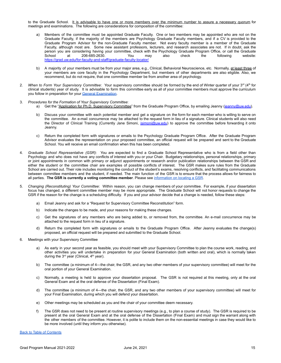to the Graduate School. It is advisable to have one or more members over the minimum number to assure a necessary quorum for meetings and examinations. The following are considerations for composition of the committee:

- a) Members of the committee must be appointed Graduate Faculty. One or two members may be appointed who are not on the Graduate Faculty, if the majority of the members are Psychology Graduate Faculty members, and if a CV is provided to the Graduate Program Advisor for the non-Graduate Faculty member. Not every faculty member is a member of the Graduate Faculty, although most are. Some new assistant professors, lecturers, and research associates are not. If in doubt, ask the person you are considering having your committee, check with the Psychology Graduate Program Office, or call the Graduate School at 206-685-2630. You may also check the following website: <https://grad.uw.edu/for-faculty-and-staff/graduate-faculty-locator/>
- b) A majority of your members must be from your major area, e.g., Clinical, Behavioral Neuroscience, etc. Normally, at least three of your members are core faculty in the Psychology Department, but members of other departments are also eligible. Also, we recommend, but do not require, that one committee member be from another area of psychology.
- 2. When to Form Your Supervisory Committee: Your supervisory committee should be formed by the end of Winter quarter of your 3<sup>rd</sup> (4<sup>th</sup> for clinical students) year of study. It is advisable to form this committee early as all of your committee members must approve the curriculum you follow in preparation for your General [Examination](#page-16-0).
- 3. *Procedures for the Formation of Your Supervisory Committee*:
	- a) Get the "Application for Ph.D. Supervisory Committee" from the Graduate Program Office, by emailing Jeanny ([jeanny@uw.edu\)](mailto:jeanny@uw.edu).
	- b) Discuss your committee with each potential member and get a signature on the form for each member who is willing to serve on the committee. An e-mail concurrence may be attached to the request form in lieu of a signature. Clinical students will also need the Director of Clinical Training (Currently Jane Simoni, [jsimoni@uw.edu](mailto:resmith@uw.edu)) to approve the committee before forwarding it onto Jeanny.
	- c) Return the completed form with signatures or emails to the Psychology Graduate Program Office. After the Graduate Program Advisor evaluates the representation on your proposed committee, an official request will be prepared and sent to the Graduate School. You will receive an email confirmation when this has been completed.
- 4. *Graduate School Representative (GSR)*: You are expected to find a Graduate School Representative who is from a field other than Psychology and who does not have any conflicts of interest with you or your Chair. Budgetary relationships, personal relationships, primary or joint appointments in common with primary or adjunct appointments or research and/or publication relationships between the GSR and either the student or the committee chair are examples of possible conflicts of interest. The GSR makes sure rules from the Graduate School are carried out. Their role includes monitoring the conduct of the student's exams, resolving conflicts, and facilitating communications between committee members and the student, if needed. The main function of the GSR is to ensure that the process allows for fairness to all parties. **The GSR is currently a voting committee member**. Please see [information](#page-15-0) on locating a GSR.
- 5. *Changing (Reconstituting) Your Committee*: Within reason, you can change members of your committee. For example, if your dissertation focus has changed, a different committee member may be more appropriate. The Graduate School will not honor requests to change the GSR if the reason for the change is a scheduling difficulty. If you and your advisor decide that a change is needed, follow these steps:
	- a) Email Jeanny and ask for a "Request for Supervisory Committee Reconstitution" form.
	- b) Indicate the changes to be made, and your reasons for making these changes.
	- c) Get the signatures of any members who are being added to, or removed from, the committee. An e-mail concurrence may be attached to the request form in lieu of a signature.
	- d) Return the completed form with signatures or emails to the Graduate Program Office. After Jeanny evaluates the change(s) proposed, an official request will be prepared and submitted to the Graduate School.
- 6. Meetings with your Supervisory Committee
	- As early in your second year as feasible, you should meet with your Supervisory Committee to plan the course work, reading, and other activities you will undertake in preparation for your General Examination (both written and oral), which is normally taken during the 3<sup>rd</sup> year (Clinical, 4<sup>th</sup> year).
	- b) The committee (a minimum of 4—the chair, the GSR, and any two other members of your supervisory committee) will meet for the oral portion of your General Examination.
	- c) Normally, a meeting is held to approve your dissertation proposal. The GSR is not required at this meeting, only at the oral General Exam and at the oral defense of the Dissertation (Final Exam).
	- d) The committee (a minimum of 4—the chair, the GSR, and any two other members of your supervisory committee) will meet for your Final Examination, during which you will defend your dissertation.
	- e) Other meetings may be scheduled as you and the chair of your committee deem necessary.
	- f) The GSR does not need to be present at routine supervisory meetings (e.g., to plan a course of study). The GSR is required to be present at the oral General Exam and at the oral defense of the Dissertation (Final Exam) and must sign the warrant along with the other members of the committee. However, it is polite to include them on the non-essential meetings in case they would like to be more involved (until they inform you otherwise).

Back to Table of [Contents](#page-2-0)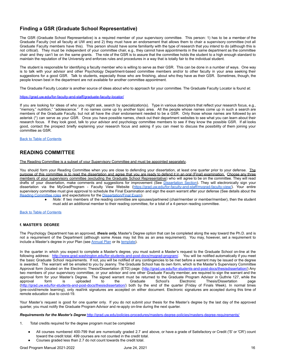### <span id="page-15-0"></span>**Finding a GSR (Graduate School Representative)**

The GSR (Graduate School Representative) is a required member of your supervisory committee. This person: 1) has to be a member of the Graduate Faculty (not all faculty at UW are) and 2) they must have an endorsement that allows them to chair a supervisory committee (not all Graduate Faculty members have this). This person should have some familiarity with the type of research that you intend to do (although this is not critical). They must be independent of your committee chair, e.g., they cannot have appointments in the same department as the committee chair and they can't be on the same grants. The role of the GSR is to assure that the committee holds the student to a high enough standard to maintain the reputation of the University and enforces rules and procedures in a way that is totally fair to the individual student.

The student is responsible for identifying a faculty member who is willing to serve as their GSR. This can be done in a number of ways. One way is to talk with your advisor and other Psychology Department-based committee members and/or to other faculty in your area seeking their suggestions for a good GSR. Talk to students, especially those who are finishing, about who they have as their GSR. Sometimes, though, the people known best in the department are not available for another committee appointment.

The Graduate Faculty Locator is another source of ideas about who to approach for your committee. The Graduate Faculty Locator is found at:

### <https://grad.uw.edu/for-faculty-and-staff/graduate-faculty-locator/>

If you are looking for ideas of who you might ask, search by specialization(s). Type in various descriptors that reflect your research focus, e.g., "memory," nutrition," "adolescence." If no names come up try another topic area. All the people whose names come up in such a search are members of the Graduate Faculty, but not all have the chair endorsement needed to be a GSR. Only those whose names are followed by an asterisk (\*) can serve as your GSR. Once you have possible names, check out their department websites to see what you can learn about their research focus. If they look good, talk to your advisor and psychology committee members to see if they know the possible GSR. If all looks good, contact the prospect briefly explaining your research focus and asking if you can meet to discuss the possibility of them joining your committee as GSR.

Back to Table of [Contents](#page-2-0)

### <span id="page-15-1"></span>**READING COMMITTEE**

The Reading Committee is a subset of your Supervisory Committee and must be appointed separately.

You should form your Reading Committee when you are close to defending your dissertation, at least one quarter prior to your defense. The purpose of this committee is to read the dissertation and agree that you are ready to defend it in an oral (Final) examination. Choose any three members of your supervisory committee (excluding the Graduate School Representative) who will agree to be on the committee. They will read drafts of your dissertation, make comments and suggestions for improvement (See [Dissertation](#page-18-0) Section). They will electronically sign your dissertation via the MyGradProgram - Faculty View Website ([https://grad.uw.edu/for-faculty-and-staff/mygrad-faculty-view/\)](https://grad.uw.edu/for-faculty-and-staff/mygrad-faculty-view/). Your entire supervisory committee must give approval to schedule the Final Examination and sign the exam warrant after your defense (See details about the Reading [Committee](#page-15-1) roles and expectations for the [Dissertation/Final](#page-18-0) Exam).

Note: If two members of the reading committee are spouses/partnered (chair/member or member/member), then the student must add an additional member to their reading committee, for a total of a 4-person reading committee.

Back to Table of [Contents](#page-2-0)

### <span id="page-15-2"></span>**f. MASTER'S DEGREE**

The Psychology Department has an approved, *thesis only,* Master's Degree option that can be completed along the way toward the Ph.D. and is not a requirement of the Department (although some Areas may list this as an area requirement). You may, however, set a requirement to include a Master's degree in your Plan (see [Annual](#page-9-0) Plan or its [template\)](#page-44-0).

In the quarter in which you expect to complete a Master's degree, you must submit a Master's request to the Graduate School on-line at the following address: <http://www.grad.washington.edu/for-students-and-post-docs/mygrad-program/>. You will be notified automatically if you meet the basic Graduate School requirements. If not, you will be notified of any contingencies to be met before a warrant may be issued or the degree is awarded. The warrant will be emailed to you by Jeanny. The Graduate School has its own form, which is the Master's Supervisory Committee Approval form (located on the Electronic Thesis/Dissertation (ETD) page: [\(http://grad.uw.edu/for-students-and-post-docs/thesisdissertation/\)](http://grad.uw.edu/for-students-and-post-docs/thesisdissertation/) Any two members of your supervisory committee, or your advisor and one other Graduate Faculty member, are required to sign the warrant and the approval form for your Master's Degree. The signed warrant must be returned to the Graduate Program Advisor in Guthrie 127, while the approval form is uploaded to the Graduate School's Electronic Thesis/Dissertation page form is uploaded to the Graduate School's Electronic Thesis/Dissertation page (<http://grad.uw.edu/for-students-and-post-docs/thesisdissertation/>) both by the end of the quarter (Friday of Finals Week). In normal times (pre-covid/remote learning), only real/ink signatures are accepted on either document. Electronic signatures are accepted during this time of remote education due to covid-19.

Your Master's request is good for one quarter only. If you do not submit your thesis for the Master's degree by the last day of the approved quarter, you must notify the Graduate Program Advisor and re-apply on-line during the next quarter.

*Requirements for the Master's Degree* <http://grad.uw.edu/policies-procedures/masters-degree-policies/masters-degree-requirements/>

- 1. Total credits required for the degree program must be completed
	- All courses numbered 400-799 that are numerically graded 2.7 and above, or have a grade of Satisfactory or Credit ('S' or 'CR') count toward the credit total. 499 courses are not counted in the credit total. Courses graded less than 2.7 do not count towards the credit total.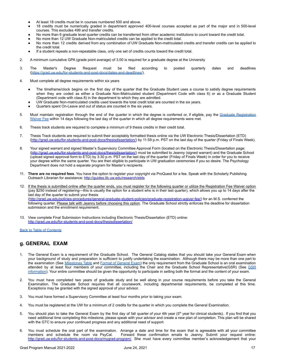- At least 18 credits must be in courses numbered 500 and above.
- 18 credits must be numerically graded in department approved 400-level courses accepted as part of the major and in 500-level courses. This excludes 499 and transfer credits.
- No more than 6 graduate level quarter credits can be transferred from other academic institutions to count toward the credit total.
- No more than 12 UW Graduate Non-matriculated credits can be applied to the credit total.
- No more than 12 credits derived from any combination of UW Graduate Non-matriculated credits and transfer credits can be applied to the credit total.
- If a student repeats a non-repeatable class, only one set of credits counts toward the credit total.
- 2. A minimum cumulative GPA (grade point average) of 3.00 is required for a graduate degree at the University
- 3. The Master's Degree Request must be filed according to posted quarterly dates and deadlines [\(https://grad.uw.edu/for-students-and-post-docs/dates-and-deadlines/](https://grad.uw.edu/for-students-and-post-docs/dates-and-deadlines/)).
- 4. Must complete all degree requirements within six years
	- The timeframe/clock begins on the first day of the quarter that the Graduate Student uses a course to satisfy degree requirements when they are coded as either a Graduate Non-Matriculated student (Department Code with class 6) or as a Graduate Student (Department code with class 8) in the department to which they are admitted.
	- UW Graduate Non-matriculated credits used towards the total credit total are counted in the six years.
	- Quarters spent On-Leave and out of status are counted in the six years.
- 5. Must maintain registration through the end of the quarter in which the degree is conferred or, if eligible, pay the Graduate [Registration](https://grad.uw.edu/policies-procedures/general-graduate-student-policies/graduate-registration-waiver-fee/) [Waiver](https://grad.uw.edu/policies-procedures/general-graduate-student-policies/graduate-registration-waiver-fee/) Fee within 14 days following the last day of the quarter in which all degree requirements were met.
- 6. Thesis track students are required to complete a minimum of 9 thesis credits in their credit total.
- 7. Thesis Track students are required to submit their acceptably formatted thesis online via the UW Electronic Thesis/Dissertation (ETD) [\(http://grad.uw.edu/for-students-and-post-docs/thesisdissertation/\)](http://grad.uw.edu/for-students-and-post-docs/thesisdissertation/) by 11:59 p.m. PST on the last day of the quarter (Friday of Finals Week).
- 8. Your signed warrant and signed Master's Supervisory Committee Approval Form (located on the Electronic Thesis/Dissertation page: [\(http://grad.uw.edu/for-students-and-post-docs/thesisdissertation/\)](http://grad.uw.edu/for-students-and-post-docs/thesisdissertation/) must be submitted to Jeanny (signed warrant) and the Graduate School (upload signed approval form to ETD) by 3:30 p.m. PST on the last day of the quarter (Friday of Finals Week) in order for you to receive your degree within the same quarter. You are then eligible to participate in UW graduation ceremonies if you so desire. The Psychology Department does not hold a separate program for Master's recipients.
- 11. **There are no required fees**. You have the option to register your copyright via ProQuest for a fee. Speak with the Scholarly Publishing Outreach Librarian for assistance: <http://guides.lib.uw.edu/research/etds>
- 12. If the thesis is submitted online after the quarter ends, you must register for the following quarter or utilize the Registration Fee Waiver option (pay \$250 instead of registering—this is usually the option for a student who is in their last quarter), which allows you up to 14 days after the last day of the quarter to submit your thesis ([http://grad.uw.edu/policies-procedures/general-graduate-student-policies/graduate-registration-waiver-fee/\)](http://grad.uw.edu/policies-procedures/general-graduate-student-policies/graduate-registration-waiver-fee/) for an M.S. conferred the following quarter. Please talk with Jeanny before choosing this option. The Graduate School strictly enforces the deadline for dissertation submission and the enrollment requirement.
- 13. View complete Final Submission Instructions including Electronic Thesis/Dissertation (ETD) online: <http://grad.uw.edu/for-students-and-post-docs/thesisdissertation/>

Back to Table of [Contents](#page-2-0)

### <span id="page-16-0"></span>**g. GENERAL EXAM**

- 1. The General Exam is a requirement of the Graduate School. The General Catalog states that you should take your General Exam when your background of study and preparation is sufficient to justify undertaking the examination. Although there may be more than one part to the examination (See [Milestones](#page-3-1) Table and Format of [General](#page-17-0) Exam) the only requirement from the Graduate School is an oral examination attended by at least four members of your committee, including the Chair and the Graduate School Representative([GSR](#page-15-0)) (See GSR [information\)](#page-15-0). Your entire committee should be given the opportunity to participate in setting both the format and the content of your exam.
- 2. You must have completed two years of graduate study and be well along in your course requirements before you take the General Examination. The Graduate School requires that all coursework, including departmental requirements, be completed at this time. Exceptions may be granted with the signed approval of your advisor.
- 3. You must have formed a Supervisory Committee at least four months prior to taking your exam.
- 4. You must be registered at the UW for a minimum of 2 credits for the quarter in which you complete the General Examination.
- 5. You should plan to take the General Exam by the first day of fall quarter of your 4th year  $(5<sup>th</sup>)$  year for clinical students). If you find that you need additional time completing this milestone, please speak with your advisor and create a new plan of completion. This plan will be shared with the GTC to ensure your continued progress and any additional need of support.
- 6. You must schedule the oral part of the examination. Arrange a date and time for the exam that is agreeable with all your committee members and schedule the room via PsyCal. Forward these confirmation emails to Jeanny. Submit your request online: [http://grad.uw.edu/for-students-and-post-docs/mygrad-program/.](http://grad.uw.edu/for-students-and-post-docs/mygrad-program/) She must have every committee member's acknowledgement that your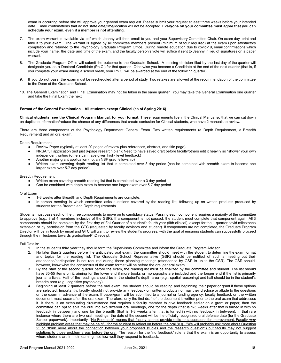exam is occurring before she will approve your general exam request. Please submit your request at least three weeks before your intended date. Email confirmations that do not state date/time/location will not be accepted. **Everyone on your committee must agree that you can schedule your exam, even if a member is not attending.**

- 7. The exam warrant is available via pdf which Jeanny will then email to you and your Supervisory Committee Chair. On exam day, print and take it to your exam. The warrant is signed by all committee members present (minimum of four required) at the exam upon satisfactory completion and returned to the Psychology Graduate Program Office. During remote education due to covid-19, email confirmations which include your name, the date and time of the exam, and the faculty person's vote will suffice if sent to Jeanny in lieu of signatures on a paper warrant.
- 8. The Graduate Program Office will submit the outcome to the Graduate School. A passing decision filed by the last day of the quarter will designate you as a Doctoral Candidate (Ph.C.) for that quarter. Otherwise you become a Candidate at the end of the next quarter (that is, if you complete your exam during a school break, your Ph.C. will be awarded at the end of the following quarter).
- 9. If you do not pass, the exam must be rescheduled after a period of study. Two retakes are allowed at the recommendation of the committee to the Dean of the Graduate School.
- 10. The General Examination and Final Examination may not be taken in the same quarter. You may take the General Examination one quarter and take the Final Exam the next.

### <span id="page-17-0"></span>**Format of the General Examination – All students except Clinical (as of Spring 2016)**

**Clinical students, see the Clinical Program Manual, for your format.** These requirements live in the Clinical Manual so that we can cut down on duplicate information/reduce the chance of any differences that create confusion for Clinical students, who have 2 manuals to review.

There are three components of the Psychology Department General Exam. Two written requirements (a Depth Requirement, a Breadth Requirement) and an oral exam.

Depth Requirement

- Review Paper (typically at least 20 pages of review plus references, abstract, and title page)
- NRSA full application (not just 6-page research plan); Need to have saved draft before faculty/others edit it heavily so "shows" your own independent writing (others can have given high- level feedback)
- Another major grant application (not an NSF grad fellowship)
- Written exam covering depth reading list that is completed over 3 day period (can be combined with breadth exam to become one larger exam over 5-7 day period)

### Breadth Requirement

- Written exam covering breadth reading list that is completed over a 3 day period
- Can be combined with depth exam to become one larger exam over 5-7 day period

### Oral Exam

- 1-3 weeks after Breadth and Depth Requirements are complete.
- In-person meeting in which committee asks questions covered by the reading list, following up on written products produced by students for the Breadth and Depth requirements.

Students must pass each of the three components to move on to candidacy status. Passing each component requires a majority of the committee to approve (e.g., 3 of 4 members inclusive of the GSR). If a component is not passed, the student must complete that component again. All 3 components should be complete by the first day of Fall Quarter of a student's fourth year (fifth clinical), except for the 1-quarter covid milestones extension or by permission from the GTC (requested by faculty advisors and student). If components are not completed, the Graduate Program Director will be in touch by email and GTC will want to review the student's progress, with the goal of ensuring students can successfully proceed through the milestones towards graduation/PhD receipt.

Full Details:

- 1. In the student's third year they should form the Supervisory Committee and inform the Graduate Program Advisor.
- 2. No later than 2 quarters before the anticipated oral exam, the committee should meet with the student to determine the exam format and topics for the reading list. The Graduate School Representative (GSR) should be notified of such a meeting but their attendance/participation is not required during these planning meetings (attendance by GSR is up to the GSR). The GSR should, however, know what the consensus of the exam format will be before the oral general exam.
- 3. By the start of the second quarter before the exam, the reading list must be finalized by the committee and student. The list should have 35-55 items on it, aiming for the lower end if more books or monographs are included and the longer end if the list is primarily journal articles. Half of the readings should be in the student's depth area (e.g., spatial reasoning) and half should be in the student's breadth area (e.g., cognitive psychology).
- 4. Beginning at least 2 quarters before the oral exam, the student should be reading and beginning their paper or grant if those options are selected. Importantly, faculty should not provide any feedback on written products nor may they disclose or allude to the questions on the exam in advance of the exam. If paper/grant will be submitted to a journal or funding agency, faculty feedback on the written document must occur after the oral exam. Therefore, only the first draft of the document is written prior to the oral exam that addresses it. If there is an extenuating circumstance that requires a faculty member to give feedback earlier on a grant or paper, then the committee can opt to split the oral into two different oral meetings, one for the depth (that is 1-3 weeks after that is turned in with no feedback in between) and one for the breadth (that is 1-3 weeks after that is turned in with no feedback in between). In that rare instance where there are two oral meetings, the date of the second will be the officially recognized oral defense date (for the Graduate School paperwork). Importantly, "No Feedback" means that faculty cannot provide edits or suggestions for improvement. Faculty *may* highlight problem areas that may be helpful for the student to reflect on before the oral (e.g., "We will probably ask more about Question 2" or "think more about the connection between your proposed studies and the research question") but faculty may not suggest solutions to those problem areas before the oral. The reason for the "no feedback" rule is that the exam is an opportunity to assess where students are in their learning, not how well they respond to feedback.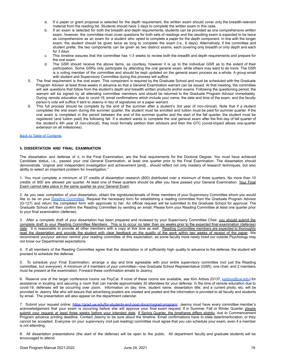- a. If a paper or grant proposal is selected for the depth requirement, the written exam should cover only the breadth-relevant material from the reading list. Students should have 3 days to complete the written exam in this case.
- If an exam is selected for both the breadth and depth requirements, students can be provided as one comprehensive written exam, however, the committee must cover questions for both sets of readings and the resulting exam is expected to be twice as comprehensive as an exam for a student who opted to complete a paper for the depth component. In line with the longer exam, the student should be given twice as long to complete the exam (i.e., 6 days). Alternatively, if the committee and student prefer, the two components can be given as two distinct exams, each covering only breadth or only depth and each for 3 days.
- c. This timeline assures that the committee has 1-3 weeks to review both the breadth and depth requirements and prepare for the oral exam.
- d. The GSR should receive the above items, as courtesy, however it is up to the individual GSR as to the extent of their participation. Some GSRs only participate by attending the oral general exam, while others may want to do more. The GSR is a voting member of the committee and should be kept updated on the general exam process as a whole. A group email with student and Supervisory Committee during this process will suffice.
- 5. The final requirement is the oral exam. This component is required by the Graduate School and must be scheduled with the Graduate Program Advisor at least three weeks in advance so that a General Examination warrant can be issued. At that meeting, the committee will ask questions that follow from the student's depth and breadth written products and/or exams. Following the questioning period, the warrant will be signed by all attending committee members and should be returned to the Graduate Program Advisor immediately. During remote education due to covid-19, email confirmations which include your name, the date and time of the exam, and the faculty person's vote will suffice if sent to Jeanny in lieu of signatures on a paper warrant.
- 6. This full process should be complete by the end of the summer after a student's 3rd year (if non-clinical). Note that if a student completes the oral exam during the summer quarter, the student must be enrolled and tuition must be paid for summer quarter. If the oral exam is completed in the period between the end of the summer quarter and the start of the fall quarter, the student must be registered (and tuition paid) the following fall. If a student wants to complete the oral general exam after the first day of fall quarter of the student's 4th year (if non-clinical), they must formally petition their advisors and then the GTC (covid-impact allows one-quarter extension on all milestones).

### Back to Table of [Contents](#page-2-0)

### <span id="page-18-0"></span>**h. DISSERTATION AND FINAL EXAMINATION**

The dissertation and defense of it, in the Final Examination, are the final requirements for the Doctoral Degree. You must have achieved Candidate status, i.e., passed your oral General Examination, at least one quarter prior to the Final Examination. The dissertation should demonstrate "original and independent investigation and achievement [and]... should reflect not only mastery of research techniques, but also ability to select an important problem for investigation."

1. You must complete a minimum of 27 credits of dissertation research (800) distributed over a minimum of three quarters. No more than 10 credits of 800 are allowed per quarter. At least one of these quarters should be after you have passed your General Examination. Your Final Exam cannot take place in the same quarter as your General Exam.

2. As you near completion of your dissertation, obtain the signatures/emails of three members of your Supervisory Committee whom you would like to be on your Reading [Committee.](#page-15-1) Request the necessary form for establishing a reading committee from the Graduate Program Advisor (G-127) and return the completed form with approvals to her. An official request will be submitted to the Graduate School for approval. The Graduate School will then confirm the Reading Committee by sending an email. Please form your Reading Committee at least one quarter prior to your final examination (defense).

3. After a complete draft of your dissertation has been prepared and reviewed by your Supervisory Committee Chair, you should submit the complete draft to your Reading Committee Members. This is to occur no later than six weeks prior to the expected final examination (defense) date. It is reasonable to provide all other members with a copy at this time as well. Reading Committee members are expected to thoroughly read the dissertation and provide the student with clear feedback on the quality of the work within two weeks of receipt of the paper. We recommend you/your advisor remind your reading committee of this expectation, as some faculty more newly hired our outside Psychology may not know our Departmental expectations.

4. If all members of the Reading Committee agree that the dissertation is of sufficiently high quality to advance to the defense, the student will proceed to schedule the defense.

5. To schedule your Final Examination, arrange a day and time agreeable with your entire supervisory committee (not just the Reading committee, but everyone). A minimum of 4 members of your committee—one Graduate School Representative (GSR), one chair, and 2 members must be present at the examination. Forward these confirmation emails to Jeanny.

6. Reserve one of the larger conference rooms via PsyCal. If none of these rooms are available, see Kim Arbios (G137, [karbios@uw.edu](mailto:karbios@uw.edu)) for assistance in locating and securing a room that can handle approximately 30 attendees for your defense. In the time of remote education due to covid-19, defenses will be occurring over zoom. Information on day, time, student name, dissertation title, and a current photo, etc. will be provided to Jeanny Mai who will assure that advertising posters are created and posted and the information is provided to all faculty and students by email. The presentation will also appear on the department calendar.

7. Submit your request online: <https://grad.uw.edu/for-students-and-post-docs/mygrad-program/>. Jeanny must have every committee member's acknowledgement that your exam is occurring before she will approve your final exam request. If in Summer, Fall or Winter Quarter, please submit your request at least three weeks before your intended date. If Spring Quarter, the timeframe differs slightly, due to Commencement Program advance printing deadline. Contact Jeanny to be sure about the timeline. Email confirmations have to state date/time/location, or they cannot be accepted. Everyone on your supervisory (not just reading) committee must agree that you can schedule your exam, even if a member is not attending.

8. All dissertation presentations (the start of the defense) will be open to the public. All department faculty and graduate students will be encouraged to attend.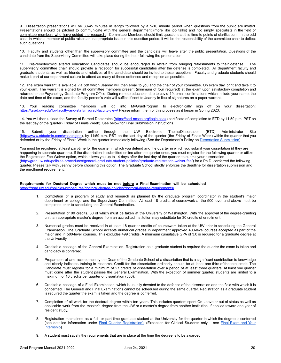9. Dissertation presentations will be 30-45 minutes in length followed by a 5-10 minute period when questions from the public are invited. Presentations should be pitched to communicate with the general department (more like job talks) and not simply specialists in the field or committee members who have guided the research. Committee Members should limit questions at this time to points of clarification. In the odd case in which a member of public raises an inappropriate issue in this question period, it will be the responsibility of the committee chair to deflect such questions.

10. Faculty and students other than the supervisory committee and the candidate will leave after the public presentation. Questions of the candidate from the Supervisory Committee will take place during the hour following the presentation.

11. Pre-remote/covid altered education: Candidates should be encouraged to refrain from bringing refreshments to their defense. The supervisory committee chair should provide a reception for successful candidates after the defense is completed. All department faculty and graduate students as well as friends and relatives of the candidate should be invited to these receptions. Faculty and graduate students should make it part of our department culture to attend as many of these defenses and reception as possible.

12. The exam warrant is available via pdf which Jeanny will then email to you and the chair of your committee. On exam day, print and take it to your exam. The warrant is signed by all committee members present (minimum of four required) at the exam upon satisfactory completion and returned to the Psychology Graduate Program Office. During remote education due to covid-19, email confirmations which include your name, the date and time of the exam, and the faculty person's vote will suffice if sent to Jeanny in lieu of signatures on a paper warrant.

13. Your reading committee members will log into MyGradProgram to electronically sign off on your dissertation: <https://grad.uw.edu/for-faculty-and-staff/mygrad-faculty-view/> Please inform them of this process as it began in Spring 2020.

14. You will then upload the Survey of Earned Doctorates [\(https://sed-ncses.org/login.aspx\)](https://sed-ncses.org/login.aspx) certificate of completion to ETD by 11:59 p.m. PST on the last day of the quarter (Friday of Finals Week). See below for Final Submission instructions.

15. Submit your dissertation online through the UW Electronic Thesis/Dissertation (ETD) Administrator Site ([http://www.etdadmin.com/washington\)](http://www.etdadmin.com/washington), by 11:59 p.m. PST on the last day of the quarter (the Friday of Finals Week) within the quarter that you defended or by the Friday of Finals Week in the quarter immediately following (See the Department's Policy on [Dissertation](#page-20-0) Submission).

You must be registered at least part-time for the quarter in which you defend and the quarter in which you submit your dissertation (if they are happening in separate quarters). If the dissertation is submitted online after the quarter ends, you must register for the following quarter or utilize the Registration Fee Waiver option, which allows you up to 14 days after the last day of the quarter, to submit your dissertation ([http://grad.uw.edu/policies-procedures/general-graduate-student-policies/graduate-registration-waiver-fee/\)](http://grad.uw.edu/policies-procedures/general-graduate-student-policies/graduate-registration-waiver-fee/) for a Ph.D. conferred the following quarter. Please talk with Jeanny before choosing this option. The Graduate School strictly enforces the deadline for dissertation submission and the enrollment requirement.

### **Requirements for Doctoral Degree which must be met before a Final Examination will be scheduled** <https://grad.uw.edu/policies-procedures/doctoral-degree-policies/doctoral-degree-requirements/>

- 1. Completion of a program of study and research as planned by the graduate program coordinator in the student's major department or college and the Supervisory Committee. At least 18 credits of coursework at the 500 level and above must be completed prior to scheduling the General Examination.
- 2. Presentation of 90 credits, 60 of which must be taken at the University of Washington. With the approval of the degree-granting unit, an appropriate master's degree from an accredited institution may substitute for 30 credits of enrollment.
- 3. Numerical grades must be received in at least 18 quarter credits of coursework taken at the UW prior to scheduling the General Examination. The Graduate School accepts numerical grades in department approved 400-level courses accepted as part of the major and in 500-level courses. This excludes 499 credits. A minimum cumulative GPA of 3.0 is required for a graduate degree at the University.
- 4. Creditable passage of the General Examination. Registration as a graduate student is required the quarter the exam is taken and candidacy is conferred.
- 5. Preparation of and acceptance by the Dean of the Graduate School of a dissertation that is a significant contribution to knowledge and clearly indicates training in research. Credit for the dissertation ordinarily should be at least one-third of the total credit. The Candidate must register for a minimum of 27 credits of dissertation over a period of at least three quarters. At least one quarter must come after the student passes the General Examination. With the exception of summer quarter, students are limited to a maximum of 10 credits per quarter of dissertation (800).
- 6. Creditable passage of a Final Examination, which is usually devoted to the defense of the dissertation and the field with which it is concerned. The General and Final Examinations cannot be scheduled during the same quarter. Registration as a graduate student is required the quarter the exam is taken and the degree is conferred.
- 7. Completion of all work for the doctoral degree within ten years. This includes quarters spent On-Leave or out of status as well as applicable work from the master's degree from the UW or a master's degree from another institution, if applied toward one year of resident study.
- 8. Registration maintained as a full- or part-time graduate student at the University for the quarter in which the degree is conferred (see detailed information under Final Quarter [Registration\).](#page-20-0) (Exception for Clinical Students only – see Final [Exam](#page-20-1) and Your [Internship](#page-20-1))
- 9. A student must satisfy the requirements that are in place at the time the degree is to be awarded.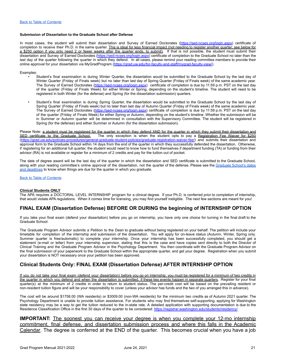### <span id="page-20-0"></span>**Submission of Dissertation to the Graduate School after Defense**

In most cases, the student will submit their dissertation and Survey of Earned Doctorates [\(https://sed-ncses.org/login.aspx\)](https://sed-ncses.org/login.aspx) certificate of completion to receive their Ph.D. in the same quarter. This is ideal for less financial impact (not needing to register another quarter; see below for a \$250 option if you only need 2 or fewer weeks after the quarter ends, to submit). If that is not possible, the student must submit their dissertation and Survey of Earned Doctorates [\(https://sed-ncses.org/login.aspx\)](https://sed-ncses.org/login.aspx) certificate of completion to the Graduate School no later than the last day of the quarter following the quarter in which they defend. In all cases, please remind your reading committee members to provide their online approval for your dissertation via MyGradProgram [\(https://grad.uw.edu/for-faculty-and-staff/mygrad-faculty-view/](https://grad.uw.edu/for-faculty-and-staff/mygrad-faculty-view/)).

Examples:

- Student's final examination is during Winter Quarter, the dissertation would be submitted to the Graduate School by the last day of Winter Quarter (Friday of Finals week) but no later than last day of Spring Quarter (Friday of Finals week) of the same academic year. The Survey of Earned Doctorates [\(https://sed-ncses.org/login.aspx\)](https://sed-ncses.org/login.aspx) certificate of completion is due by 11:59 p.m. PST on the last day of the quarter (Friday of Finals Week) for either Winter or Spring, depending on the student's timeline. The student will need to be registered in both Winter (for the defense) and Spring (for the dissertation submission) quarters.
- Student's final examination is during Spring Quarter, the dissertation would be submitted to the Graduate School by the last day of Spring Quarter (Friday of Finals week) but no later than last day of Autumn Quarter (Friday of Finals week) of the same academic year. The Survey of Earned Doctorates [\(https://sed-ncses.org/login.aspx\)](https://sed-ncses.org/login.aspx) certificate of completion is due by 11:59 p.m. PST on the last day of the quarter (Friday of Finals Week) for either Spring or Autumn, depending on the student's timeline. Whether the submission will be in Summer or Autumn quarter will be determined in consultation with the Supervisory Committee. The student will be registered in Spring (for the defense) and either Summer or Autumn (for the dissertation submission).

Please Note: a student must be registered for the quarter in which they defend AND for the quarter in which they submit their dissertation and SED certificate to the Graduate School. The only exception is when the student opts to pay a Registration Fee Waiver for \$250 ([https://grad.uw.edu/policies-procedures/general-graduate-student-policies/graduate-registration-waiver-fee/\)](https://grad.uw.edu/policies-procedures/general-graduate-student-policies/graduate-registration-waiver-fee/) and submits their dissertation and approval form to the Graduate School within 14 days from the end of the quarter in which they successfully defended the dissertation. Otherwise, if registering for an additional full quarter, the student would need to know how to fund themselves if department funding (TA) or funding from their advisor (RA) is not available or register for a minimum of 2 credits and pay for the tuition out of pocket.

The date of degree award will be the last day of the quarter in which the dissertation and SED certificate is submitted to the Graduate School, along with your reading committee's online approval of the dissertation, not the quarter of the defense. Please see the [Graduate](https://grad.uw.edu/for-students-and-post-docs/degree-requirements/dates-and-deadlines/) School's dates and [deadlines](https://grad.uw.edu/for-students-and-post-docs/degree-requirements/dates-and-deadlines/) to know when things are due for the quarter in which you graduate.

Back to Table of [Contents](#page-2-0)

### <span id="page-20-1"></span>**Clinical Students ONLY**

The APA requires a DOCTORAL LEVEL INTERNSHIP program for a clinical degree. If your Ph.D. is conferred *prior* to completion of internship, that would violate APA regulations. When it comes time for licensing, you may find yourself ineligible. The next few sections are meant for you!

### **FINAL EXAM (Dissertation Defense) BEFORE OR DURING the beginning of INTERNSHIP OPTION**

If you take your final exam (defend your dissertation) before you go on internship, you have only one choice for turning in the final draft to the Graduate School:

The Graduate Program Advisor submits a Petition to the Dean to graduate without being registered on your behalf. The petition will include your timetable for completion of the internship and submission of the dissertation. You will apply for on-leave status (Autumn, Winter, Spring only. Summer quarter is free/automatic) to complete your internship. Once your internship has been successfully completed, you should get a statement (e-mail or letter) from your internship supervisor, stating that this is the case and have copies sent directly to both the Director of Clinical Training and the Graduate Program Advisor in the Psychology Department. You then coordinate with the Graduate Program Advisor on the final submission of your paperwork to the Graduate School within the appropriate quarter, and get your degree. Registration when you submit your dissertation is NOT necessary once your petition has been approved.

### **Clinical Students Only: FINAL EXAM (Dissertation Defense) AFTER INTERNSHIP OPTION**

If you do not take your final exam (defend your dissertation) before you go on internship, you must be registered for a minimum of two credits in the quarter in which you defend and when the dissertation is submitted, if these two events happen in separate quarters. Register for your final quarter(s) at the minimum of 2 credits in order to return to student status. The per-credit cost will be based on the prevailing resident or non-resident tuition figure and will be your responsibility to cover (unless your advisor has funds and the two of you arranged this in advance).

The cost will be around \$1758.00 (WA residents) or \$3009.00 (non-WA residents) for the minimum two credits as of Autumn 2021 quarter. The Psychology Department is unable to provide tuition assistance. For students who may find themselves self-supporting, applying for Washington state residency may be a way to get the tuition reduced to the in-state rate. A detailed application with supporting documentation is due to the Residence Classification Office in the first 30 days of the quarter to be considered: <https://registrar.washington.edu/students/residency/>

**IMPORTANT:** The soonest you can receive your degree is when you complete your 12-mo internship commitment, final defense, and dissertation submission process and where this falls in the Academic Calendar. The degree is conferred at the END of the quarter. This becomes crucial when you have a job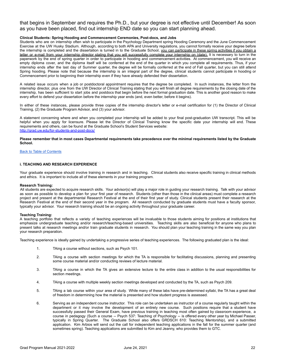that begins in September and requires the Ph.D., but your degree is not effective until December! As soon as you have been placed, find out internship END date so you can start planning ahead.

### <span id="page-21-0"></span>**Clinical Students: Spring Hooding and Commencement Ceremonies, Post-docs, and Jobs**

Students who are on internship often wish to participate in the Psychology Department spring Hooding Ceremony and the June Commencement Exercise at the UW Husky Stadium. Although, according to both APA and University regulations, you cannot formally receive your degree before the internship is completed and the dissertation is turned in to the Graduate School, you can participate in these spring activities if you obtain a letter or e-mail from your internship director stating that you will successfully complete your internship on (date). It is necessary to turn in the paperwork by the end of spring quarter in order to participate in hooding and commencement activities. At commencement, you will receive an empty diploma cover, and the diploma itself will be conferred at the end of the quarter in which you complete all requirements. Thus, if your internship ends after the last day of Summer quarter, the degree will be formally conferred at the end of Fall quarter, but you can still attend Spring hooding. Please note that because the internship is an integral part of the degree, clinical students cannot participate in hooding or Commencement prior to beginning their internship even if they have already defended their dissertation.

A related issue occurs when a job or postdoctoral appointment requires that the degree be completed. In such instances, the letter from the internship director, plus one from the UW Director of Clinical Training stating that you will finish all degree requirements by the closing date of the internship, has been sufficient to start jobs and postdocs that begin before the next formal graduation date. This is another good reason to make every effort to defend your dissertation before the internship year ends (and, even better, before it begins).

In either of these instances, please provide three copies of the internship director's letter or e-mail certification for (1) the Director of Clinical Training, (2) the Graduate Program Advisor, and (3) your advisor.

A statement concerning where and when you completed your internship will be added to your final post-graduation UW transcript. This will be helpful when you apply for licensure. Please let the Director of Clinical Training know the specific date your internship will end. These requirements and others, can be found at the Graduate School's Student Services website: <http://grad.uw.edu/for-students-and-post-docs/>

Please remember that in most cases Departmental requirements take precedence over the minimal requirements listed by the Graduate **School.**

### Back to Table of [Contents](#page-2-0)

### <span id="page-21-1"></span>**i. TEACHING AND RESEARCH EXPERIENCE**

Your graduate experience should involve training in research and in teaching. Clinical students also receive specific training in clinical methods and ethics. It is important to include all of these elements in your training program.

### **Research Training:**

All students are expected to acquire research skills. Your advisor(s) will play a major role in guiding your research training. Talk with your advisor as soon as possible to develop a plan for your first year of research. Students (other than those in the clinical areas) must complete a research project and present at the departmental Research Festival at the end of their first year of study. Clinical students present their research at the Research Festival at the end of their second year in the program. All research conducted by graduate students must have a faculty sponsor, typically your advisor. Your research training should be an ongoing activity throughout your graduate career.

### **Teaching Training:**

A teaching portfolio that reflects a variety of teaching experiences will be invaluable to those students aiming for positions at institutions that emphasize undergraduate teaching and/or research/teaching-based universities. Teaching skills are also beneficial for anyone who plans to present talks at research meetings and/or train graduate students in research. You should plan your teaching training in the same way you plan your research preparation.

Teaching experience is ideally gained by undertaking a progressive series of teaching experiences. The following graduated plan is the ideal:

- 1. TAing a course without sections, such as Psych 101.
- 2. TAing a course with section meetings for which the TA is responsible for facilitating discussions, planning and presenting some course material and/or conducting reviews of lecture material.
- 3. TAing a course in which the TA gives an extensive lecture to the entire class in addition to the usual responsibilities for section meetings.
- 4. TAing a course with multiple weekly section meetings developed and conducted by the TA, such as Psych 209.
- 5. TAing a lab course within your area of study. While many of these labs have pre-determined syllabi, the TA has a great deal of freedom in determining how the material is presented and how student progress is assessed.
- 6. Serving as an independent course instructor. This role can be undertaken as instructor of a course regularly taught within the department or it may involve the development of an entirely new course. Such positions require that a student have successfully passed their General Exam, have previous training in teaching most often gained by classroom experience, a course in pedagogy (Such a course -- Psych 537: Teaching of Psychology -- is offered every other year by Michael Passer, typically in Spring Quarter. The Graduate School also offers GRDSCH 610: Teaching Mentorship), and a submitted application. Kim Arbios will send out the call for independent teaching applications in the fall for the summer quarter (and sometimes spring). Teaching applications are submitted to Kim and Jeanny, who provides them to GTC.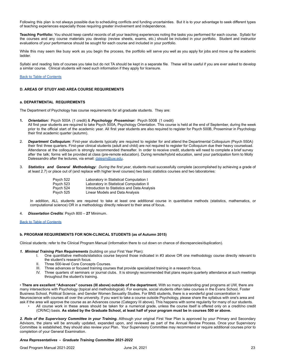Following this plan is not always possible due to scheduling conflicts and funding uncertainties. But it is to your advantage to seek different types of teaching experiences especially those requiring greater involvement and independence.

**Teaching Portfolio:** You should keep careful records of all your teaching experiences noting the tasks you performed for each course. Syllabi for the courses and any course materials you develop (review sheets, exams, etc.) should be included in your portfolio. Student and instructor evaluations of your performance should be sought for each course and included in your portfolio.

While this may seem like busy work as you begin the process, the portfolio will serve you well as you apply for jobs and move up the academic ladder.

Syllabi and reading lists of courses you take but do not TA should be kept in a separate file. These will be useful if you are ever asked to develop a similar course. Clinical students will need such information if they apply for licensure.

### Back to Table of [Contents](#page-2-0)

### **D. AREAS OF STUDY AND AREA COURSE REQUIREMENTS**

### <span id="page-22-0"></span>**a. DEPARTMENTAL REQUIREMENTS**

The Department of Psychology has course requirements for all graduate students. They are:

- **1.** *Orientation:* Psych 500A (1 credit) & *Psychology Proseminar:* Psych 500B (1 credit)
- All first year students are required to take Psych 500A, Psychology Orientation. This course is held at the end of September, during the week prior to the official start of the academic year. All first year students are also required to register for Psych 500B, Proseminar in Psychology their first academic quarter (autumn).
- 2. *Department Colloquium:* First-year students typically are required to register for and attend the Departmental Colloquium (Psych 550A) their first three quarters. First-year clinical students (adult and child) are not required to register for Colloquium due their heavy courseload. Attendance at the colloquium is strongly recommended thereafter. In order to receive credit, students will need to complete a brief survey after the talk; forms will be provided at class (pre-remote education). During remote/hybrid education, send your participation form to Molly Dalessandro after the lectures, via email: [dalesm@uw.edu](mailto:dalesm@uw.edu).
- 3. *Statistics and General Methodology: During the first year*, students must successfully complete (accomplished by achieving a grade of at least 2.7) or place out of (and replace with higher level courses) two basic statistics courses and two laboratories:

| Psych 522 | Laboratory in Statistical Computation I      |
|-----------|----------------------------------------------|
| Psych 523 | Laboratory in Statistical Computation II     |
| Psych 524 | Introduction to Statistics and Data Analysis |
| Psych 525 | Linear Models and Data Analysis              |

In addition, ALL students are required to take at least one additional course in quantitative methods (statistics, mathematics, or computational science) OR in a methodology directly relevant to their area of focus.

4. *Dissertation Credits*: Psych 800 – **27** Minimum.

### Back to Table of [Contents](#page-2-0)

### <span id="page-22-1"></span>**b. PROGRAM REQUIREMENTS FOR NON-CLINICAL STUDENTS (as of Autumn 2015)**

Clinical students: refer to the Clinical Program Manual (information there to cut down on chance of discrepancies/duplication).

### *1. Minimal Training Plan Requirements* (building on your First Year Plan):

- I. One quantitative methods/statistics course beyond those indicated in #3 above OR one methodology course directly relevant to the student's research focus.
- II. Three 500-level Core Concepts Courses.
- III. Three advances or focused training courses that provide specialized training in a research focus.
- IV. Three quarters of seminars or journal clubs. It is strongly recommended that plans require quarterly attendance at such meetings throughout the student's training.

• **There are excellent "Advances" courses (III above) outside of the department.** With so many outstanding grad programs at UW, there are many intersections with Psychology (topical and methodological). For example, social students often take courses in the Evans School, Foster Business School, Political Science, and Gender Women Sexuality Studies. For BNS students, there is a wonderful grad concentration in Neuroscience with courses all over the university. If you want to take a course outside Psychology, please share the syllabus with one's area and ask if the area will approve the course as an Advances course (Category III above). This happens with some regularity for many of our students.

• All course work in these areas should be taken for a numerical grade, unless the course itself is offered only on a credit/no credit (CR/NC) basis. As stated by the Graduate School, at least half of your program must be in courses 500 or above.

*2. Role of the Supervisory Committee in your Training.* Although your original First Year Plan is approved by your Primary and Secondary Advisors, the plans will be annually updated, expanded upon, and reviewed as part of the Annual Review Process. Once your Supervisory Committee is established, they should also review your Plan. Your Supervisory Committee may recommend or require additional courses prior to completion of your General Examination.

### <span id="page-22-2"></span>*Area Representatives - Graduate Training Committee 2021-2022*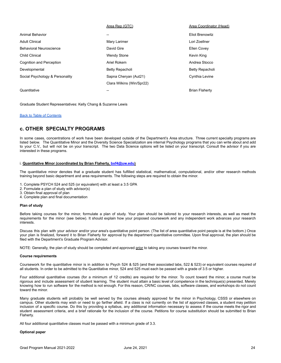|                                 | Area Rep (GTC)            | Area Coordinator (Head) |
|---------------------------------|---------------------------|-------------------------|
| Animal Behavior                 | $- -$                     | <b>Eliot Brenowitz</b>  |
| <b>Adult Clinical</b>           | Mary Larimer              | Lori Zoellner           |
| Behavioral Neuroscience         | David Gire                | <b>Ellen Covey</b>      |
| Child Clinical                  | <b>Wendy Stone</b>        | Kevin King              |
| Cognition and Perception        | Ariel Rokem               | Andrea Stocco           |
| Developmental                   | Betty Repacholi           | Betty Repacholi         |
| Social Psychology & Personality | Sapna Cheryan (Aut21)     | Cynthia Levine          |
|                                 | Clara Wilkins (Win/Spr22) |                         |
| Quantitative                    |                           | <b>Brian Flaherty</b>   |
|                                 |                           |                         |

Graduate Student Representatives: Kelly Chang & Suzanne Lewis

### Back to Table of [Contents](#page-2-0)

### **c. OTHER SPECIALTY PROGRAMS**

In some cases, concentrations of work have been developed outside of the Department's Area structure. Three current specialty programs are listed below. The Quantitative Minor and the Diversity Science Specialization are internal Psychology programs that you can write about and add to your C.V., but will not be on your transcript. The two Data Science options will be listed on your transcript. Consult the advisor if you are interested in these programs.

### <span id="page-23-0"></span>i. **Quantitative Minor (coordinated by Brian Flaherty, [bxf4@uw.edu](mailto:bxf4@uw.edu))**

The quantitative minor denotes that a graduate student has fulfilled statistical, mathematical, computational, and/or other research methods training beyond basic department and area requirements. The following steps are required to obtain the minor.

- 1. Complete PSYCH 524 and 525 (or equivalent) with at least a 3.5 GPA
- 2. Formulate a plan of study with advisor(s)
- 3. Obtain final approval of plan
- 4. Complete plan and final documentation

### **Plan of study**

Before taking courses for the minor, formulate a plan of study. Your plan should be tailored to your research interests, as well as meet the requirements for the minor (see below). It should explain how your proposed coursework and any independent work advances your research interests.

Discuss this plan with your advisor and/or your area's quantitative point person. (The list of area quantitative point people is at the bottom.) Once your plan is finalized, forward it to Brian Flaherty for approval by the department quantitative committee. Upon final approval, the plan should be filed with the Department's Graduate Program Advisor.

NOTE: Generally, the plan of study should be completed and approved prior to taking any courses toward the minor.

### **Course requirements**

Coursework for the quantitative minor is in addition to Psych 524 & 525 (and their associated labs, 522 & 523) or equivalent courses required of all students. In order to be admitted to the Quantitative minor, 524 and 525 must each be passed with a grade of 3.5 or higher.

Four additional quantitative courses (for a minimum of 12 credits) are required for the minor. To count toward the minor, a course must be rigorous and include assessment of student learning. The student must attain a basic level of competence in the technique(s) presented. Merely knowing how to run software for the method is not enough. For this reason, CR/NC courses, labs, software classes, and workshops do not count toward the minor.

Many graduate students will probably be well served by the courses already approved for the minor in Psychology, CSSS or elsewhere on campus. Other students may wish or need to go farther afield. If a class is not currently on the list of approved classes, a student may petition inclusion of a specific course. Do this by providing a syllabus, any additional information necessary to assess if the course meets the rigor and student assessment criteria, and a brief rationale for the inclusion of the course. Petitions for course substitution should be submitted to Brian Flaherty.

All four additional quantitative classes must be passed with a minimum grade of 3.3.

### **Optional paper**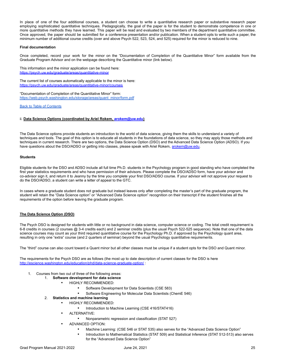In place of one of the four additional courses, a student can choose to write a quantitative research paper or substantive research paper employing sophisticated quantitative techniques. Pedagogically, the goal of the paper is for the student to demonstrate competence in one or more quantitative methods they have learned. This paper will be read and evaluated by two members of the department quantitative committee. Once approved, the paper should be submitted for a conference presentation and/or publication. When a student opts to write such a paper, the minimum number of additional course credits (over and above Psych 522, 523, 524, and 525) required for the minor is reduced to nine.

### **Final documentation**

Once completed, record your work for the minor on the "Documentation of Completion of the Quantitative Minor" form available from the Graduate Program Advisor and on the webpage describing the Quantitative minor (link below).

This information and the minor application can be found here: <https://psych.uw.edu/graduate/areas/quantitative-minor>

The current list of courses automatically applicable to the minor is here: <https://psych.uw.edu/graduate/areas/quantitative-minor/courses>

"Documentation of Completion of the Quantitative Minor" form: [https://web.psych.washington.edu/storage/areas/quant\\_minor/form.pdf](https://web.psych.washington.edu/storage/areas/quant_minor/form.pdf)

### Back to Table of [Contents](#page-2-0)

### <span id="page-24-0"></span>ii. **Data Science Options (coordinated by Ariel Rokem, [arokem@uw.edu](mailto:arokem@uw.edu))**

The Data Science options provide students an introduction to the world of data science, giving them the skills to understand a variety of techniques and tools. The goal of this option is to educate all students in the foundations of data science, so they may apply those methods and techniques in current research. There are two options, the Data Science Option (DSO) and the Advanced Data Science Option (ADSO). If you have questions about the DSO/ADSO or getting into classes, please speak with Ariel Rokem, [arokem@uw.edu.](mailto:arokem@uw.edu)

### **Students**

Eligible students for the DSO and ADSO include all full time Ph.D. students in the Psychology program in good standing who have completed the first year statistics requirements and who have permission of their advisors. Please complete the [DSO/ADSO](https://depts.washington.edu/psych/files/graduate/as%20of%20Autumn%202018%20-%20Data%20Science%20Option%20Declaration%20Form.pdf) form, have your advisor and co-advisor sign it, and return it to Jeanny by the time you complete your first DSO/ADSO course. If your advisor will not approve your request to do the DSO/ADSO, a student can write a letter of appeal to the GTC.

In cases where a graduate student does not graduate but instead leaves only after completing the master's part of the graduate program, the student will retain the "Data Science option" or "Advanced Data Science option" recognition on their transcript if the student finishes all the requirements of the option before leaving the graduate program.

### **The Data Science Option (DSO)**

The Psych DSO is designed for students with little or no background in data science, computer science or coding. The total credit requirement is 6-8 credits in courses (2 courses @ 3-4 credits each) and 2 seminar credits (plus the usual Psych 522-525 sequence). Note that one of the data science courses may count as your third required quantitative course for the Psychology Ph.D. if approved by the Psychology quant area, resulting in only one "extra" course (and 2 quarters of seminar) beyond the usual Psychology quantitative requirements.

The "third" course can also count toward a Quant minor but all other classes must be unique if a student opts for the DSO and Quant minor.

The requirements for the Psych DSO are as follows (the most up to date description of current classes for the DSO is here <http://escience.washington.edu/education/phd/data-science-graduate-option/> :

- 1. Courses from two out of three of the following areas:
	- 1. **Software development for data science**
		- **HIGHLY RECOMMENDED:** 
			- Software Development for Data Scientists (CSE 583)
			- Software Engineering for Molecular Data Scientists (ChemE 546)
	- 2. **Statistics and machine learning**
		- **HIGHLY RECOMMENDED:** 
			- Introduction to Machine Learning (CSE 416/STAT416)
		- **ALTERNATIVE:** 
			- Nonparametric regression and classification (STAT 527)
		- ADVANCED OPTION:
			- Machine Learning: (CSE 546 or STAT 535) also serves for the "Advanced Data Science Option"
			- Introduction to Mathematical Statistics (STAT 509) and Statistical Inference (STAT 512-513) also serves for the "Advanced Data Science Option"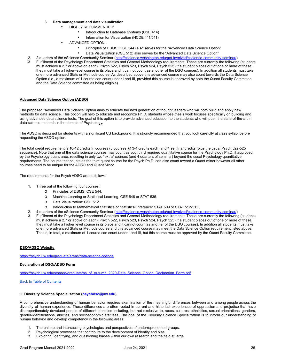### 3. **Data management and data visualization**

- **HIGHLY RECOMMENDED:** 
	- Introduction to Database Systems (CSE 414)
		- Information for Visualization (HCDE 411/511)
- **ADVANCED OPTION:** 
	- Principles of DBMS (CSE 544) also serves for the "Advanced Data Science Option"
	- Data Visualization (CSE 512) also serves for the "Advanced Data Science Option"
- 2. 2 quarters of the eScience Community Seminar (<http://escience.washington.edu/get-involved/escience-community-seminar/>)
- 3. Fulfillment of the Psychology Department Statistics and General Methodology requirements. These are currently the following (students must achieve a 2.7 or above on each). Psych 522, Psych 523, Psych 524, Psych 525 (If a student places out of one or more of these, they must take a higher-level course in its place and it cannot count as another of the DSO courses). In addition all students must take one more advanced Stats or Methods course. As described above this advanced course may also count towards the Data Science Option (i.e., a maximum of 1 course can count under I and III, provided this course is approved by both the Quant Faculty Committee and the Data Science committee as being eligible).

### **Advanced Data Science Option (ADSO)**

The proposed "Advanced Data Science" option aims to educate the next generation of thought leaders who will both build and apply new methods for data science. This option will help to educate and recognize Ph.D. students whose thesis work focuses specifically on building and using advanced data science tools. The goal of this option is to provide advanced education to the students who will push the state-of-the-art in data science methods in the domain of Psychology.

The ADSO is designed for students with a significant CS background. It is strongly recommended that you look carefully at class syllabi before requesting the ASDO option.

The total credit requirement is 10-12 credits in courses (3 courses @ 3-4 credits each) and 4 seminar credits (plus the usual Psych 522-525 sequence). Note that one of the data science courses may count as your third required quantitative course for the Psychology Ph.D. if approved by the Psychology quant area, resulting in only two "extra" courses (and 4 quarters of seminar) beyond the usual Psychology quantitative requirements. The course that counts as the third quant course for the Psych Ph.D. can also count toward a Quant minor however all other courses need to be unique for the ADSO and Quant Minor.

The requirements for the Psych ADSO are as follows:

- 1. Three out of the following four courses:
	- o Principles of DBMS: CSE 544.
	- o Machine Learning or Statistical Learning, CSE 546 or STAT 535.
	- o Data Visualization: CSE 512.
	- o Introduction to Mathematical Statistics or Statistical Inference: STAT 509 or STAT 512-513.
- 2. 4 quarters of the eScience Community Seminar (<http://escience.washington.edu/get-involved/escience-community-seminar/>)
- 3. Fulfillment of the Psychology Department Statistics and General Methodology requirements. These are currently the following (students must achieve a 2.7 or above on each). Psych 522, Psych 523, Psych 524, Psych 525 (If a student places out of one or more of these, they must take a higher level course in its place and it cannot count as another of the DSO courses). In addition all students must take one more advanced Stats or Methods course and this advanced course may meet the Data Science Option requirement listed above. That is, in total, a maximum of 1 course can count under I and III, but this course must be approved by the Quant Faculty Committee.

### **DSO/ADSO Website**

<https://psych.uw.edu/graduate/areas/data-science-options>

### **Declaration of DSO/ADSO Form**

[https://psych.uw.edu/storage/graduate/as\\_of\\_Autumn\\_2020-Data\\_Science\\_Option\\_Declaration\\_Form.pdf](https://psych.uw.edu/storage/graduate/as_of_Autumn_2020-Data_Science_Option_Declaration_Form.pdf)

### Back to Table of [Contents](#page-2-0)

### <span id="page-25-0"></span>iii. **Diversity Science Specialization ([psychdsc@uw.edu](mailto:psychdsc@uw.edu))**

A comprehensive understanding of human behavior requires examination of the meaningful differences between and among people across the diversity of human experience. These differences are often rooted in current and historical experiences of oppression and prejudice that have disproportionately devalued people of different identities including, but not exclusive to, races, cultures, ethnicities, sexual orientations, genders, gender-identifications, abilities, and socioeconomic statuses. The goal of the Diversity Science Specialization is to inform our understanding of human behavior and develop competency in the following areas:

- 1. The unique and intersecting psychologies and perspectives of underrepresented groups.<br>2. Psychological processes that contribute to the development of identity and bias.
- 2. Psychological processes that contribute to the development of identity and bias.
- 3. Exploring, identifying, and questioning biases within our own research and the field at large.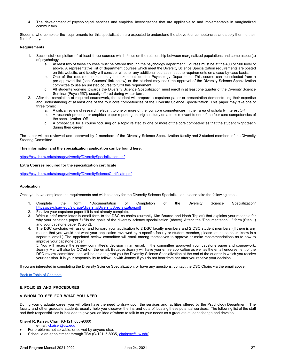4. The development of psychological services and empirical investigations that are applicable to and implementable in marginalized communities.

Students who complete the requirements for this specialization are expected to understand the above four competencies and apply them to their field of study.

### **Requirements**

- 1. Successful completion of at least three courses which focus on the relationship between marginalized populations and some aspect(s) of psychology.
	- a. At least two of these courses must be offered through the psychology department. Courses must be at the 400 or 500 level or above. A representative list of department courses which meet the Diversity Science Specialization requirements are posted on this website, and faculty will consider whether any additional courses meet the requirements on a case-by-case basis.
	- b. One of the required courses may be taken outside the Psychology Department. This course can be selected from a pre-approved list (see 'Courses' link below) or the student may seek the approval of the Diversity Science Specialization committee to use an unlisted course to fulfill this requirement.
	- All students working towards the Diversity Science Specialization must enroll in at least one quarter of the Diversity Science Seminar (Psych 557), usually offered during winter term.
- 2. After the completion of required coursework, the student will prepare a capstone paper or presentation demonstrating their expertise and understanding of at least one of the four core competencies of the Diversity Science Specialization. This paper may take one of three forms:
	- a. A critical review of research relevant to one or more of the four core competencies in their area of scholarly interest OR
	- b. A research proposal or empirical paper reporting an original study on a topic relevant to one of the four core competencies of the specialization OR
	- A prospectus for a course focusing on a topic related to one or more of the core competencies that the student might teach during their career.

The paper will be reviewed and approved by 2 members of the Diversity Science Specialization faculty and 2 student members of the Diversity Steering Committee.

### **This information and the specialization application can be found here:**

<https://psych.uw.edu/storage/diversity/DiversitySpecialization.pdf>

### **Extra Courses required for the specialization certificate**

<https://psych.uw.edu/storage/diversity/DiversityScienceCertificate.pdf>

### **Application**

Once you have completed the requirements and wish to apply for the Diversity Science Specialization, please take the following steps:

- 1. Complete the form "Documentation of Completion of the Diversity Science Specialization" <https://psych.uw.edu/storage/diversity/DiversitySpecialization.pdf>
- 2. Finalize your capstone paper if it is not already complete.
- 3. Write a brief cover letter in email form to the DSC co-chairs (currently Kim Bourne and Noah Triplett) that explains your rationale for why your capstone paper fulfills the goals of the diversity science specialization (above). Attach the "Documentation…." form (Step 1) and your capstone paper (Step 2).
- 4. The DSC co-chairs will assign and forward your application to 2 DSC faculty members and 2 DSC student members. (If there is any reason that you would not want your application reviewed by a specific faculty or student member, please let the co-chairs know in a separate email.) The appointed review committee will email among themselves to approve or make recommendations as to how to improve your capstone paper.

5. You will receive the review committee's decision in an email. If the committee approved your capstone paper and coursework, Jeanny Mai will also be CC'ed on the email. Because Jeanny will have your entire application as well as the email endorsement of the DSC review committee, she will be able to grant you the Diversity Science Specialization at the end of the quarter in which you receive your decision. It is your responsibility to follow up with Jeanny if you do not hear from her after you receive your decision.

If you are interested in completing the Diversity Science Specialization, or have any questions, contact the DSC Chairs via the email above.

### Back to Table of [Contents](#page-2-0)

### **E. POLICIES AND PROCEDURES**

### <span id="page-26-0"></span>**a. WHOM TO SEE FOR WHAT YOU NEED**

During your graduate career you will often have the need to draw upon the services and facilities offered by the Psychology Department. The faculty and other graduate students usually help you discover the ins and outs of locating these potential services. The following list of the staff and their responsibilities is included to give you an idea of whom to talk to as your needs as a graduate student change and develop.

### **Cheryl R. Kaiser**, Chair (G-121, 685-9660)

e-mail: *[ckaiser@uw.edu](mailto:mizumori@u.washington.edu)* 

- For problems not solvable, or solved by anyone else.
- Schedule an appointment through TBA (G-121, 5-8035, [chairpsy@uw.edu](mailto:chairpsy@uw.edu))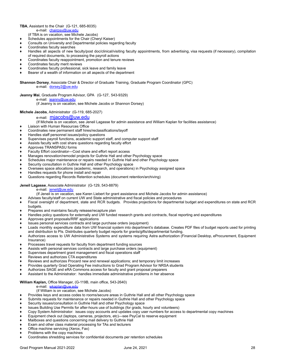#### **TBA**, Assistant to the Chair (G-121, 685-8035) e-mail: [chairpsy@uw.edu](mailto:chairpsy@uw.edu)

- (if TBA is on vacation, see Michele Jacobs)
- Schedules appointments for the Chair (Cheryl Kaiser)
- Consults on University and Departmental policies regarding faculty
- Coordinates faculty searches
- Handles all aspects of new faculty/post doc/clinical/visiting faculty appointments, from advertising, visa requests (if necessary), compilation of required documents, to processing the payroll actions
- Coordinates faculty reappointment, promotion and tenure reviews
- Coordinates faculty merit reviews
- Coordinates faculty professional, sick leave and family leave
- Bearer of a wealth of information on all aspects of the department

### **Shannon Dorsey**, Associate Chair & Director of Graduate Training, Graduate Program Coordinator (GPC)

e-mail: [dorsey2@uw.edu](mailto:nkenney@u.washington.edu)

**Jeanny Mai**, Graduate Program Advisor, GPA (G-127, 543-9329)

### e-mail: [jeanny@uw.edu](mailto:jeanny@u.washington.edu)

(if Jeanny is on vacation, see Michele Jacobs or Shannon Dorsey)

### **Michele Jacobs**, Administrator (G-119, 685-2027)

- e-mail: miacobs@uw.edu
- (If Michele is on vacation, see Jeneil Lagasse for admin assistance and William Kaplan for facilities assistance)
- ♦ Liaison with Human Resources Office
- Coordinates new permanent staff hires/reclassifications/layoff
- ♦ Handles staff personnel issues/policy questions
- Supervises payroll functions, academic support staff, and computer support staff
- Assists faculty with cost share questions regarding faculty effort
- Approves TRANSPASU forms
- Faculty Effort coordinator-Cost share and effort report access
- Manages renovation/remodel projects for Guthrie Hall and other Psychology space
- Schedules major maintenance or repairs needed in Guthrie Hall and other Psychology space
- Security consultation in Guthrie Hall and other Psychology space
- Oversees space allocations (academic, research, and operations) in Psychology assigned space
- Handles requests for phone install and repair
- Questions regarding Records Retention schedules (document retention/archiving)

### **Jeneil Lagasse**, Associate Administrator (G-129, 543-8879)

### e-mail: [jeneil@uw.edu](mailto:jeneil@uw.edu)

- (If Jeneil is on vacation, see Karen Liebert for grant assistance and Michele Jacobs for admin assistance)
- Advises faculty/staff on current UW and State administrative and fiscal policies and procedures
- Fiscal oversight of department, state and RCR budgets. Provides projections for departmental budget and expenditures on state and RCR budgets.
- Prepares and maintains faculty release/recapture plan
- Handles policy questions for externally and UW funded research grants and contracts, fiscal reporting and expenditures
- Approves grant proposals/RRF applications
- Issues personal services contracts and large purchase orders (equipment)
- Loads monthly expenditure data from UW financial system into department's database. Creates PDF files of budget reports used for printing and distribution to PIs. Distributes quarterly budget reports for grants/gifts/departmental funding.
- Authorizes access to UW Administrative Systems and systems requiring Astra authorization (Financial Desktop, eProcurement, Equipment Insurance)
- Processes travel requests for faculty from department funding sources
- Assists with personal services contracts and large purchase orders (equipment)
- Supervises department grant management and fiscal operations staff
- Reviews and authorizes CTA expenditures
- Reviews and authorizes Procard new and renewal applications; and temporary limit increases
- Provides quarterly Grad Operating Fee instructions to Grad Program Advisor for NRSA students
- Authorizes SAGE and eRA Commons access for faculty and grant proposal preparers
- Assistant to the Administrator: handles immediate administrative problems in her absence

### **William Kaplan,** Office Manager, (G-119B, main office, 543-2640)

### e-mail: [wkaplan@uw.edu](mailto:wkaplan@u.washington.edu)

- (if William is on vacation, see Michele Jacobs)
- Provides keys and access codes to rooms/secure areas in Guthrie Hall and all other Psychology space
- Submits requests for maintenance or repairs needed in Guthrie Hall and other Psychology space
- Security issues/consultation in Guthrie Hall and other Psychology space
- Issues Building Use Permits for after-hours use of buildings (for grads, hourly and volunteers)
- Copy System Administrator: issues copy accounts and updates copy user numbers for access to departmental copy machines
- Equipment check out (laptops, cameras, projectors, etc)—see PsyCal to reserve equipment
- Mailboxes and questions concerning mail delivery to Guthrie Hall
- Exam and other class material processing for TAs and lecturers
- Office machine servicing (Xerox, Fax)
- Problems with the copy machines
- Coordinates shredding services for confidential documents per retention schedules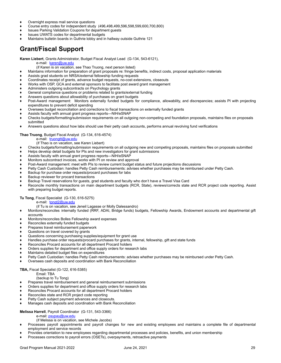- ♦ Overnight express mail service questions
- ♦ Course entry codes for independent study (496,498,499,596,598,599,600,700,800)
- Issues Parking Validation Coupons for department guests
- Issues UWATS codes for departmental budgets
- Maintains bulletin boards in Guthrie lobby and in hallway outside Guthrie 121

### <span id="page-28-0"></span>**Grant/Fiscal Support**

**Karen Liebert**, Grants Administrator, Budget Fiscal Analyst Lead (G-134, 543-6121),

- e-mail: [karen@uw.edu](mailto:karen@uw.edu)
- (if Karen is on vacation, see Thao Truong, next person listed)
- ♦ Maintains information for preparation of grant proposals re: fringe benefits, indirect costs, proposal application materials
- Assists grad students on NRSA/external fellowship funding requests
- Coordinates receipt of grants, advance budget requests, no-cost extensions, closeouts
- Works with OSP, GCA and external sponsors to facilitate post award grant management
- Administers outgoing subcontracts on Psychology grants
- General compliance questions or problems related to grants/external funding
- Answers questions about allowability of purchases on grant budgets
- Post-Award management: Monitors externally funded budgets for compliance, allowability, and discrepancies; assists PI with projecting expenditures to prevent deficit spending
- Oversees budget reconciliation and corrections to fiscal transactions on externally funded grants
- Assists faculty with annual grant progress reports-NIH/eSNAP
- Checks budgets/formatting/submission requirements on all outgoing non-competing and foundation proposals, maintains files on proposals submitted
- Answers questions about how labs should use their petty cash accounts, performs annual revolving fund verifications

### **Thao Truong**, Budget Fiscal Analyst (G-134, 616-4574)

e-mail: [truongtt@uw.edu](mailto:truongtt@uw.edu)

- (if Thao is on vacation, see Karen Liebert)
- ♦ Checks budgets/formatting/submission requirements on all outgoing new and competing proposals, maintains files on proposals submitted
- ♦ Helps develop detail budgets for PIs and new investigators for grant submissions
- Assists faculty with annual grant progress reports-NIH/eSNAP
- Monitors subcontract invoices, works with PI on review and approval
- Post-Award management: meet with PIs to review current budget status and future projections discussions
- Petty Cash Custodian: handles Petty Cash reimbursements: advises whether purchases may be reimbursed under Petty Cash.
- Backup for purchase order requests/procard purchases for labs
- Backup reviewer for procard transactions
- Backup Travel reservations for guests, grad students and faculty who don't have a Travel Visa Card
- Reconcile monthly transactions on main department budgets (RCR, State), reviews/corrects state and RCR project code reporting. Assist with preparing budget reports.

### **Tu Tong**, Fiscal Specialist (G-130, 616-5275)

- e-mail: [tongt2@uw.edu](mailto:tongt2@uw.edu)
- (if Tu is on vacation, see Jeneil Lagasse or Molly Dalessandro)
- ♦ Monitors/reconciles internally funded (RRF, ADAI, Bridge funds) budgets, Fellowship Awards, Endowment accounts and departmental gift accounts
- Monitors/reconciles Bolles Fellowship award expenses
- Reconciles externally funded budgets
- Prepares travel reimbursement paperwork
- Questions on travel covered by grants
- Questions concerning purchasing supplies/equipment for grant use
- Handles purchase order requests/procard purchases for grants, internal, fellowship, gift and state funds
- Reconciles Procard accounts for all department Procard holders
- Orders supplies for department and office supply orders for research labs
- Maintains detailed budget files on expenditures
- Petty Cash Custodian: handles Petty Cash reimbursements: advises whether purchases may be reimbursed under Petty Cash.
- Oversees cash deposits and coordination with Bank Reconciliation

### **TBA,** Fiscal Specialist (G-122, 616-5385)

### Email: TBA

### (backup to Tu Tong)

- Prepares travel reimbursement and general reimbursement submissions
- Orders supplies for department and office supply orders for research labs
- Reconciles Procard accounts for all department Procard holders
- Reconciles state and RCR project code reporting
- Petty Cash subject payment advances and closeouts.
- Manages cash deposits and coordination with Bank Reconciliation

### **Melissa Harrell**, Payroll Coordinator (G-131, 543-3366)

- e-mail: [psypay@uw.edu](mailto:merlej@u.washington.edu)
- (if Melissa is on vacation, see Michele Jacobs)
- Processes payroll appointments and payroll changes for new and existing employees and maintains a complete file of departmental employment and service records
- Provides orientation to new employees regarding departmental processes and policies, benefits, and union membership
- Processes corrections to payroll errors (OSETs), overpayments, retroactive payments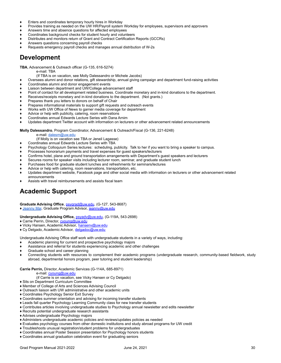- ♦ Enters and coordinates temporary hourly hires in Workday
- Provides training as needed on the UW HR/Payroll system Workday for employees, supervisors and approvers
- Answers time and absence questions for affected employees
- Coordinates background checks for student hourly and volunteers
- Distributes and monitors return of Grant and Contract Certification Reports (GCCRs)
- Answers questions concerning payroll checks
- Requests emergency payroll checks and manages annual distribution of W-2s

### **Development**

**TBA**, Advancement & Outreach officer (G-135, 616-5274)

e-mail: TBA

- (If TBA is on vacation, see Molly Dalessandro or Michele Jacobs)
- ♦ Oversees alumni and donor relations, gift stewardship, annual giving campaign and department fund-raising activities
- Coordinates alumni and donor engagement events
- Liaison between department and UW/College advancement staff
- Point of contact for all development related business. Coordinate monetary and in-kind donations to the department.
- Receives/receipts monetary and in-kind donations to the department. (Not grants.)
- Prepares thank you letters to donors on behalf of Chair
- Prepares informational materials to support gift requests and outreach events
- Works with UW Office of News to garner media coverage for department
- Advice or help with publicity, catering, room reservations
- Coordinates annual Edwards Lecture Series with Dana Arnim Updates department Twitter account with information on lecturers or other advancement related announcements

### **Molly Dalessandro**, Program Coordinator, Advancement & Outreach/Fiscal (G-136, 221-6248)

- e-mail: [dalesm@uw.edu](mailto:dalesm@uw.edu)
- (If Molly is on vacation see TBA or Jeneil Lagasse)
- ♦ Coordinates annual Edwards Lecture Series with TBA
- Psychology Colloquium Series lectures: scheduling, publicity. Talk to her if you want to bring a speaker to campus.
- Processes honorarium payments and travel expenses for guest speakers/lecturers
- Confirms hotel, plane and ground transportation arrangements with Department's guest speakers and lecturers
- Secures rooms for speaker visits including lecturer room, seminar, and graduate student lunch
- Purchases food for graduate student lunches and refreshments for seminars/lectures
- Advice or help with catering, room reservations, transportation, etc.
- Updates department website, Facebook page and other social media with information on lecturers or other advancement related announcements
- Assists with travel reimbursements and assists fiscal team

### **Academic Support**

**Graduate Advising Office**, [psygrad@uw.edu](mailto:psygrad@uw.edu), (G-127, 543-8687)

♦ [Jeanny](#page-6-1) Mai, Graduate Program Advisor, [jeanny@uw.edu](mailto:jeanny@u.washington.edu)

### **Undergraduate Advising Office,** [psyadv@uw.edu](mailto:psyadv@uw.edu), (G-119A, 543-2698)

- ♦ Carrie Perrin, Director, [cyoung@uw.edu](mailto:cyoung@uw.edu)
- ♦ Vicky Hansen, Academic Advisor, [hansenv@uw.edu](mailto:hansenv@uw.edu)
- ♦ Cy Delgado, Academic Advisor, [delgadoc@uw.edu](mailto:delgadoc@uw.edu)

Undergraduate Advising Office staff work with undergraduate students in a variety of ways, including:

- Academic planning for current and prospective psychology majors
- Assistance and referral for students experiencing academic and other challenges
- Graduate school and career planning
- Connecting students with resources to complement their academic programs (undergraduate research, community-based fieldwork, study abroad, departmental honors program, peer tutoring and student leadership)

### **Carrie Perrin,** Director, Academic Services (G-114A, 685-8971)

e-mail: [cyoung@uw.edu](mailto:cyoung@uw.edu)

- (if Carrie is on vacation, see Vicky Hansen or Cy Delgado)
- ♦ Sits on Department Curriculum Committee
- ♦ Member of College of Arts and Sciences Advising Council
- ♦ Outreach liaison with UW administrative and other academic units
- ♦ Coordinates Psychology Senior Exit Survey
- ♦ Coordinates summer orientation and advising for incoming transfer students
- ♦ Leads fall quarter Psychology Learning Community class for new transfer students
- ♦ Contributes articles involving undergraduate studies to Psychology annual newsletter and edits newsletter
- ♦ Recruits potential undergraduate research assistants
- ♦ Advises undergraduate Psychology majors
- ♦ Administers undergraduate academic policies and reviews/updates policies as needed
- ♦ Evaluates psychology courses from other domestic institutions and study abroad programs for UW credit
- ♦ Troubleshoots unusual registration/student problems for undergraduates
- ♦ Coordinates annual Poster Session presentation for Psychology honors students
- ♦ Coordinates annual graduation celebration event for graduating seniors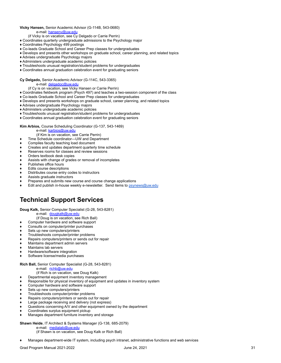### **Vicky Hansen,** Senior Academic Advisor (G-114B, 543-0680) e-mail: [hansenv@uw.edu](mailto:hansenv@uw.edu)

- (if Vicky is on vacation, see Cy Delgado or Carrie Perrin)
- ♦ Coordinates quarterly undergraduate admissions to the Psychology major
- ♦ Coordinates Psychology 499 postings
- ♦ Co-leads Graduate School and Career Prep classes for undergraduates
- ♦ Develops and presents other workshops on graduate school, career planning, and related topics
- ♦ Advises undergraduate Psychology majors
- ♦ Administers undergraduate academic policies
- ♦ Troubleshoots unusual registration/student problems for undergraduates
- ♦ Coordinates annual graduation celebration event for graduating seniors

**Cy Delgado,** Senior Academic Advisor (G-114C, 543-3365)

### e-mail: **[delgadoc@uw.edu](mailto:delgadoc@uw.edu)**

- (if Cy is on vacation, see Vicky Hansen or Carrie Perrin)
- ♦ Coordinates fieldwork program (Psych 497) and teaches a two-session component of the class
- ♦ Co-leads Graduate School and Career Prep classes for undergraduates
- ♦ Develops and presents workshops on graduate school, career planning, and related topics
- ♦ Advises undergraduate Psychology majors
- ♦ Administers undergraduate academic policies
- ♦ Troubleshoots unusual registration/student problems for undergraduates
- ♦ Coordinates annual graduation celebration event for graduating seniors

**Kim Arbios,** Course Scheduling Coordinator (G-137, 543-1469)

### e-mail: [karbios@uw.edu](mailto:karbios@u.washington.edu)

- (if Kim is on vacation, see Carrie Perrin)
- Time Schedule coordinator-UW and Department
- Compiles faculty teaching load document
- Creates and updates department quarterly time schedule
- Reserves rooms for classes and review sessions
- Orders textbook desk copies
- Assists with change of grades or removal of incompletes
- Publishes office hours
- Edits course descriptions
- Distributes course entry codes to instructors
- Assists graduate instructors
- Prepares and submits new course and course change applications
- Edit and publish in-house weekly e-newsletter. Send items to [psynews@uw.edu](mailto:psynews@uw.edu)

### **Technical Support Services**

**Doug Kalk,** Senior Computer Specialist (G-28, 543-8281)

e-mail: [dougkalk@uw.edu](mailto:dougkalk@u.washington.edu)

- (if Doug is on vacation, see Rich Ball)
- Computer hardware and software support
- Consults on computer/printer purchases
- Sets up new computers/printers
- Troubleshoots computer/printer problems
- Repairs computers/printers or sends out for repair
- Maintains department admin servers
- Maintains lab servers
- Hardware/software integration
- Software license/media purchases

### **Rich Ball,** Senior Computer Specialist (G-28, 543-8281)

- e-mail: [richb@uw.edu](mailto:richb@u.washington.edu)
	- (if Rich is on vacation, see Doug Kalk)
- Departmental equipment inventory management
- Responsible for physical inventory of equipment and updates in inventory system
- Computer hardware and software support
- Sets up new computers/printers
- Troubleshoots computer/printer problems
- Repairs computers/printers or sends out for repair
- Large package receiving and delivery (not express)
- Questions concerning A/V and other equipment owned by the department
- Coordinates surplus equipment pickup
- Manages department furniture inventory and storage

### **Shawn Heide**, IT Architect & Systems Manager (G-138, 685-2079)

- e-mail: [medialab@uw.edu](mailto:medialab@uw.edu) (if Shawn is on vacation, see Doug Kalk or Rich Ball)
- Manages department-wide IT system, including psych intranet, administrative functions and web services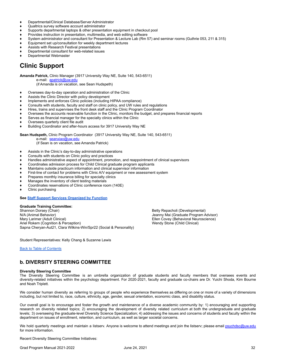- ♦ Departmental/Clinical Database/Server Administrator
- Qualtrics survey software account administrator
- Supports departmental laptops & other presentation equipment in checkout pool
- Provides instruction in presentation, multimedia, and web editing software
- System administrator and consultant for Presentation & Lecture Lab (Rm 57) and seminar rooms (Guthrie 053, 211 & 315)
- Equipment set up/consultation for weekly department lectures
- Assists with Research Festival presentations
- Departmental consultant for web-related issues
- Departmental Webmaster

### **Clinic Support**

**Amanda Patrick,** Clinic Manager (3917 University Way NE, Suite 140, 543-6511)

e-mail: [apatrick@uw.edu](mailto:apatrick@uw.edu)

(if Amanda is on vacation, see Sean Hudspeth)

- ♦ Oversees day-to-day operation and administration of the Clinic
- Assists the Clinic Director with policy development
- Implements and enforces Clinic policies (including HIPAA compliance)
- Consults with students, faculty and staff on clinic policy, and UW rules and regulations
- Hires, trains and supervises the front desk staff and the Clinic Program Coordinator
- Oversees the accounts receivable function in the Clinic, monitors the budget, and prepares financial reports
- Serves as financial manager for the specialty clinics within the Clinic
- Oversees quarterly client file audit
- Building Coordinator and after-hours access for 3917 University Way NE

**Sean Hudspeth,** Clinic Program Coordinator (3917 University Way NE, Suite 140, 543-6511)

e-mail: [seanxiao@uw.edu](mailto:seanxiao@uw.edu)

(if Sean is on vacation, see Amanda Patrick)

- ♦ Assists in the Clinic's day-to-day administrative operations
- Consults with students on Clinic policy and practices
- Handles administrative aspect of appointment, promotion, and reappointment of clinical supervisors
- Coordinates admission process for Child Clinical graduate program applicants
- Maintains outside practicum information and clinical supervisor information
- First-line of contact for problems with Clinic A/V equipment or new assessment system
- Prepares monthly insurance billing for specialty clinics
- Manages the inventory of client testing materials
- Coordinates reservations of Clinic conference room (140E)
- Clinic purchasing

### **See Staff Support Services [Organized](#page-50-0) by Function**

### **Graduate Training Committee:**

N/A (Animal Behavior)<br>Mary Larimer (Adult Clinical) The South of The South Aristotele Search Covey (Behavioral Neuroscience) Ariel Rokem (Cognition & Perception) Sapna Cheryan-Aut21, Clara Wilkins-Win/Spr22 (Social & Personality)

Betty Repacholi (Developmental) Ellen Covey (Behavioral Neuroscience)<br>Wendy Stone (Child Clinical)

Student Representatives: Kelly Chang & Suzanne Lewis

Back to Table of [Contents](#page-2-0)

### <span id="page-31-0"></span>**b. DIVERSITY STEERING COMMITTEE**

### **Diversity Steering Committee**

The Diversity Steering Committee is an umbrella organization of graduate students and faculty members that oversees events and diversity-related initiatives within the psychology department. For 2020-2021, faculty and graduate co-chairs are Dr. Yuichi Shoda, Kim Bourne and Noah Triplett.

We consider human diversity as referring to groups of people who experience themselves as differing on one or more of a variety of dimensions including, but not limited to, race, culture, ethnicity, age, gender, sexual orientation, economic class, and disability status.

Our overall goal is to encourage and foster the growth and maintenance of a diverse academic community by: 1) encouraging and supporting research on diversity related topics; 2) encouraging the development of diversity related curriculum at both the undergraduate and graduate levels; 3) overseeing the graduate-level Diversity Science Specialization; 4) addressing the issues and concerns of students and faculty within the department on issues of enrollment, retention, and curriculum, as well as larger societal concerns.

We hold quarterly meetings and maintain a listsery. Anyone is welcome to attend meetings and join the listsery; please email [psychdsc@uw.edu](mailto:psychdsc@uw.edu) for more information.

Recent Diversity Steering Committee Initiatives: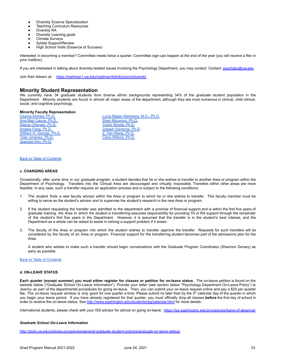- Diversity Science Specialization
- Teaching Curriculum Resources
- Diversity RA
- Diversity Learning goals
- Climate Surveys
- Syllabi Support/Review
- **High School Visits (Essence of Success)**

Interested in becoming a member? Committee meets twice a quarter. Committee sign-ups happen at the end of the year (you will receive a flier in your mailbox).

If you are interested in talking about diversity-related issues involving the Psychology Department, you may contact: Contact: [psychdsc@uw.edu](mailto:psychdsc@uw.edu)

Join their listserv at: [https://mailman1.uw.edu/mailman/listinfo/psychdiversity](https://mailman1.u.washington.edu/mailman/listinfo/psychdiversity)

### **Minority Student Representation**

We currently have 34 graduate students from diverse ethnic backgrounds representing 34% of the graduate student population in the Department. Minority students are found in almost all major areas of the department, although they are most numerous in clinical, child clinical, social, and cognitive psychology.

### **Minority Faculty Representation**

Sapna [Cheryan,](https://web.psych.washington.edu/directory/2373) Ph.D. Yuichi [Shoda,](https://web.psych.washington.edu/directory/2569) Ph.D. [Angela](https://web.psych.washington.edu/directory/9180) Fang, Ph.D.<br>
William H. George, Ph.D.<br>
Z. Yan Wang, Ph.D.<br>
Z. Yan Wang, Ph.D. William H. [George,](https://web.psych.washington.edu/directory/2743) Ph.D. Z. Yan [Wang,](https://web.psych.washington.edu/directory/9348) Ph.D. Tyler [Jimenez,](https://web.psych.washington.edu/directory/9319) Ph.D. [Jeansok](https://web.psych.washington.edu/directory/2515) Kim, Ph.D.

Osama [Ahmed,](https://web.psych.washington.edu/directory/9347) Ph.D.<br>
Ana Mari Cauce, Ph.D.<br>
Ana Mari Cauce, Ph.D.<br>
Cheri Mizumori, Ph.D. Sheri [Mizumori,](https://web.psych.washington.edu/directory/2663) Ph.D.

#### Back to Table of [Contents](#page-2-0)

### <span id="page-32-0"></span>**c. CHANGING AREAS**

Occasionally, after some time in our graduate program, a student decides that he or she wishes to transfer to another Area or program within the Department of Psychology. Transfers into the Clinical Area are discouraged and virtually impossible. Transfers within other areas are more feasible. In any case, such a transfer requires an application process and is subject to the following conditions:

- 1. The student finds a new faculty advisor within the Area or program to which he or she wishes to transfer. This faculty member must be willing to serve as the student's advisor and to supervise the student's research in the new Area or program.
- 2. If the student requesting the transfer was admitted to the department with a promise of financial support and is within the first five years of graduate training, *the Area to which the student is transferring* assumes responsibility for providing TA or RA support through the remainder of the student's first five years in the Department. However, it is assumed that the transfer is in the student's best interest, and the Department as a whole can be asked to assist in solving a support problem if it arises.
- 3. The faculty of the Area or program into which the student wishes to transfer approve the transfer. Requests for such transfers will be considered by the faculty of an Area or program. Financial support for the transferring student becomes part of the admissions plan for the Area.

A student who wishes to make such a transfer should begin conversations with the Graduate Program Coordinator (Shannon Dorsey) as early as possible.

### Back to Table of [Contents](#page-2-0)

### <span id="page-32-1"></span>**d. ON-LEAVE STATUS**

Each quarter (except summer) you must either register for classes or petition for on-leave status. The on-leave petition is found on the website below ("Graduate School On-Leave Information"). Provide your letter (see section below "Psychology Department On-Leave Policy") to Jeanny as part of the departmental procedures for going on-leave. Then, you can submit your on-leave request online and pay a \$25 per quarter fee. The on-leave request window is only good for one quarter a time. Please submit no later than by the 5<sup>th</sup> calendar day of the quarter in which you begin your leave period. If you have already registered for that quarter, you must officially drop all classes *before* the first day of school in order to receive the on-leave status. See <http://www.washington.edu/students/reg/calendar.html> for more details.

International students, please check with your ISS advisor for advice on going on-leave: <https://iss.washington.edu/procedures/leave-of-absence/>

### *Graduate School On-Leave Information*

<http://grad.uw.edu/policies-procedures/general-graduate-student-policies/graduate-on-leave-status/>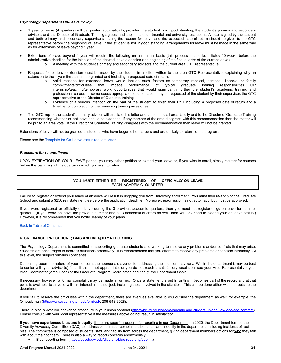### *Psychology Department On-Leave Policy*

- 1 year of leave (4 quarters) will be granted automatically, provided the student is in good standing, the student's primary and secondary advisors and the Director of Graduate Training agrees, and subject to departmental and university restrictions. A letter signed by the student and both primary and secondary supervisors stating the reason for leave and the expected date of return should be given to the GTC representative before the beginning of leave. If the student is not in good standing, arrangements for leave must be made in the same way as for extensions of leave beyond 1 year.
- ♦ Extensions of leave beyond 1 year will require the following on an annual basis (this process should be initiated 10 weeks before the administrative deadline for the initiation of the desired leave extension (the beginning of the final quarter of the current leave). o A meeting with the student's primary and secondary advisors and the current area GTC representative.
- ♦ Requests for on-leave extension must be made by the student in a letter written to the area GTC Representative, explaining why an extension to the 1 year limit should be granted and including a proposed date of return.
	- Valid reasons for extended leave would include such factors as temporary medical, personal, financial or family<br>commitments/difficulties that impede performance of typical graduate training responsibilities OR typical graduate training responsibilities OR internship/teaching/temporary work opportunities that would significantly further the student's academic training and professional career. In some cases appropriate documentation may be requested of the student by their supervisor, the GTC representative or the Director of Graduate training.
	- o Evidence of a serious intention on the part of the student to finish their PhD including a proposed date of return and a timeline for completion of the remaining training milestones.
- The GTC rep or the student's primary advisor will circulate this letter and an email to all area faculty and to the Director of Graduate Training recommending whether or not leave should be extended. If any member of the area disagrees with this recommendation then the matter will be put to an area vote. If the Director of Graduate Training disagrees with the recommendation then leave will not be granted.

Extensions of leave will not be granted to students who have begun other careers and are unlikely to return to the program.

Please see the Template for [On-Leave](#page-49-0) status request letter.

### *Procedure for re-enrollment*

UPON EXPIRATION OF YOUR LEAVE period, you may either petition to extend your leave or, if you wish to enroll, simply register for courses before the beginning of the quarter in which you wish to return.

> YOU MUST EITHER BE **REGISTERED** OR **OFFICIALLY ON-LEAVE** EACH ACADEMIC QUARTER.

Failure to register or extend your leave of absence will result in dropping you from University enrollment. You must then re-apply to the Graduate School and submit a \$250 reinstatement fee before the application deadline. Moreover, readmission is not automatic, but must be approved.

If you were registered or officially on-leave during the 3 previous academic quarters, then you need not register or go on-leave for summer quarter. (If you were on-leave the previous summer and all 3 academic quarters as well, then you DO need to extend your on-leave status.) However, it is recommended that you notify Jeanny of your plans.

### Back to Table of [Contents](#page-2-0)

### <span id="page-33-0"></span>**e. GRIEVANCE PROCEDURE; BIAS AND INEQUITY REPORTING**

The Psychology Department is committed to supporting graduate students and working to resolve any problems and/or conflicts that may arise. Students are encouraged to address situations proactively. It is recommended that you attempt to resolve any problems or conflicts informally. At this level, the subject remains confidential.

Depending upon the nature of your concern, the appropriate avenue for addressing the situation may vary. Within the department it may be best to confer with your advisor(s) first. If this is not appropriate, or you do not reach a satisfactory resolution, see your Area Representative, your Area Coordinator (Area Head) or the Graduate Program Coordinator, and finally, the Department Chair.

If necessary, however, a formal complaint may be made in writing. Once a statement is put in writing it becomes part of the record and at that point is available to anyone with an interest in the subject, including those involved in the situation. This can be done either within or outside the department.

If you fail to resolve the difficulties within the department, there are avenues available to you outside the department as well; for example, the Ombudsman ([http://www.washington.edu/ombud/,](http://www.washington.edu/ombud/) 206-543-6028).

There is also a detailed grievance procedure in your union contract [\(https://hr.uw.edu/labor/academic-and-student-unions/uaw-ase/ase-contract\)](https://hr.uw.edu/labor/academic-and-student-unions/uaw-ase/ase-contract). Please consult with your local representative if the measures above do not result in satisfaction.

**If you have experienced bias and inequity**, there are specific supports for reporting in our Department. In 2020, the Department formed the Diversity Advocacy Committee (DAC) to address concerns or complaints about bias and inequity in the department, including incidents of racial bias. The committee is composed of students, staff, and faculty from across the department, giving department members options for who they talk with about their concern. There is also a way to report concerns anonymously.

Bias reporting form (<https://psych.uw.edu/diversity/bias-reporting/submit>)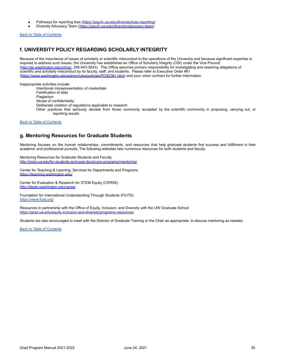- Pathways for reporting bias ([https://psych.uw.edu/diversity/bias-reporting\)](https://psych.uw.edu/diversity/bias-reporting)
- Diversity Advocacy Team ([https://psych.uw.edu/diversity/advocacy-team\)](https://psych.uw.edu/diversity/advocacy-team)

Back to Table of [Contents](#page-2-0)

### <span id="page-34-0"></span>**f. UNIVERSITY POLICY REGARDING SCHOLARLY INTEGRITY**

Because of the importance of issues of scholarly or scientific misconduct to the operations of the University and because significant expertise is required to address such issues, the University has established an Office of Scholarly Integrity (OSI) under the Vice Provost ([http://ap.washington.edu/ormp/,](http://ap.washington.edu/ormp/) 206-543-3643). This Office assumes primary responsibility for investigating and resolving allegations of scientific and scholarly misconduct by its faculty, staff, and students. Please refer to Executive Order #61 (<https://www.washington.edu/admin/rules/policies/PO/EO61.html>) and your union contract for further information.

Inappropriate activities include: Intentional misrepresentation of credentials Falsification of data Plagiarism Abuse of confidentiality Deliberate violation of regulations applicable to research Other practices that seriously deviate from those commonly accepted by the scientific community in proposing, carrying out, or reporting results

Back to Table of [Contents](#page-2-0)

### <span id="page-34-1"></span>**g. Mentoring Resources for Graduate Students**

Mentoring focuses on the human relationships, commitments, and resources that help graduate students find success and fulfillment in their academic and professional pursuits. The following websites lists numerous resources for both students and faculty.

Mentoring Resources for Graduate Students and Faculty <http://grad.uw.edu/for-students-and-post-docs/core-programs/mentoring/>

Center for Teaching & Learning, Services for Departments and Programs <https://teaching.washington.edu/>

Center for Evaluation & Research for STEM Equity (CERSE) <http://depts.washington.edu/cerse/>

Foundation for International Understanding Through Students (FIUTS) <https://www.fiuts.org/>

Resources in partnership with the Office of Equity, Inclusion, and Diversity with the UW Graduate School <https://grad.uw.edu/equity-inclusion-and-diversity/programs-resources/>

Students are also encouraged to meet with the Director of Graduate Training or the Chair as appropriate, to discuss mentoring as needed.

Back to Table of [Contents](#page-2-0)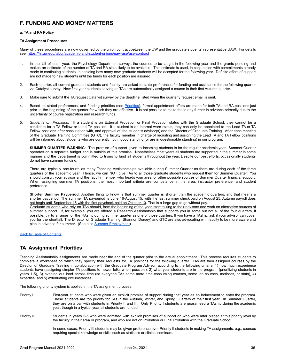### **F. FUNDING AND MONEY MATTERS**

### <span id="page-35-0"></span>**a. TA and RA Policy**

### **TA Assignment Procedures**

Many of these procedures are now governed by the union contract between the UW and the graduate students' representative UAW. For details see: <https://hr.uw.edu/labor/academic-and-student-unions/uaw-ase/ase-contract>

- 1. In the fall of each year, the Psychology Department surveys the courses to be taught in the following year and the grants pending and makes an estimate of the number of TA and RA slots likely to be available. This estimate is used, in conjunction with commitments already made to continuing students, in deciding how many new graduate students will be accepted for the following year. Definite offers of support are not made to new students until the funds for each position are assured.
- 2. Each quarter, all current graduate students and faculty are asked to state preferences for funding and assistance for the following quarter via Catalyst survey. New first year students serving as TAs are automatically assigned a course in their first Autumn quarter.
- 3. Make sure to submit the TA request Catalyst survey by the deadline listed when the quarterly request email is sent.
- 4. Based on stated preferences, and funding priorities (see [Priorities\)](#page-35-2), formal appointment offers are made for both TA and RA positions just prior to the beginning of the quarter for which they are effective. It is not possible to make these any further in advance primarily due to the uncertainty of course registration and research funds.
- 5. *Students on Probation.* If a student is on External Probation or Final Probation status with the Graduate School, they cannot be a candidate for a TA Fellow or Lead TA position. If a student is on internal warn status, they can only be appointed to the Lead TA or TA Fellow positions after consultation with, and approval of, the student's advisor(s) and the Director of Graduate Training. After each meeting of the Graduate Training Committee (GTC), the faculty member in charge of recruiting and assigning the Lead TA and TA Fellow positions will be informed about students who are currently not in good standing (or are in questionable standing) in our program.

<span id="page-35-1"></span>**SUMMER QUARTER WARNING**: The promise of support given to incoming students is for the regular academic year. Summer Quarter operates on a separate budget and is outside of this promise. Nonetheless most years all students are supported in the summer in some manner and the department is committed to trying to fund all students throughout the year. Despite our best efforts, occasionally students do not have summer funding.

There are typically one-fourth as many Teaching Assistantships available during Summer Quarter as there are during each of the three quarters of the academic year. Hence, we can NOT give TAs to all those graduate students who request them for Summer Quarter. You should consult your advisor and the faculty member who heads your area for other possible sources of Summer Quarter financial support. When assigning summer TA positions, the most important criteria are competence in the area, instructor preference, and student preference.

**Shorter Summer Payperiod.** Another thing to know is that summer quarter is shorter than the academic quarters, and that means a shorter payperiod. The summer TA payperiod is June 16-August 15, with the last summer check paid on August 25. Autumn payroll does not begin until September 16 with the first paycheck paid on October 10. That is a large gap to go without pay.

Graduate students who rely on TAs should, from the beginning of the year, start talking to their advisors and work on alternative sources of summer support. If, for example, you are offered a Research Assistantship that supports you in some but not all of the four quarters, if possible, try to arrange for the RAship during summer quarter as one of those quarters. If you have a TAship, ask if your advisor can cover you for the shortfall. The Director of Graduate Training (Shannon Dorsey) and GTC are also advocating with faculty to be more aware and plan in advance for summer. (See also Summer [Employment\)](#page-39-1)

### Back to Table of [Contents](#page-2-0)

### <span id="page-35-2"></span>**TA Assignment Priorities**

Teaching Assistantship assignments are made near the end of the quarter prior to the actual appointment. This process requires students to complete a worksheet on which they specify their requests for TA positions for the following quarter. TAs are then assigned courses by the Director of Graduate Training in collaboration with the Graduate Program Advisor, according to the following criteria: 1) how much experience students have (assigning simpler TA positions to newer folks when possible), 2) what year students are in the program (prioritizing students in years 1-5), 3) evening out load across time (so everyone TAs some more time consuming courses, some lab courses, methods, or stats), 4) expertise, and 5) extenuating circumstances.

The following priority system is applied in the TA assignment process:

- Priority I First-year students who were given an explicit promise of support during that year as an inducement to enter the program. These students are top priority for TAs in the Autumn, Winter, and Spring Quarters of their first year. In Summer Quarter, they are on a par with students in Priority II and III. Only Priority I students are guaranteed a TAship during the academic year, though in a typical year all students are funded.
- Priority II Students in years 2-5 who were admitted with explicit promises of support or, who were later placed at this priority level by the faculty in their area or program, and who are not on Probation or Final Probation with the Graduate School.

In some cases, Priority III students may be given preference over Priority II students in making TA assignments, e.g., courses requiring special knowledge or skills such as statistics or clinical seminars.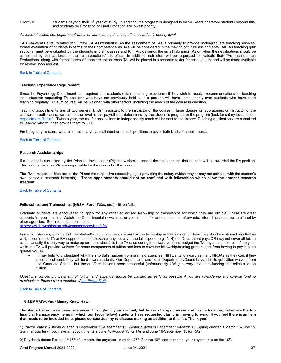Priority III Students beyond their 5<sup>th</sup> year of study. In addition, the program is designed to be 5-6 years, therefore students beyond this, and students on Probation or Final Probation are lowest priority.

*An internal action, i.e., department watch or warn status, does not affect a student's priority level.*

*TA Evaluations and Priorities for Future TA Assignments*: As the assignment of TAs is primarily to provide undergraduate teaching services, formal evaluation of students in terms of their competence as TAs will be considered in the making of future assignments. All TAs teaching quiz sections **must** be evaluated by the students in their classes and Kim Arbios sends the email informing TAs on when their evaluations should be completed by the students in their class/sections/lecture/etc. In addition, instructors will be requested to evaluate their TAs each quarter. Evaluations, along with formal letters of appointment for each TA, will be placed in a separate folder for each student and will be made available for review upon request.

### Back to Table of [Contents](#page-2-0)

#### **Teaching Experience Requirement**

Since the Psychology Department has required that students obtain teaching experience if they wish to receive recommendations for teaching jobs, students requesting TA positions who have not previously held such a position will have some priority over students who have been teaching regularly. This, of course, will be weighed with other factors, including the needs of the course in question.

Teaching appointments are of two general kinds: assistant to the instructor of the course in large classes or laboratories; or instructor of the course. In both cases, we restrict the level to the payroll rate determined by the student's progress in the program (look for salary levels under [Appointment](#page-37-1) Ranks). Twice a year, the call for applications to independently teach will be sent to the listserv. Teaching applications are submitted to Jeanny, who will then provide them to GTC.

For budgetary reasons, we are limited to a very small number of such positions to cover both kinds of appointments.

#### Back to Table of [Contents](#page-2-0)

#### **Research Assistantships**

If a student is requested by the Principal Investigator (PI) and wishes to accept the appointment, that student will be awarded the RA position. This is done because PIs are responsible for the conduct of the research.

The RAs' responsibilities are to the PI and the respective research project providing the salary (which may or may not coincide with the student's own personal research interests). **These appointments should not be confused with fellowships which allow the student research freedom**.

### Back to Table of [Contents](#page-2-0)

#### **Fellowships and Traineeships (NRSA, Ford, T32s, etc.) - Shortfalls**

Graduate students are encouraged to apply for any other advertised fellowship or traineeships for which they are eligible. These are great supports for your training. Watch the Departmental newsletter, or your e-mail, for announcements of awards, internships, etc., being offered by other agencies. See information on-line at: <http://www.lib.washington.edu/commons/services/gfis/>

In many instances, only part of the student's tuition and fees are paid by the fellowship or training grant. There may also be a stipend shortfall as well, in contrast to TA or RA support, as the fellowship may not cover the full stipend (e.g., NIH) our Department pays OR may not cover all tuition costs. Usually the only way to make up for these shortfalls is to TA once during the award year and budget the TA pay across the rest of the year, while the TA will provide waivers for some components of tuition and fees to save the fellowship/training grant budget from having to pay it in the quarter you TA.

It may help to understand why the shortfalls happen from granting agencies. NIH wants to award as many NRSAs as they can, if they raise the stipend, they will fund fewer students. Our Department, and other Departments/Deans have tried to get tuition waivers from the Graduate School, but these efforts haven't been successful (unfortunately UW gets very little state funding and relies a lot on tuition).

Questions concerning payment of tuition and stipends should be clarified as early as possible if you are considering any diverse funding *mechanism. Please see a member of our [Fiscal](#page-28-0) Staff.*

Back to Table of [Contents](#page-2-0)

### <span id="page-36-0"></span>i. **IN SUMMARY, Your Money Know-How:**

The items below have been referenced throughout your manual, but to keep things concise and in one location, below are the top financial transparency items in which our (your fellow) students have requested clarity in moving forward. If you feel there is an item that needs to be included here, please contact Jeanny to discuss making an addition to this list. Thank you!

1) Payroll dates: Autumn quarter is September 16-December 15. Winter quarter is December 16-March 15. Spring quarter is March 16-June 15. Summer quarter (if you have an appointment) is June 16-August 15 for TAs and June 16-September 15 for RAs.

2) Paycheck dates: For the 1<sup>st</sup>-15<sup>th</sup> of a month, the paycheck is on the 25<sup>th</sup>. For the 16<sup>th</sup>- end of month, your paycheck is on the 10<sup>th</sup>.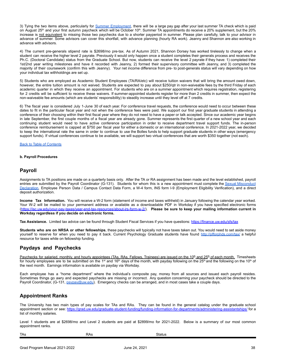3) Tying the two items above, particularly for Summer [Employment](#page-39-1), there will be a large pay gap after your last summer TA check which is paid on August 25<sup>th</sup> and your first autumn paycheck which will be October 10<sup>th</sup>. Summer TA appointments do receive a 20% supplement, but the 20% increase is not equivalent to missing those two paychecks due to a shorter payperiod in summer. Please plan carefully, talk to your advisor in advance of summer. Some advisors can cover this shortfall, with advance planning (hourly RA work). Jeanny and Shannon are also working in advance with advisors.

4) The current pre-generals stipend rate is \$2698/mo pre-tax. As of Autumn 2021, Shannon Dorsey has worked tirelessly to change when a student can receive the higher level 2 payrate. Previously it would only happen once a student completes their generals process and receives the Ph.C. (Doctoral Candidate) status from the Graduate School. But now, students can receive the level 2 payrate if they have: 1) completed their 1st/2nd year writing milestones and have it recorded with Jeanny, 2) formed their supervisory committee with Jeanny, and 3) completed the majority of their coursework (confirm this with Jeanny). Your net income difference from pre- to post-generals status will vary depending on how your individual tax withholdings are set up.

5) Students who are employed as Academic Student Employees (TA/RA/etc) will receive tuition waivers that will bring the amount owed down, however, the entire tuition amount is not waived. Students are expected to pay about \$250/qtr in non-waiveable fees by the third Friday of each academic quarter in which they receive an appointment. For students who are on a summer appointment which requires registration, registering for 2 credits will be sufficient to receive these waivers. If summer-appointed students register for more than 2 credits in summer, then expect the non-waiveable fee amounts (which are students' responsibility) to steadily increase until they level off at 7 credits.

6) The fiscal year is considered July 1-June 30 of each year. For conference travel requests, the conference would need to occur between these dates to fit in the particular fiscal year and not when the conference fees were paid. We support our first year graduate students in attending a conference of their choosing within their first fiscal year where they do not need to have a paper or talk accepted. Since our academic year begins in late September, the first couple months of a fiscal year are already gone. Summer represents the first quarter of a new school year and each continuing student would need to have active conference participation in order to receive department travel support funds. The in-person conference reimbursement is capped at \$750 per fiscal year for either a domestic or an international conference. In 2021-2022 year, we decided to keep the international rate the same in order to continue to use the Bolles funds to help support graduate students in other ways (emergency support funds). If virtual conferences continue to be available, we will support two virtual conferences that are worth \$350 together (not each).

Back to Table of [Contents](#page-2-0)

### **b. Payroll Procedures**

### <span id="page-37-0"></span>**Payroll**

Assignments to TA positions are made on a quarterly basis only. After the TA or RA assignment has been made and the level established, payroll entries are submitted by the Payroll Coordinator (G-131). Students for whom this is a new appointment must complete the Sexual [Misconduct](https://hr.uw.edu/talent/hiring-process/background-checks/sexual-misconduct-disclosure-policy/) [Declaration,](https://hr.uw.edu/talent/hiring-process/background-checks/sexual-misconduct-disclosure-policy/) Employee Person Data / Campus Contact Data Form, a W-4 form, INS form I-9 (Employment Eligibility Verification), and a direct deposit authorization.

**Income Tax Information.** You will receive a W-2 form (statement of income and taxes withheld) in January following the calendar year worked. Your W-2 will be mailed to your permanent address or available as a downloadable PDF in Workday if you have specified electronic forms ([https://isc.uw.edu/your-pay-taxes/year-end-tax-resources/about-irs-form-w-2/\)](https://isc.uw.edu/your-pay-taxes/year-end-tax-resources/about-irs-form-w-2/). **Please be sure to keep your mailing information current in Workday regardless if you decide on electronic forms.**

**Tax Assistance.** Limited tax advice can be found through Student Fiscal Services if you have questions: <https://finance.uw.edu/sfs/tax>

**Students who are on NRSA or other fellowships**, these paychecks will typically not have taxes taken out. You would need to set aside money yourself to reserve for when you need to pay it back. Current Psychology Graduate students have found <http://pfforphds.com/tax/> a helpful resource for taxes while on fellowship funding.

### **Paydays and Paychecks**

Paychecks for salaried, monthly, and hourly appointees (TAs, RAs, Fellows, Trainees) are issued on the 10<sup>th</sup> and 25<sup>th</sup> of each month. Timesheets for hourly employees are to be submitted on the 1<sup>st</sup> and 16<sup>th</sup> days of the month, with payday following on the 25<sup>th</sup> and the following on the 10<sup>th</sup> of the next month. Earnings information is available on payday via Workday.

Each employee has a "home department" where the individual's composite pay, money from all sources and issued each payroll resides. Sometimes things go awry and expected paychecks are missing or incorrect. Any question concerning your paycheck should be directed to the Payroll Coordinator, (G-131, [psypay@uw.edu\)](mailto:psypay@uw.edu). Emergency checks can be arranged, and in most cases take a couple days.

### <span id="page-37-1"></span>**Appointment Ranks**

The University has two main types of pay scales for TAs and RAs. They can be found in the general catalog under the graduate school appointment section or see: <https://grad.uw.edu/graduate-student-funding/funding-information-for-departments/administering-assistantships/> for a list of monthly salaries.

Level 1 students are at \$2698/mo and Level 2 students are paid at \$2899/mo for 2021-2022. Below is a summary of our most common appointment ranks.

| <b>TAs</b> | RAs | Status |  |
|------------|-----|--------|--|
|------------|-----|--------|--|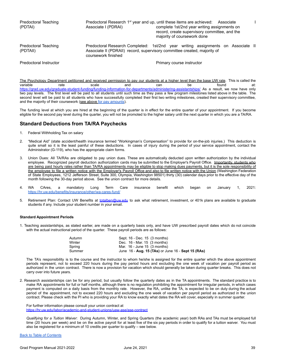Predoctoral Teaching **Predoctoral Research 1<sup>st</sup> year and up, until these items are achieved: Associate I** (PDTAI) Associate I (PDRAI) complete 1st/2nd year writing assignments on record, create supervisory committee, and the majority of coursework done Predoctoral Teaching **Predoctoral Research Completed:** 1st/2nd year writing assignments on Associate II (PDTAII) Associate II (PDRAII) record, supervisory committee created, majority of coursework finished Predoctoral Instructor **Predoctoral Instructor** Primary course instructor

The Psychology Department petitioned and received permission to pay our students at a higher level than the base UW rate. This is called the variable rate scale and can be found at: <https://grad.uw.edu/graduate-student-funding/funding-information-for-departments/administering-assistantships/> As a result, we now have only two pay levels. The first level will be paid to all students until such time as they pass a few program milestones listed above in the table. The second level will be paid to all students who have successfully completed their first two writing milestones, created their supervisory committee, and the majority of their coursework (see above for pay [amounts](#page-37-1)).

The funding level at which you are hired at the beginning of the quarter is in effect for the entire quarter of your appointment. If you become eligible for the second pay level during the quarter, you will not be promoted to the higher salary until the next quarter in which you are a TA/RA.

### **Standard Deductions from TA/RA Paychecks**

- 1. Federal Withholding Tax on salary
- 2. "Medical Aid" (state accident/health insurance termed "Workingman's Compensation" to provide for on-the-job injuries.) This deduction is quite small so it is the least painful of these deductions. In cases of injury during the period of your service appointment, contact the Administrator (G-119), who has the appropriate claim forms.
- 3. Union Dues: All TA/RAs are obligated to pay union dues. These are automatically deducted upon written authorization by the individual employee. Recognized payroll deduction authorization cards may be submitted to the Employer's Payroll Office. Importantly, students who are being paid hourly rates rather than TA/RA appointments may be eligible to stop making dues payments, but it is the sole responsibility of the employee to file a written notice with the Employer's Payroll Office and also to file written notice with the Union (Washington Federation of State Employees, 1212 Jefferson Street, Suite 300, Olympia, Washington 98501) thirty (30) calendar days prior to the effective day of the month following the 30-day period above. See the union contract for more details.
- 4. WA CAres, a mandatory Long Term Care insurance benefit which began on January 1, 2021: <https://hr.uw.edu/benefits/insurance/other/wa-cares-fund/>
- 5. Retirement Plan: Contact UW Benefits at [totalben@uw.edu](mailto:totalben@uw.edu) to ask what retirement, investment, or 401k plans are available to graduate students if any. Include your student number in your email.

### **Standard Appointment Periods**

1. Teaching assistantships, as stated earlier, are made on a quarterly basis only, and have UW prescribed payroll dates which do not coincide with the actual instructional period of the quarter. These payroll periods are as follows:

| Autumn | Sept. 16 - Dec. 15 (3 months)                      |
|--------|----------------------------------------------------|
| Winter | Dec. $16 - \text{Mar}$ . 15 $(3 \text{ months})$   |
| Spring | Mar. $16 - June 15$ (3 months)                     |
| Summer | June 16 - Aug. 15 (TAs) or June 16 - Sept 15 (RAs) |

The TA's responsibility is to the course and the instructor to whom he/she is assigned for the entire quarter which the above appointment periods represent, not to exceed 220 hours during the pay period hours and excluding the one week of vacation per payroll period as authorized in the union contract. There is now a provision for vacation which should generally be taken during quarter breaks. This does not carry over into future years.

2. Research assistantships can be for any period, but usually follow the quarterly dates as in the TA appointments. The standard practice is to make RA appointments for full or half months, although there is no regulation prohibiting the appointment for irregular periods, in which cases payment is computed on a daily basis from the monthly rate. However, the RA, unlike the TA, is expected to be on duty during the actual period of the appointment, not to exceed 220 hours and excluding the one week of vacation per payroll period as authorized in the union contract. Please check with the PI who is providing your RA to know exactly what dates the RA will cover, especially in summer quarter.

For further information please consult your union contract at <https://hr.uw.edu/labor/academic-and-student-unions/uaw-ase/ase-contract>

*Qualifying for a Tuition Waiver*: During Autumn, Winter, and Spring Quarters (the academic year) both RAs and TAs must be employed full time (20 hours per week) and be on the active payroll for at least five of the six pay periods in order to qualify for a tuition waiver. You must also be registered for a minimum of 10 credits per quarter to qualify – see below.

### Back to Table of [Contents](#page-2-0)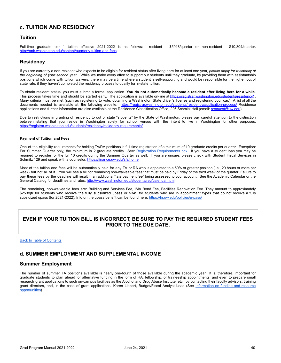### <span id="page-39-0"></span>**C. TUITION AND RESIDENCY**

### **Tuition**

Full-time graduate tier 1 tuition effective 2021-2022 is as follows: resident - \$5918/quarter or non-resident - \$10,304/quarter. <http://opb.washington.edu/content/quarterly-tuition-and-fees>

### **Residency**

If you are currently a non-resident who expects to be eligible for resident status after living here for at least one year, *please apply for residency at the beginning of your second year*. While we make every effort to support our students until they graduate, by providing them with assistantship positions which come with tuition waivers, there may be a time where a student is self-supporting and would be responsible for the higher, out of state rate, if they haven't completed the residency process to qualify for in-state tuition.

To obtain resident status, you must submit a formal application. You do not automatically become a resident after living here for a while. This process takes time and should be started early. The application is available on-line at https://registrar.washington.edu/students/residency Many criteria must be met (such as registering to vote, obtaining a Washington State driver's license and registering your car.) A list of all the documents needed is available at: the following website: <https://registrar.washington.edu/students/residency/application-process/> Residence applications and further information are also available at the Residence Classification Office, 226 Schmitz Hall (email: [resquest@uw.edu\)](mailto:resquest@uw.edu).

Due to restrictions in granting of residency to out of state "students" by the State of Washington, please pay careful attention to the distinction between stating that you reside in Washington solely for school versus with the intent to live in Washington for other purposes. <https://registrar.washington.edu/students/residency/residency-requirements/>

### **Payment of Tuition and Fees**

One of the eligibility requirements for holding TA/RA positions is full-time registration of a minimum of 10 graduate credits per quarter. Exception: For Summer Quarter only, the minimum is 2 graduate credits. See: Registration [Requirements](#page-8-2) box. If you have a student loan you may be required to register for the full 10 credits during the Summer Quarter as well. If you are unsure, please check with Student Fiscal Services in Schmitz 129 and speak with a counselor. <https://finance.uw.edu/sfs/home>

Most of the tuition and fees will be automatically paid for any TA or RA who is appointed to a 50% or greater position (i.e., 20 hours or more per week) but not all of it. You will see a bill for remaining non-waiveable fees that must be paid by Friday of the third week of the quarter. Failure to pay these fees by the deadline will result in an additional "late payment fee" being assessed to your account. See the Academic Calendar or the General Catalog for deadlines and rates. <http://www.washington.edu/students/reg/calendar.html>

The remaining, non-waiveable fees are: Building and Services Fee, IMA Bond Fee, Facilities Renovation Fee. They amount to approximately \$253/qtr for students who receive the fully subsidized upass or \$345 for students who are in appointment types that do not receive a fully subsidized upass (for 2021-2022). Info on the upass benefit can be found here: <https://hr.uw.edu/policies/u-pass/>

### **EVEN IF YOUR TUITION BILL IS INCORRECT, BE SURE TO PAY THE REQUIRED STUDENT FEES PRIOR TO THE DUE DATE.**

Back to Table of [Contents](#page-2-0)

### <span id="page-39-1"></span>**d. SUMMER EMPLOYMENT AND SUPPLEMENTAL INCOME**

### **Summer Employment**

The number of summer TA positions available is nearly one-fourth of those available during the academic year. It is, therefore, important for graduate students to plan ahead for alternative funding in the form of RA, fellowship, or traineeship appointments, and even to prepare small research grant applications to such on-campus facilities as the Alcohol and Drug Abuse Institute, etc., by contacting their faculty advisors, training grant directors, and, in the case of grant applications, Karen Liebert, Budget/Fiscal Analyst Lead (See [information](#page-9-1) on funding and resource [opportunities\)](#page-9-1).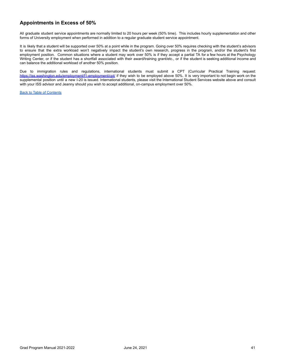### **Appointments in Excess of 50%**

All graduate student service appointments are normally limited to 20 hours per week (50% time). This includes hourly supplementation and other forms of University employment when performed in addition to a regular graduate student service appointment.

It is likely that a student will be supported over 50% at a point while in the program. Going over 50% requires checking with the student's advisors to ensure that the extra workload won't negatively impact the student's own research, progress in the program, and/or the student's first employment position. Common situations where a student may work over 50% is if they accept a partial TA for a few hours at the Psychology Writing Center, or if the student has a shortfall associated with their award/training grant/etc., or if the student is seeking additional income and can balance the additional workload of another 50% position.

Due to immigration rules and regulations, international students must submit a CPT (Curricular Practical Training request: <https://iss.washington.edu/employment/f1-employment/cpt/> if they wish to be employed above 50%. It is very important to not begin work on the supplemental position until a new I-20 is issued. International students, please visit the International Student Services website above and consult with your ISS advisor and Jeanny should you wish to accept additional, on-campus employment over 50%.

Back to Table of [Contents](#page-2-0)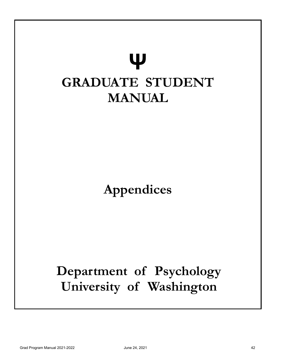<span id="page-41-0"></span>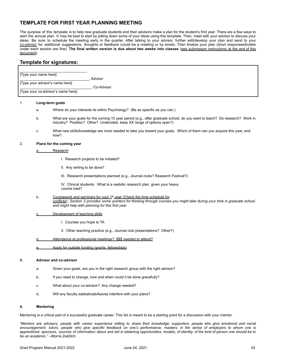### <span id="page-42-0"></span>**TEMPLATE FOR FIRST YEAR PLANNING MEETING**

The purpose of this template is to help new graduate students and their advisors make a plan for the student's first year. There are a few ways to start the annual plan. It may be best to start by jotting down some of your ideas using this template. Then, meet with your advisor to discuss your ideas. Be sure to schedule the meeting early in the quarter. After talking to your advisor, further edit/develop your plan and send to your *co-advisor* for additional suggestions, thoughts or feedback (could be a meeting or by email). Then finalize your plan (short responses/bullets under each section are fine). **The final written version is due about two weeks into classes** (see submission instructions at the end of this document).

### **Template for signatures:**

|                                    | [Type your name here]           |                                |                                                                                                                                                                                                                                                              |
|------------------------------------|---------------------------------|--------------------------------|--------------------------------------------------------------------------------------------------------------------------------------------------------------------------------------------------------------------------------------------------------------|
|                                    | [Type your advisor's name here] |                                | Advisor                                                                                                                                                                                                                                                      |
| [Type your co-advisor's name here] |                                 |                                | Co-Advisor                                                                                                                                                                                                                                                   |
|                                    |                                 |                                |                                                                                                                                                                                                                                                              |
| 1.                                 | a.                              | Long-term goals                | Where do your interests lie within Psychology? (Be as specific as you can.)                                                                                                                                                                                  |
|                                    |                                 |                                |                                                                                                                                                                                                                                                              |
|                                    | b.                              |                                | What are your goals for the coming 10 year period (e.g., after graduate school, do you want to teach? Do research? Work in<br>industry? Postdoc? Other? Undecided, keep XX range of options open?)                                                           |
|                                    | c.                              | how?                           | What new skills/knowledge are most needed to take you toward your goals. Which of them can you acquire this year, and                                                                                                                                        |
| 2.                                 |                                 | Plans for the coming year      |                                                                                                                                                                                                                                                              |
|                                    | <u>а.</u>                       | Research                       |                                                                                                                                                                                                                                                              |
|                                    |                                 |                                | I. Research projects to be initiated?                                                                                                                                                                                                                        |
|                                    |                                 | II. Any writing to be done?    |                                                                                                                                                                                                                                                              |
|                                    |                                 |                                | III. Research presentations planned (e.g., Journal clubs? Research Festival?)                                                                                                                                                                                |
|                                    |                                 | course load?                   | IV. Clinical students: What is a realistic research plan, given your heavy                                                                                                                                                                                   |
|                                    | b.                              |                                | Coursework and seminars for your 1st year (Check the time schedule for<br>conflicts): Section 3 provides some pointers for thinking through courses you might take during your time in graduate school,<br>and might help with planning for this first year. |
|                                    | <u>c.</u>                       | Development of teaching skills |                                                                                                                                                                                                                                                              |
|                                    |                                 | I. Courses you hope to TA      |                                                                                                                                                                                                                                                              |
|                                    |                                 |                                | II. Other teaching practice (e.g., Journal club presentations? Other?)                                                                                                                                                                                       |
|                                    | d                               |                                | Attendance at professional meetings? \$\$\$ needed to attend?                                                                                                                                                                                                |
|                                    | e.                              |                                | Apply for outside funding (grants, fellowships)                                                                                                                                                                                                              |
| 3.                                 |                                 | <b>Advisor and co-advisor</b>  |                                                                                                                                                                                                                                                              |
|                                    | a.                              |                                | Given your goals, are you in the right research group with the right advisor?                                                                                                                                                                                |
|                                    | b.                              |                                | If you need to change, how and when could it be done gracefully?                                                                                                                                                                                             |
|                                    | C.                              |                                | What about your co-advisor? Any change needed?                                                                                                                                                                                                               |
|                                    | d.                              |                                | Will any faculty sabbaticals/leaves interfere with your plans?                                                                                                                                                                                               |
|                                    |                                 |                                |                                                                                                                                                                                                                                                              |

### **4. Mentoring**

Mentoring is a critical part of a successful graduate career. This list is meant to be a starting point for a discussion with your mentor.

"Mentors are advisers, people with career experience willing to share their knowledge; supporters, people who give emotional and moral encouragement; tutors, people who give specific feedback on one's performance; masters, in the sense of employers to whom one is apprenticed: sponsors, sources of information about and aid in obtaining opportunities; models, of identity, of the kind of person one should be to *be an academic."* --Morris Zelditch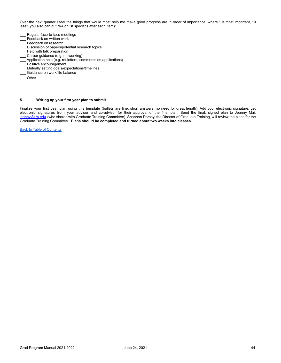Over the next quarter I feel the things that would most help me make good progress are in order of importance, where 1 is most important, 10 least (you also can put N/A or list specifics after each item):

- Regular face-to-face meetings
- Feedback on written work
- Feedback on research
- Discussion of papers/potential research topics
- Help with talk preparation
- Career guidance (e.g. networking)
- \_\_\_ Application help (e.g. ref letters, comments on applications)
- Positive encouragement
- \_\_\_ Mutually setting goals/expectations/timelines
- \_\_\_ Guidance on work/life balance
- \_\_\_ Other

### **5. Writing up your first year plan to submit**

Finalize your first year plan using this template (bullets are fine, short answers, no need for great length). Add your electronic signature, get electronic signatures from your advisor and co-advisor for their approval of the final plan. Send the final, signed plan to Jeanny Mai, [jeanny@uw.edu](mailto:jeanny@uw.edu)</u> (who shares with Graduate Training Committee). Shannon Dorsey, the Director of Graduate Training, will review the plans for the Graduate Training Committee. **Plans should be completed and turned about two weeks into classes.**

Back to Table of [Contents](#page-2-0)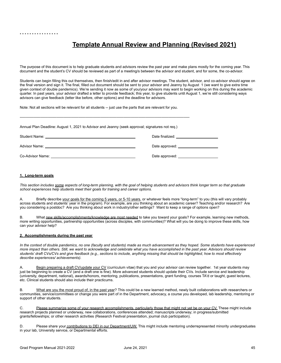### **Template Annual Review and Planning (Revised 2021)**

<span id="page-44-0"></span>The purpose of this document is to help graduate students and advisors review the past year and make plans mostly for the coming year. This document and the student's CV should be reviewed as part of a meeting/s between the advisor and student, and for some, the co-advisor.

Students can begin filling this out themselves, then finish/edit in and after advisor meetings. The student, advisor, and co-advisor should agree on the final version and sign it. The final, filled out document should be sent to your advisor and Jeanny by August 1 (we want to give extra time given context of double pandemics). We're sending it now as some of you/your advisors may want to begin working on this during the academic quarter. In past years, your advisor drafted a letter to provide feedback; this year, to give students until August 1, we're still considering ways advisors can give feedback (letter like before, other options) and the deadline for advisors.

Note: Not all sections will be relevant for all students -- just use the parts that are relevant for you.

| Annual Plan Deadline: August 1, 2021 to Advisor and Jeanny (seek approval; signatures not reg.) |                                                                                                                                                                                                                                |  |  |
|-------------------------------------------------------------------------------------------------|--------------------------------------------------------------------------------------------------------------------------------------------------------------------------------------------------------------------------------|--|--|
|                                                                                                 |                                                                                                                                                                                                                                |  |  |
|                                                                                                 |                                                                                                                                                                                                                                |  |  |
|                                                                                                 | Date approved: example a provide a series of the series of the series of the series of the series of the series of the series of the series of the series of the series of the series of the series of the series of the serie |  |  |

### **1. Long-term goals**

This section includes some aspects of long-term planning, with the goal of helping students and advisors think longer term so that graduate *school experiences help students meet their goals for training and career options.*

A. Briefly describe your goals for the coming 5 years, or 5-10 years, or whatever feels more "long-term" to you (this will vary probably across students and students' year in the program). For example, are you thinking about an academic career? Teaching and/or research? Are you considering a postdoc? Are you thinking about work in industry/other settings? Want to keep a range of options open?

B. What new skills/accomplishments/knowledge are most needed to take you toward your goals? For example, learning new methods, more writing opportunities, partnership opportunities (across disciples, with communities)? What will you be doing to improve these skills, how can your advisor help?

### **2. Accomplishments during the past year**

In the context of double pandemics, no one (faculty and students) made as much advancement as they hoped. Some students have experienced more impact than others. Still, we want to acknowledge and celebrate what you have accomplished in the past year. Advisors should review students' draft CVs/CVs and give feedback (e.g., sections to include, anything missing that should be highlighted, how to most effectively *describe experiences/ achievements).*

A. Begin preparing a draft CV/update your CV (curriculum vitae) that you and your advisor can review together. 1st year students may just be beginning to create a CV (and a draft one is fine). More advanced students should update their CVs. Include service and leadership (university, department, national), awards/honors, mentoring, publications, presentations, grant funding, courses TA'd or taught, guest lectures, etc. Clinical students should also include their practicums.

B. What are you the most proud of, in the past year? This could be a new learned method, newly built collaborations with researchers or communities, service/committees or change you were part of in the Department, advocacy, a course you developed, lab leadership, mentoring or support of other students.

C. Please summarize some of your research accomplishments, particularly those that might not yet be on your CV. These might include research projects planned or underway, new collaborations, conferences attended; manuscripts underway; in progress/submitted grants/fellowships; or other research activities (Research Festival presentation, journal club participation).

D. Please share your contributions to DEI in our Department/UW. This might include mentoring underrepresented minority undergraduates in your lab, University service, or Departmental efforts.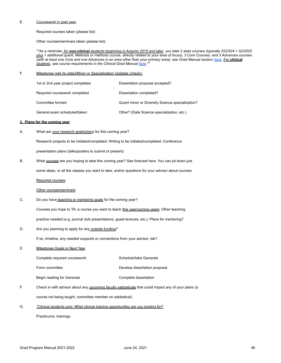### E. Coursework in past year.

Required courses taken (please list):

Other courses/seminars taken (please list):

\*\*As a reminder, for non-clinical students beginning in Autumn 2015 and later, you take 2 stats courses (typically 522/524 + 523/525 plus 1 additional quant. Methods or methods course, directly related to your area of focus), 3 Core Courses, and 3 Advances courses (with at least one Core and one Advances in an area other than your primary area); see Grad Manual section [here.](https://docs.google.com/document/d/1npLBvyfNVa8huPe6b-mMQKRYo3StR63a/edit#bookmark=id.oksxkg5mim83) For clinical *students, see course requirements in the Clinical Grad Manual [here](https://docs.google.com/document/d/1OcvSuQoxfjxWD7tJq84AAn7hRAqgD1cj/edit#heading=h.oszw7zgv7p54).\*\**

### F. Milestones met (to date)/Minor or Specialization Updates (check):

| 1st or 2nd year project completed | Dissertation proposal accepted?                  |
|-----------------------------------|--------------------------------------------------|
| Required coursework completed     | Dissertation completed?                          |
| Committee formed                  | Quant minor or Diversity Science specialization? |
| General exam scheduled/taken      | Other? (Data Science specialization, etc.)       |

### **3. Plans for the coming year**

A. What are your research goals/plans for this coming year?

Research projects to be initiated/completed; Writing to be initiated/completed; Conference

presentation plans (talks/posters to submit or present)

B. What courses are you hoping to take this coming year? See forecast [here.](https://psych.uw.edu/intranet/graduate) You can jot down just

some ideas, or all the classes you want to take, and/or questions for your advisor about courses.

Required courses:

### Other courses/seminars:

C. Do you have teaching or mentoring goals for the coming year?

Courses you hope to TA; a course you want to teach this year/coming years; Other teaching practice needed (e.g. journal club presentations, guest lectures, etc.); Plans for mentoring?

- 
- D. Are you planning to apply for any outside funding?

If so, timeline, any needed supports or connections from your advisor, lab?

E. Milestones Goals in Next Year

Complete required coursework Schedule/take Generals

Form committee **Develop** dissertation proposal

Begin reading for Generals **Complete** dissertation

- F. Check in with advisor about any **upcoming faculty sabbaticals** that could impact any of your plans (a course not being taught, committee member on sabbatical).
- G. *\*Clinical students only: What clinical training opportunities are you looking for?*

Practicums, trainings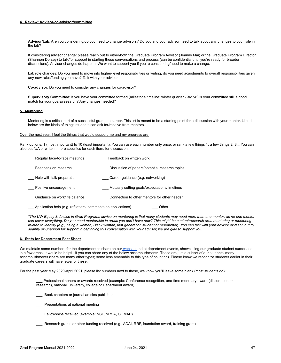### **4. Review: Advisor/co-advisor/committee**

**Advisor/Lab**: Are you considering/do you need to change advisors? Do you and your advisor need to talk about any changes to your role in the lab?

If considering advisor change: please reach out to either/both the Graduate Program Advisor (Jeanny Mai) or the Graduate Program Director (Shannon Dorsey) to talk/for support in starting these conversations and process (can be confidential until you're ready for broader discussions). Advisor changes do happen. We want to support you if you're considering/need to make a change.

Lab role changes: Do you need to move into higher-level responsibilities or writing, do you need adjustments to overall responsibilities given any new roles/funding you have? Talk with your advisor.

**Co-advisor**: Do you need to consider any changes for co-advisor?

**Supervisory Committee**: If you have your committee formed (milestone timeline: winter quarter - 3rd yr.) is your committee still a good match for your goals/research? Any changes needed?

### **5. Mentoring**

Mentoring is a critical part of a successful graduate career. This list is meant to be a starting point for a discussion with your mentor. Listed below are the kinds of things students can ask for/receive from mentors.

### Over the next year, I feel the things that would support me and my progress are:

Rank options: 1 (most important) to 10 (least important). You can use each number only once, or rank a few things 1, a few things 2, 3... You can also put N/A or write in more specifics for each item, for discussion.

| Regular face-to-face meetings                                 | Feedback on written work                       |
|---------------------------------------------------------------|------------------------------------------------|
| Feedback on research                                          | Discussion of papers/potential research topics |
| Help with talk preparation                                    | Career guidance (e.g. networking)              |
| Positive encouragement                                        | Mutually setting goals/expectations/timelines  |
| Guidance on work/life balance                                 | Connection to other mentors for other needs*   |
| Application help (e.g. ref letters, comments on applications) | Other                                          |

\*The UW Equity & Justice in Grad Programs advice on mentoring is that many students may need more than one mentor; as no one mentor can cover everything. Do you need mentorship in areas you don't have now? This might be content/research area mentoring or mentoring related to identity (e.g., being a woman, Black woman, first generation student or researcher). You can talk with your advisor or reach out to Jeanny or Shannon for support in beginning this conversation with your advisor, we are glad to support you.

### **6. Stats for Department Fact Sheet**

We maintain some numbers for the department to share on our [website](https://psych.uw.edu/storage/about/uw-psychology-fact-sheet.pdf) and at department events, showcasing our graduate student successes in a few areas. It would be helpful if you can share any of the below accomplishments. These are just a subset of our students' many accomplishments (there are many other types; some less amenable to this type of counting). Please know we recognize students earlier in their graduate careers will have fewer of these.

For the past year May 2020-April 2021, please list numbers next to these, we know you'll leave some blank (most students do):

\_\_\_ Professional honors or awards received (example: Conference recognition, one-time monetary award (dissertation or research), national, university, college or Department award).

- \_\_\_ Book chapters or journal articles published
- \_\_\_ Presentations at national meeting
- \_\_\_ Fellowships received (example: NSF, NRSA, GOMAP)
- \_\_\_ Research grants or other funding received (e.g., ADAI, RRF, foundation award, training grant)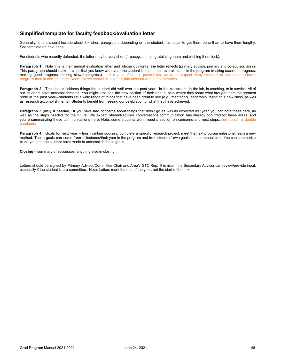### <span id="page-47-0"></span>**Simplified template for faculty feedback/evaluation letter**

Generally, letters should include about 3-4 short paragraphs depending on the student. It's better to get them done than to have them lengthy. See template on next page.

For students who recently defended, the letter may be very short (1 paragraph, congratulating them and wishing them luck).

**Paragraph 1:** Note this is their annual evaluation letter and whose opinion(s) the letter reflects (primary advisor, primary and co-advisor, area). This paragraph should make it clear that you know what year the student is in and their overall status in the program (making excellent progress, making good progress, making slower progress). In this year of double pandemics, we would expect many students to have made slower progress than in non-pandemic years, so we should all take this into account with our summaries.

Paragraph 2: This should address things the student did well over the past year---in the classroom, in the lab, in teaching, or in service. All of our students have accomplishments. You might also see the new section of their annual plan where they share what brought them the greatest pride in the past year—students list a wide range of things that have been great to see (e.g., mentoring, leadership, teaching a new class, as well as research accomplishments). Students benefit from seeing our celebration of what they have achieved.

**Paragraph 3 (only if needed):** If you have had concerns about things that didn't go as well as expected last year, you can note these here, as well as the steps needed for the future. We expect student-advisor conversations/communication has already occurred for these areas, and you're summarizing these communications here. Note: some students won't need a section on concerns and next steps; see above re: double pandemics.

**Paragraph 4:** Goals for next year – finish certain courses, complete a specific research project, meet the next program milestone, learn a new method. These goals can come from milestones/their year in the program and from students' own goals in their annual plan. You can summarize plans you and the student have made to accomplish these goals.

**Closing** – summary of successes; anything else in closing.

Letters should be signed by Primary Advisor/Committee Chair and Area's GTC Rep. It is nice if the Secondary Advisor can review/provide input, especially if the student is pre-committee. Note: Letters mark the end of the year; not the start of the next.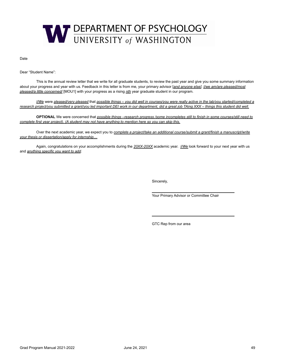

Date

Dear "Student Name":

This is the annual review letter that we write for all graduate students, to review the past year and give you some summary information about your progress and year with us. Feedback in this letter is from me, your primary advisor [*and anyone else]*. *I/we am/are pleased/most pleased/a little concerned/* [MOU1] with your progress as a rising *nth* year graduate student in our program.

I/We were pleased/very pleased that possible things - you did well in courses/you were really active in the lab/you started/completed a research project/you submitted a grant/you led important DEI work in our department, did a great job TAing XXX - things this student did well.

OPTIONAL We were concerned that possible things -research progress /some incompletes still to finish in some courses/still need to complete first year project). (A student may not have anything to mention here so you can skip this.

Over the next academic year, we expect you to *complete a project/take an additional course/submit a grant/finish a manuscript/write your thesis or dissertation/apply for internship…*

Again, congratulations on your accomplishments during the *20XX-20XX* academic year. *I/We* look forward to your next year with us and *anything specific you want to add*.

Sincerely,

Your Primary Advisor or Committee Chair

GTC Rep from our area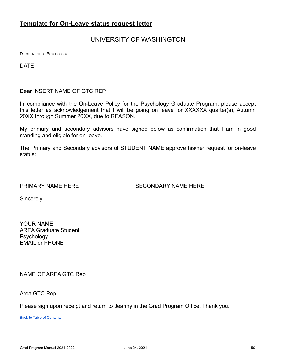### <span id="page-49-0"></span>**Template for On-Leave status request letter**

### UNIVERSITY OF WASHINGTON

DEPARTMENT OF PSYCHOLOGY

DATE

Dear INSERT NAME OF GTC REP,

In compliance with the On-Leave Policy for the Psychology Graduate Program, please accept this letter as acknowledgement that I will be going on leave for XXXXXX quarter(s), Autumn 20XX through Summer 20XX, due to REASON.

My primary and secondary advisors have signed below as confirmation that I am in good standing and eligible for on-leave.

The Primary and Secondary advisors of STUDENT NAME approve his/her request for on-leave status:

 $\_$ 

PRIMARY NAME HERE SECONDARY NAME HERE

Sincerely,

YOUR NAME AREA Graduate Student **Psychology** EMAIL or PHONE

NAME OF AREA GTC Rep

 $\_$ 

Area GTC Rep:

Please sign upon receipt and return to Jeanny in the Grad Program Office. Thank you.

Back to Table of [Contents](#page-2-0)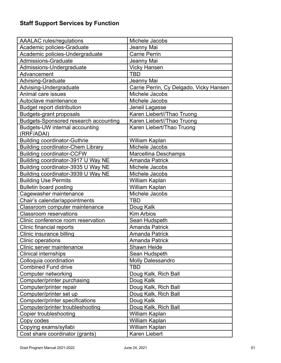<span id="page-50-0"></span>

| <b>AAALAC</b> rules/regulations              | Michele Jacobs                          |
|----------------------------------------------|-----------------------------------------|
| Academic policies-Graduate                   | Jeanny Mai                              |
| Academic policies-Undergraduate              | <b>Carrie Perrin</b>                    |
| <b>Admissions-Graduate</b>                   | Jeanny Mai                              |
| Admissions-Undergraduate                     | <b>Vicky Hansen</b>                     |
| Advancement                                  | <b>TBD</b>                              |
| <b>Advising-Graduate</b>                     | Jeanny Mai                              |
| Advising-Undergraduate                       | Carrie Perrin, Cy Delgado, Vicky Hansen |
| Animal care issues                           | Michele Jacobs                          |
| Autoclave maintenance                        | Michele Jacobs                          |
| <b>Budget report distribution</b>            | Jeneil Lagasse                          |
| <b>Budgets-grant proposals</b>               | Karen Liebert//Thao Truong              |
| <b>Budgets-Sponsored research accounting</b> | Karen Liebert//Thao Truong              |
| Budgets-UW internal accounting<br>(RRF/ADAI) | Karen Liebert/Thao Truong               |
| <b>Building coordinator-Guthrie</b>          | William Kaplan                          |
| <b>Building coordinator-Chem Library</b>     | Michele Jacobs                          |
| <b>Building coordinator-CCFW</b>             | Marcellina Deschamps                    |
| Building coordinator-3917 U Way NE           | <b>Amanda Patrick</b>                   |
| Building coordinator-3935 U Way NE           | Michele Jacobs                          |
| Building coordinator-3939 U Way NE           | Michele Jacobs                          |
| <b>Building Use Permits</b>                  | William Kaplan                          |
| <b>Bulletin board posting</b>                | William Kaplan                          |
| Cagewasher maintenance                       | Michele Jacobs                          |
| Chair's calendar/appointments                | <b>TBD</b>                              |
| Classroom computer maintenance               | Doug Kalk                               |
| <b>Classroom reservations</b>                | <b>Kim Arbios</b>                       |
| Clinic conference room reservation           | Sean Hudspeth                           |
| Clinic financial reports                     | <b>Amanda Patrick</b>                   |
| Clinic insurance billing                     | <b>Amanda Patrick</b>                   |
| Clinic operations                            | Amanda Patrick                          |
| Clinic server maintenance                    | Shawn Heide                             |
| <b>Clinical internships</b>                  | Sean Hudspeth                           |
| Colloquia coordination                       | <b>Molly Dalessandro</b>                |
| <b>Combined Fund drive</b>                   | <b>TBD</b>                              |
| Computer networking                          | Doug Kalk, Rich Ball                    |
| Computer/printer purchasing                  | Doug Kalk                               |
| Computer/printer repair                      | Doug Kalk, Rich Ball                    |
| Computer/printer set up                      | Doug Kalk, Rich Ball                    |
| Computer/printer specifications              | Doug Kalk                               |
| Computer/printer troubleshooting             | Doug Kalk, Rich Ball                    |
| Copier troubleshooting                       | William Kaplan                          |
| Copy codes                                   | William Kaplan                          |
| Copying exams/syllabi                        | William Kaplan                          |
| Cost share coordinator (grants)              | Karen Liebert                           |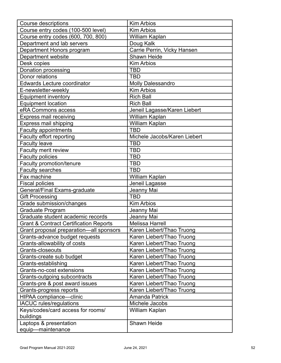| Kim Arbios                   |
|------------------------------|
| <b>Kim Arbios</b>            |
| William Kaplan               |
| Doug Kalk                    |
| Carrie Perrin, Vicky Hansen  |
| Shawn Heide                  |
| <b>Kim Arbios</b>            |
| <b>TBD</b>                   |
| <b>TBD</b>                   |
| <b>Molly Dalessandro</b>     |
| <b>Kim Arbios</b>            |
| <b>Rich Ball</b>             |
| <b>Rich Ball</b>             |
| Jeneil Lagasse/Karen Liebert |
| William Kaplan               |
| William Kaplan               |
| <b>TBD</b>                   |
| Michele Jacobs/Karen Liebert |
| <b>TBD</b>                   |
| <b>TBD</b>                   |
| <b>TBD</b>                   |
| <b>TBD</b>                   |
| <b>TBD</b>                   |
| William Kaplan               |
| Jeneil Lagasse               |
| Jeanny Mai                   |
| <b>TBD</b>                   |
| <b>Kim Arbios</b>            |
| Jeanny Mai                   |
| Jeanny Mai                   |
| <b>Melissa Harrell</b>       |
| Karen Liebert/Thao Truong    |
| Karen Liebert/Thao Truong    |
| Karen Liebert/Thao Truong    |
| Karen Liebert/Thao Truong    |
| Karen Liebert/Thao Truong    |
| Karen Liebert/Thao Truong    |
| Karen Liebert/Thao Truong    |
| Karen Liebert/Thao Truong    |
| Karen Liebert/Thao Truong    |
| Karen Liebert/Thao Truong    |
| <b>Amanda Patrick</b>        |
| Michele Jacobs               |
| William Kaplan               |
|                              |
| Shawn Heide                  |
|                              |
|                              |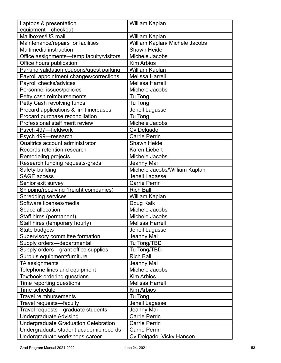| Laptops & presentation                      | William Kaplan                 |
|---------------------------------------------|--------------------------------|
| equipment-checkout                          |                                |
| Mailboxes/US mail                           | William Kaplan                 |
| Maintenance/repairs for facilities          | William Kaplan/ Michele Jacobs |
| Multimedia instruction                      | Shawn Heide                    |
| Office assignments-temp faculty/visitors    | Michele Jacobs                 |
| Office hours publication                    | <b>Kim Arbios</b>              |
| Parking validation coupons/guest parking    | William Kaplan                 |
| Payroll appointment changes/corrections     | <b>Melissa Harrell</b>         |
| Payroll checks/advices                      | <b>Melissa Harrell</b>         |
| Personnel issues/policies                   | Michele Jacobs                 |
| Petty cash reimbursements                   | Tu Tong                        |
| Petty Cash revolving funds                  | Tu Tong                        |
| Procard applications & limit increases      | Jeneil Lagasse                 |
| Procard purchase reconciliation             | Tu Tong                        |
| Professional staff merit review             | Michele Jacobs                 |
| Psych 497-fieldwork                         | Cy Delgado                     |
| Psych 499-research                          | <b>Carrie Perrin</b>           |
| Qualtrics account administrator             | Shawn Heide                    |
| Records retention-research                  | Karen Liebert                  |
| Remodeling projects                         | Michele Jacobs                 |
| Research funding requests-grads             | Jeanny Mai                     |
| Safety-building                             | Michele Jacobs/William Kaplan  |
| <b>SAGE access</b>                          | Jeneil Lagasse                 |
| Senior exit survey                          | <b>Carrie Perrin</b>           |
| Shipping/receiving (freight companies)      | <b>Rich Ball</b>               |
| <b>Shredding services</b>                   | William Kaplan                 |
| Software licenses/media                     | Doug Kalk                      |
| Space allocation                            | Michele Jacobs                 |
| Staff hires (permanent)                     | Michele Jacobs                 |
| Staff hires (temporary hourly)              | Melissa Harrell                |
| State budgets                               | Jeneil Lagasse                 |
| Supervisory committee formation             | Jeanny Mai                     |
| Supply orders-departmental                  | Tu Tong/TBD                    |
| Supply orders-grant office supplies         | Tu Tong/TBD                    |
| Surplus equipment/furniture                 | <b>Rich Ball</b>               |
| TA assignments                              | Jeanny Mai                     |
| Telephone lines and equipment               | Michele Jacobs                 |
| <b>Textbook ordering questions</b>          | <b>Kim Arbios</b>              |
| Time reporting questions                    | <b>Melissa Harrell</b>         |
| Time schedule                               | <b>Kim Arbios</b>              |
| <b>Travel reimbursements</b>                | Tu Tong                        |
| Travel requests-faculty                     | Jeneil Lagasse                 |
| Travel requests-graduate students           | Jeanny Mai                     |
| <b>Undergraduate Advising</b>               | <b>Carrie Perrin</b>           |
| <b>Undergraduate Graduation Celebration</b> | <b>Carrie Perrin</b>           |
| Undergraduate student academic records      | <b>Carrie Perrin</b>           |
| Undergraduate workshops-career              | Cy Delgado, Vicky Hansen       |